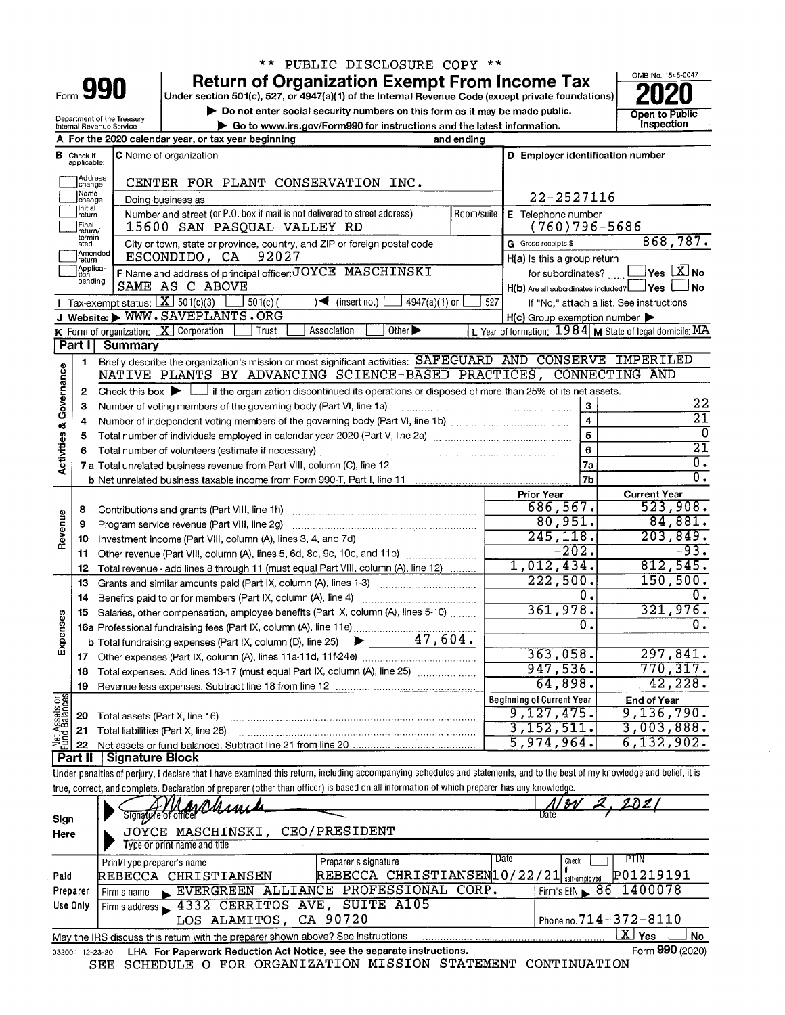|                                |                            |                                | ** PUBLIC DISCLOSURE COPY **                                                                                                                                               |            |                                                           |                                              |
|--------------------------------|----------------------------|--------------------------------|----------------------------------------------------------------------------------------------------------------------------------------------------------------------------|------------|-----------------------------------------------------------|----------------------------------------------|
|                                |                            | Form 990                       | <b>Return of Organization Exempt From Income Tax</b>                                                                                                                       |            |                                                           | OMB No. 1545-0047                            |
|                                |                            |                                | Under section 501(c), 527, or 4947(a)(1) of the Internal Revenue Code (except private foundations)                                                                         |            |                                                           |                                              |
|                                |                            | Department of the Treasury     | Do not enter social security numbers on this form as it may be made public.                                                                                                |            |                                                           | Open to Public<br>Inspection                 |
|                                |                            | Internal Revenue Service       | Go to www.irs.gov/Form990 for instructions and the latest information.<br>A For the 2020 calendar year, or tax year beginning                                              | and ending |                                                           |                                              |
|                                | <b>B</b> Check if          |                                | <b>C</b> Name of organization                                                                                                                                              |            | D Employer identification number                          |                                              |
|                                | applicable:                |                                |                                                                                                                                                                            |            |                                                           |                                              |
|                                | Address<br> change         |                                | CENTER FOR PLANT CONSERVATION INC.                                                                                                                                         |            |                                                           |                                              |
|                                | Name<br>change             |                                | Doing business as                                                                                                                                                          |            | $22 - 2527116$                                            |                                              |
|                                | Initial<br>return          |                                | Number and street (or P.O. box if mail is not delivered to street address)                                                                                                 | Room/suite | E Telephone number                                        |                                              |
|                                | Final<br>return/           |                                | 15600 SAN PASQUAL VALLEY RD                                                                                                                                                |            | $(760)796 - 5686$                                         |                                              |
|                                | termin-<br>ated<br>Amended |                                | City or town, state or province, country, and ZIP or foreign postal code                                                                                                   |            | <b>G</b> Gross receipts \$                                | 868,787.                                     |
|                                | return<br>Applica-         |                                | 92027<br>ESCONDIDO, CA                                                                                                                                                     |            | H(a) Is this a group return                               |                                              |
|                                | tion<br>pending            |                                | F Name and address of principal officer: JOYCE MASCHINSKI                                                                                                                  |            | for subordinates? $\Box$                                  | $Yes$ $\boxed{\text{X}}$ No                  |
|                                |                            |                                | SAME AS C ABOVE<br>Tax-exempt status: $X$ 501(c)(3)<br>4947(a)(1) or<br>$\sqrt{\frac{1}{1}}$ (insert no.)                                                                  | 527        |                                                           | H(b) Are all subordinates included? Ves U No |
|                                |                            |                                | $501(c)$ (<br>J Website: WWW.SAVEPLANTS.ORG                                                                                                                                |            | $H(c)$ Group exemption number $\blacktriangleright$       | If "No," attach a list. See instructions     |
|                                |                            |                                | <b>K</b> Form of organization: $X$ Corporation<br>Association<br>Other $\blacktriangleright$<br>Trust                                                                      |            | L Year of formation: $1984$ M State of legal domicile: MA |                                              |
|                                | Part I                     | Summary                        |                                                                                                                                                                            |            |                                                           |                                              |
|                                | 1                          |                                | Briefly describe the organization's mission or most significant activities: SAFEGUARD AND CONSERVE IMPERILED                                                               |            |                                                           |                                              |
| Activities & Governance        |                            |                                | NATIVE PLANTS BY ADVANCING SCIENCE-BASED PRACTICES, CONNECTING AND                                                                                                         |            |                                                           |                                              |
|                                | 2                          |                                | Check this box ► LI if the organization discontinued its operations or disposed of more than 25% of its net assets.                                                        |            |                                                           |                                              |
|                                | 3                          |                                | Number of voting members of the governing body (Part VI, line 1a)                                                                                                          |            | $\mathbf{3}$                                              | 22                                           |
|                                | 4                          |                                |                                                                                                                                                                            |            | $\overline{\mathbf{4}}$                                   | $\overline{21}$                              |
|                                | 5                          |                                |                                                                                                                                                                            |            | 5                                                         | $\overline{0}$<br>$\overline{21}$            |
|                                | 6                          |                                |                                                                                                                                                                            |            | $\bf 6$                                                   | $\overline{\mathfrak{o}}$ .                  |
|                                |                            |                                |                                                                                                                                                                            |            | l7a<br>7 <sub>b</sub>                                     | $\overline{0}$ .                             |
|                                |                            |                                |                                                                                                                                                                            |            | <b>Prior Year</b>                                         | <b>Current Year</b>                          |
|                                | 8                          |                                | Contributions and grants (Part VIII, line 1h)                                                                                                                              |            | 686,567.                                                  | 523,908.                                     |
| Revenue                        | 9                          |                                | Program service revenue (Part VIII, line 2g)                                                                                                                               |            | 80,951.                                                   | 84,881.                                      |
|                                | 10                         |                                |                                                                                                                                                                            |            | 245, 118.                                                 | 203,849.                                     |
|                                | 11                         |                                | Other revenue (Part VIII, column (A), lines 5, 6d, 8c, 9c, 10c, and 11e)                                                                                                   |            | $-202.$                                                   | $-93.$                                       |
|                                | 12                         |                                | Total revenue - add lines 8 through 11 (must equal Part VIII, column (A), line 12)                                                                                         |            | 1,012,434.                                                | 812,545.                                     |
|                                | 13                         |                                | Grants and similar amounts paid (Part IX, column (A), lines 1-3)                                                                                                           |            | $222,500$ .                                               | 150, 500.                                    |
|                                | 14                         |                                | Benefits paid to or for members (Part IX, column (A), line 4)                                                                                                              |            | 0.                                                        | 0.                                           |
| nses                           | 15                         |                                | Salaries, other compensation, employee benefits (Part IX, column (A), lines 5-10)                                                                                          |            | 361,978.<br>Ο.                                            | 321,976.<br>σ.                               |
|                                |                            |                                |                                                                                                                                                                            |            |                                                           |                                              |
| Exper                          |                            |                                | <b>b</b> Total fundraising expenses (Part IX, column (D), line 25) $\blacktriangleright$                                                                                   |            | 363,058.                                                  | 297,841.                                     |
|                                | 17<br>18                   |                                | Total expenses. Add lines 13-17 (must equal Part IX, column (A), line 25) [                                                                                                |            | 947,536.                                                  | 770,317.                                     |
|                                | 19                         |                                | Revenue less expenses. Subtract line 18 from line 12                                                                                                                       |            | 64,898.                                                   | 42,228.                                      |
|                                |                            |                                |                                                                                                                                                                            |            | <b>Beginning of Current Year</b>                          | <b>End of Year</b>                           |
| Net Assets or<br>Fund Balances | 20                         | Total assets (Part X, line 16) |                                                                                                                                                                            |            | 9,127,475.                                                | 9,136,790.                                   |
|                                | 21                         |                                | Total liabilities (Part X, line 26)                                                                                                                                        |            | 3,152,511.                                                | 3,003,888.                                   |
|                                | 22                         |                                |                                                                                                                                                                            |            | 5,974,964.                                                | 6,132,902.                                   |
|                                | Part II                    | ∣ Signature Block              |                                                                                                                                                                            |            |                                                           |                                              |
|                                |                            |                                | Under penalties of perjury, I declare that I have examined this return, including accompanying schedules and statements, and to the best of my knowledge and belief, it is |            |                                                           |                                              |
|                                |                            |                                | true, correct, and complete. Declaration of preparer (other than officer) is based on all information of which preparer has any knowledge.                                 |            |                                                           |                                              |
|                                |                            |                                | Signature of officer                                                                                                                                                       |            |                                                           |                                              |
| Sign                           |                            |                                | CEO/PRESIDENT<br>JOYCE MASCHINSKI,                                                                                                                                         |            |                                                           |                                              |
| Here                           |                            |                                | Type or print name and title                                                                                                                                               |            |                                                           |                                              |
|                                |                            | Print/Type preparer's name     | Preparer's signature                                                                                                                                                       |            | <b>Date</b><br>Check                                      | PTIN                                         |
| Paid                           |                            |                                | REBECCA CHRISTIANSEN10/22/21 self-employed<br>REBECCA CHRISTIANSEN                                                                                                         |            |                                                           | P01219191                                    |
| Preparer                       |                            | Firm's name                    | EVERGREEN ALLIANCE PROFESSIONAL CORP.                                                                                                                                      |            |                                                           | Firm's EIN $\triangleright$ 86-1400078       |
| Use Only                       |                            | Firm's address                 | 4332 CERRITOS AVE, SUITE A105                                                                                                                                              |            |                                                           |                                              |
|                                |                            |                                | LOS ALAMITOS, CA 90720                                                                                                                                                     |            |                                                           | Phone no. 714 - 372 - 8110                   |
|                                |                            |                                | May the IRS discuss this return with the preparer shown above? See instructions                                                                                            |            |                                                           | $\overline{\text{X}}$ Yes<br>No              |
|                                | 032001 12-23-20            |                                | LHA For Paperwork Reduction Act Notice, see the separate instructions.                                                                                                     |            |                                                           | Form 990 (2020)                              |

 $\sim$ 

032001 12-23-20 LHA For Paperwork Reduction Act Notice, see the separate instructions.<br>SEE SCHEDULE O FOR ORGANIZATION MISSION STATEMENT CONTINUATION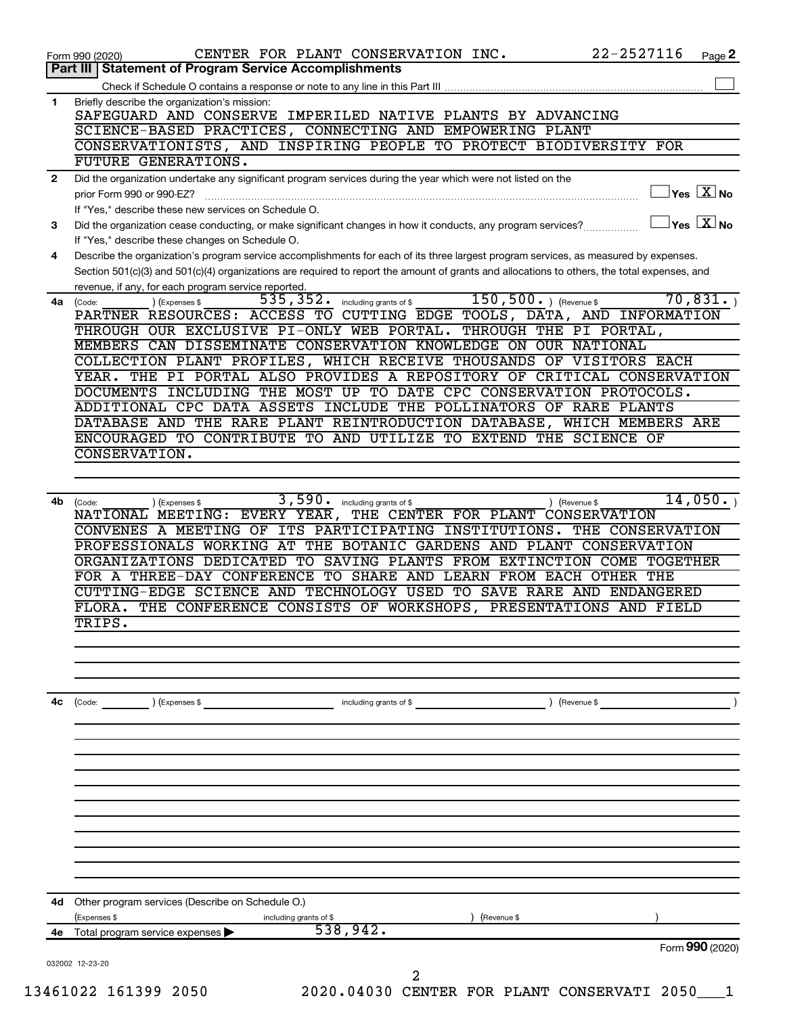| 4с<br>4d       | (Code: ) (Expenses \$<br>Other program services (Describe on Schedule O.)<br>) (Revenue \$<br>(Expenses \$<br>including grants of \$ $538,942.$<br>4e Total program service expenses ><br>Form 990 (2020)                            |
|----------------|--------------------------------------------------------------------------------------------------------------------------------------------------------------------------------------------------------------------------------------|
|                |                                                                                                                                                                                                                                      |
|                |                                                                                                                                                                                                                                      |
|                |                                                                                                                                                                                                                                      |
|                |                                                                                                                                                                                                                                      |
|                |                                                                                                                                                                                                                                      |
|                |                                                                                                                                                                                                                                      |
|                |                                                                                                                                                                                                                                      |
|                | CUTTING-EDGE SCIENCE AND TECHNOLOGY USED TO SAVE RARE AND ENDANGERED<br>THE CONFERENCE CONSISTS OF WORKSHOPS, PRESENTATIONS AND FIELD<br>FLORA.<br>TRIPS.                                                                            |
|                | PROFESSIONALS WORKING AT THE BOTANIC GARDENS AND PLANT CONSERVATION<br>ORGANIZATIONS DEDICATED TO SAVING PLANTS FROM EXTINCTION COME TOGETHER<br>FOR A THREE-DAY CONFERENCE TO SHARE AND LEARN FROM EACH OTHER THE                   |
| 4b<br>(Code:   | 14,050.<br>$\overline{3,590}$ . including grants of \$<br>(Expenses \$<br>) (Revenue \$<br>NATIONAL MEETING: EVERY YEAR, THE CENTER FOR PLANT CONSERVATION<br>CONVENES A MEETING OF ITS PARTICIPATING INSTITUTIONS. THE CONSERVATION |
|                | <b>CONSERVATION.</b>                                                                                                                                                                                                                 |
|                | ENCOURAGED TO CONTRIBUTE TO AND UTILIZE TO EXTEND THE SCIENCE OF                                                                                                                                                                     |
|                | DATABASE AND THE RARE PLANT REINTRODUCTION DATABASE, WHICH MEMBERS ARE                                                                                                                                                               |
|                | DOCUMENTS INCLUDING THE MOST UP TO DATE CPC CONSERVATION PROTOCOLS.<br>ADDITIONAL CPC DATA ASSETS INCLUDE THE POLLINATORS OF RARE PLANTS                                                                                             |
|                | YEAR. THE PI PORTAL ALSO PROVIDES A REPOSITORY OF CRITICAL CONSERVATION                                                                                                                                                              |
|                | MEMBERS CAN DISSEMINATE CONSERVATION KNOWLEDGE ON OUR NATIONAL<br>COLLECTION PLANT PROFILES, WHICH RECEIVE THOUSANDS OF VISITORS EACH                                                                                                |
|                | THROUGH OUR EXCLUSIVE PI-ONLY WEB PORTAL. THROUGH THE PI PORTAL,                                                                                                                                                                     |
| 4a<br>(Code:   | $150, 500.$ (Revenue \$)<br>535, 352.<br>70,831.<br>including grants of \$<br>(Expenses \$<br>PARTNER RESOURCES: ACCESS TO CUTTING EDGE TOOLS, DATA, AND INFORMATION                                                                 |
|                | Section 501(c)(3) and 501(c)(4) organizations are required to report the amount of grants and allocations to others, the total expenses, and<br>revenue, if any, for each program service reported.                                  |
| 4              | If "Yes," describe these changes on Schedule O.<br>Describe the organization's program service accomplishments for each of its three largest program services, as measured by expenses.                                              |
| 3              | If "Yes," describe these new services on Schedule O.<br>$\overline{\ }$ Yes $\overline{\phantom{a}X}$ No<br>Did the organization cease conducting, or make significant changes in how it conducts, any program services?             |
| $\overline{2}$ | Did the organization undertake any significant program services during the year which were not listed on the<br>$\overline{\ }$ Yes $\overline{\ \rm X}$ No                                                                          |
|                | FUTURE GENERATIONS.                                                                                                                                                                                                                  |
|                | SCIENCE-BASED PRACTICES, CONNECTING AND EMPOWERING PLANT<br>CONSERVATIONISTS, AND INSPIRING PEOPLE TO PROTECT BIODIVERSITY FOR                                                                                                       |
| 1              | Briefly describe the organization's mission:<br>SAFEGUARD AND CONSERVE IMPERILED NATIVE PLANTS BY ADVANCING                                                                                                                          |
|                | Part III   Statement of Program Service Accomplishments                                                                                                                                                                              |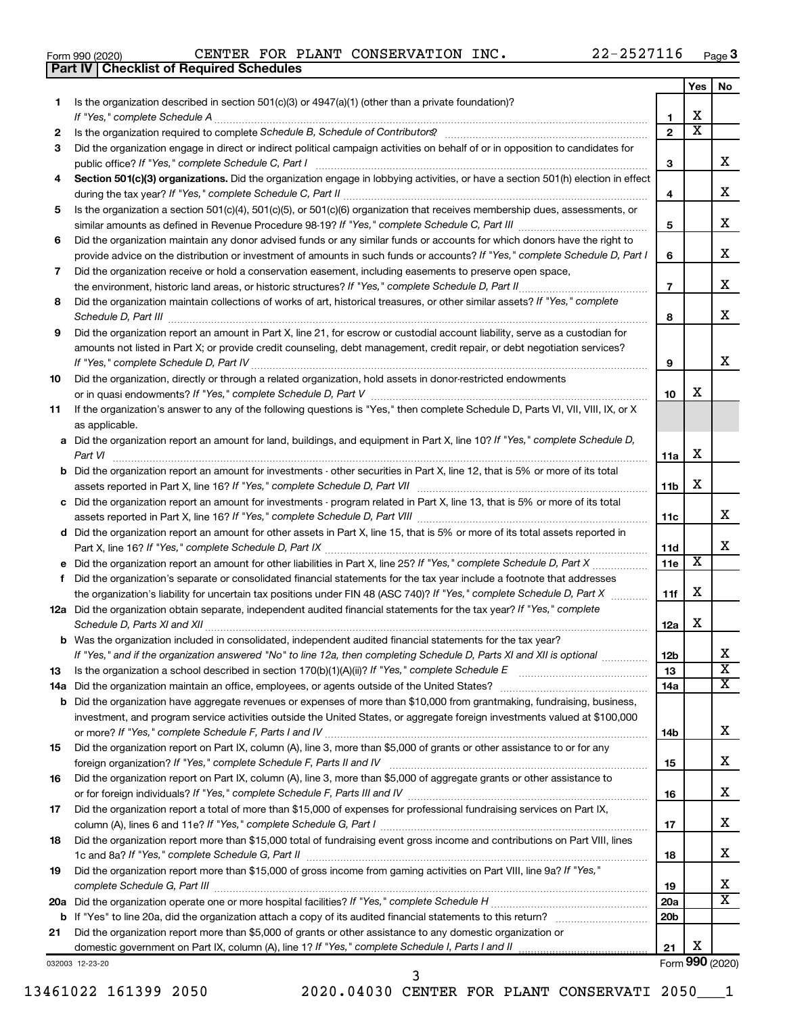| Form 990 (2020) | CENTER FOR PI                                    |  |
|-----------------|--------------------------------------------------|--|
|                 | <b>Part IV   Checklist of Required Schedules</b> |  |

Form 990 (2020)  $\begin{array}{cccc} \text{CENTER} & \text{FOR} & \text{PLANT} & \text{CONSERVATION} & \text{INC.} \end{array}$  22-2527116  $\begin{array}{cccc} \text{Page} & \text{Page} & \text{Page} \end{array}$ 

|     |                                                                                                                                                                                                                                                       |                 | Yes                     | No                           |
|-----|-------------------------------------------------------------------------------------------------------------------------------------------------------------------------------------------------------------------------------------------------------|-----------------|-------------------------|------------------------------|
| 1   | Is the organization described in section $501(c)(3)$ or $4947(a)(1)$ (other than a private foundation)?                                                                                                                                               |                 |                         |                              |
|     | If "Yes," complete Schedule A                                                                                                                                                                                                                         | 1               | х                       |                              |
| 2   | Is the organization required to complete Schedule B, Schedule of Contributors? [111] [12] the organization required to complete Schedule B, Schedule of Contributors?                                                                                 | $\overline{2}$  | $\overline{\textbf{x}}$ |                              |
| З   | Did the organization engage in direct or indirect political campaign activities on behalf of or in opposition to candidates for                                                                                                                       |                 |                         |                              |
|     | public office? If "Yes," complete Schedule C, Part I                                                                                                                                                                                                  | З               |                         | x                            |
| 4   | Section 501(c)(3) organizations. Did the organization engage in lobbying activities, or have a section 501(h) election in effect                                                                                                                      |                 |                         |                              |
|     |                                                                                                                                                                                                                                                       | 4               |                         | х                            |
| 5   | Is the organization a section 501(c)(4), 501(c)(5), or 501(c)(6) organization that receives membership dues, assessments, or                                                                                                                          |                 |                         |                              |
|     |                                                                                                                                                                                                                                                       | 5               |                         | х                            |
| 6   | Did the organization maintain any donor advised funds or any similar funds or accounts for which donors have the right to                                                                                                                             |                 |                         |                              |
|     | provide advice on the distribution or investment of amounts in such funds or accounts? If "Yes," complete Schedule D, Part I                                                                                                                          | 6               |                         | x                            |
| 7   | Did the organization receive or hold a conservation easement, including easements to preserve open space,                                                                                                                                             |                 |                         |                              |
|     |                                                                                                                                                                                                                                                       | $\overline{7}$  |                         | x                            |
| 8   | Did the organization maintain collections of works of art, historical treasures, or other similar assets? If "Yes," complete                                                                                                                          |                 |                         |                              |
|     | Schedule D, Part III <b>Entertainment and Construction Construction</b> and Construction Construction and Construction                                                                                                                                | 8               |                         | x                            |
| 9   | Did the organization report an amount in Part X, line 21, for escrow or custodial account liability, serve as a custodian for                                                                                                                         |                 |                         |                              |
|     | amounts not listed in Part X; or provide credit counseling, debt management, credit repair, or debt negotiation services?                                                                                                                             |                 |                         | x                            |
|     |                                                                                                                                                                                                                                                       | 9               |                         |                              |
| 10  | Did the organization, directly or through a related organization, hold assets in donor-restricted endowments                                                                                                                                          | 10              | х                       |                              |
| 11  | If the organization's answer to any of the following questions is "Yes," then complete Schedule D, Parts VI, VII, VIII, IX, or X                                                                                                                      |                 |                         |                              |
|     | as applicable.                                                                                                                                                                                                                                        |                 |                         |                              |
|     | a Did the organization report an amount for land, buildings, and equipment in Part X, line 10? If "Yes," complete Schedule D,                                                                                                                         |                 |                         |                              |
|     | Part VI                                                                                                                                                                                                                                               | 11a             | х                       |                              |
|     | <b>b</b> Did the organization report an amount for investments - other securities in Part X, line 12, that is 5% or more of its total                                                                                                                 |                 |                         |                              |
|     |                                                                                                                                                                                                                                                       | 11 <sub>b</sub> | х                       |                              |
|     | c Did the organization report an amount for investments - program related in Part X, line 13, that is 5% or more of its total                                                                                                                         |                 |                         |                              |
|     |                                                                                                                                                                                                                                                       | 11c             |                         | x                            |
|     | d Did the organization report an amount for other assets in Part X, line 15, that is 5% or more of its total assets reported in                                                                                                                       |                 |                         |                              |
|     |                                                                                                                                                                                                                                                       | 11d             |                         | x                            |
|     |                                                                                                                                                                                                                                                       | 11e             | X                       |                              |
|     | f Did the organization's separate or consolidated financial statements for the tax year include a footnote that addresses                                                                                                                             |                 |                         |                              |
|     | the organization's liability for uncertain tax positions under FIN 48 (ASC 740)? If "Yes," complete Schedule D, Part X                                                                                                                                | 11f             | x                       |                              |
|     | 12a Did the organization obtain separate, independent audited financial statements for the tax year? If "Yes," complete                                                                                                                               |                 |                         |                              |
|     | Schedule D, Parts XI and XII                                                                                                                                                                                                                          | 12a             | х                       |                              |
|     | <b>b</b> Was the organization included in consolidated, independent audited financial statements for the tax year?                                                                                                                                    |                 |                         |                              |
|     | If "Yes," and if the organization answered "No" to line 12a, then completing Schedule D, Parts XI and XII is optional www.                                                                                                                            | 12 <sub>b</sub> |                         | Χ<br>$\overline{\texttt{x}}$ |
| 13  | Is the organization a school described in section $170(b)(1)(A)(ii)?$ If "Yes," complete Schedule E                                                                                                                                                   | 13              |                         | X                            |
| 14a |                                                                                                                                                                                                                                                       | 14a             |                         |                              |
| b   | Did the organization have aggregate revenues or expenses of more than \$10,000 from grantmaking, fundraising, business,<br>investment, and program service activities outside the United States, or aggregate foreign investments valued at \$100,000 |                 |                         |                              |
|     |                                                                                                                                                                                                                                                       | 14b             |                         | х                            |
| 15  | Did the organization report on Part IX, column (A), line 3, more than \$5,000 of grants or other assistance to or for any                                                                                                                             |                 |                         |                              |
|     |                                                                                                                                                                                                                                                       | 15              |                         | х                            |
| 16  | Did the organization report on Part IX, column (A), line 3, more than \$5,000 of aggregate grants or other assistance to                                                                                                                              |                 |                         |                              |
|     |                                                                                                                                                                                                                                                       | 16              |                         | х                            |
| 17  | Did the organization report a total of more than \$15,000 of expenses for professional fundraising services on Part IX,                                                                                                                               |                 |                         |                              |
|     |                                                                                                                                                                                                                                                       | 17              |                         | х                            |
| 18  | Did the organization report more than \$15,000 total of fundraising event gross income and contributions on Part VIII, lines                                                                                                                          |                 |                         |                              |
|     |                                                                                                                                                                                                                                                       | 18              |                         | х                            |
| 19  | Did the organization report more than \$15,000 of gross income from gaming activities on Part VIII, line 9a? If "Yes,"                                                                                                                                |                 |                         |                              |
|     |                                                                                                                                                                                                                                                       | 19              |                         | x                            |
| 20a |                                                                                                                                                                                                                                                       | 20a             |                         | x                            |
| b   |                                                                                                                                                                                                                                                       | 20 <sub>b</sub> |                         |                              |
| 21  | Did the organization report more than \$5,000 of grants or other assistance to any domestic organization or                                                                                                                                           |                 |                         |                              |
|     |                                                                                                                                                                                                                                                       | 21              | х                       |                              |
|     | 032003 12-23-20                                                                                                                                                                                                                                       |                 |                         | Form 990 (2020)              |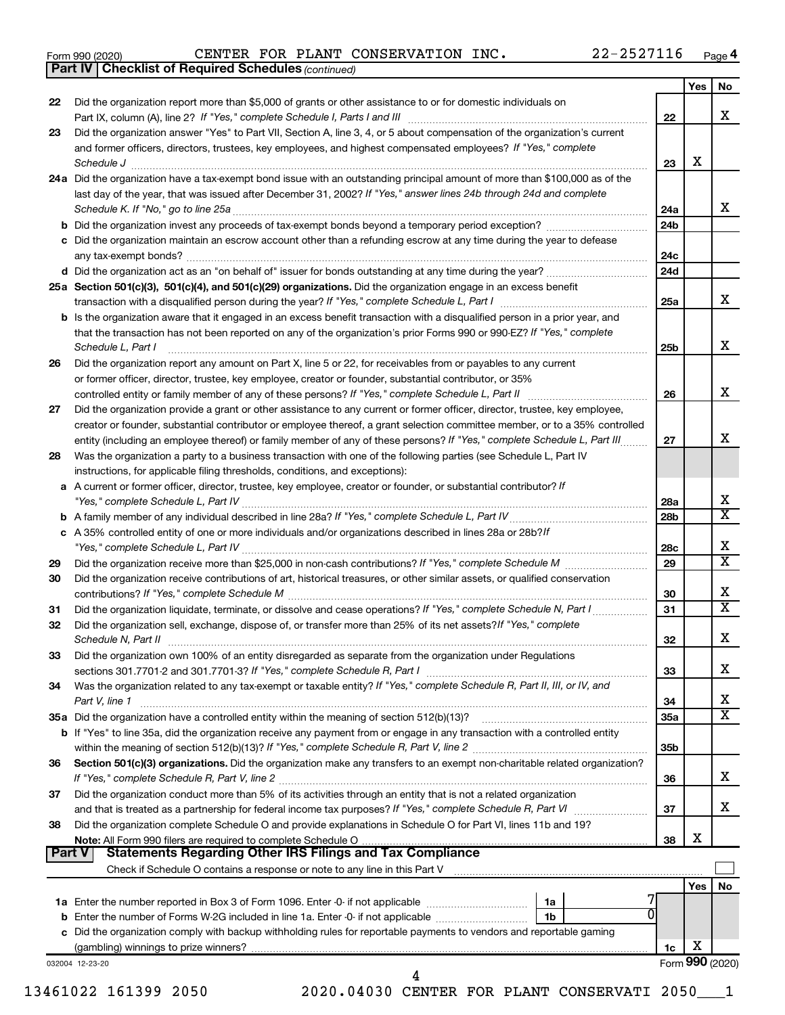|  | Form 990 (2020) |  |
|--|-----------------|--|
|  |                 |  |

*(continued)* **Part IV Checklist of Required Schedules**

|               |                                                                                                                                                                                                   |                        | Yes | No                      |
|---------------|---------------------------------------------------------------------------------------------------------------------------------------------------------------------------------------------------|------------------------|-----|-------------------------|
| 22            | Did the organization report more than \$5,000 of grants or other assistance to or for domestic individuals on                                                                                     |                        |     |                         |
|               |                                                                                                                                                                                                   | 22                     |     | x                       |
| 23            | Did the organization answer "Yes" to Part VII, Section A, line 3, 4, or 5 about compensation of the organization's current                                                                        |                        |     |                         |
|               | and former officers, directors, trustees, key employees, and highest compensated employees? If "Yes," complete                                                                                    |                        |     |                         |
|               | Schedule J <b>Execute Schedule J Execute Schedule J</b>                                                                                                                                           | 23                     | X   |                         |
|               | 24a Did the organization have a tax-exempt bond issue with an outstanding principal amount of more than \$100,000 as of the                                                                       |                        |     |                         |
|               | last day of the year, that was issued after December 31, 2002? If "Yes," answer lines 24b through 24d and complete                                                                                |                        |     | x                       |
|               |                                                                                                                                                                                                   | 24a<br>24 <sub>b</sub> |     |                         |
|               | c Did the organization maintain an escrow account other than a refunding escrow at any time during the year to defease                                                                            |                        |     |                         |
|               |                                                                                                                                                                                                   | 24c                    |     |                         |
|               |                                                                                                                                                                                                   | 24d                    |     |                         |
|               | 25a Section 501(c)(3), 501(c)(4), and 501(c)(29) organizations. Did the organization engage in an excess benefit                                                                                  |                        |     |                         |
|               |                                                                                                                                                                                                   | 25a                    |     | x                       |
|               | <b>b</b> Is the organization aware that it engaged in an excess benefit transaction with a disqualified person in a prior year, and                                                               |                        |     |                         |
|               | that the transaction has not been reported on any of the organization's prior Forms 990 or 990-EZ? If "Yes," complete                                                                             |                        |     |                         |
|               | Schedule L, Part I                                                                                                                                                                                | 25b                    |     | x                       |
| 26            | Did the organization report any amount on Part X, line 5 or 22, for receivables from or payables to any current                                                                                   |                        |     |                         |
|               | or former officer, director, trustee, key employee, creator or founder, substantial contributor, or 35%                                                                                           |                        |     |                         |
|               |                                                                                                                                                                                                   | 26                     |     | x                       |
| 27            | Did the organization provide a grant or other assistance to any current or former officer, director, trustee, key employee,                                                                       |                        |     |                         |
|               | creator or founder, substantial contributor or employee thereof, a grant selection committee member, or to a 35% controlled                                                                       |                        |     | x                       |
|               | entity (including an employee thereof) or family member of any of these persons? If "Yes," complete Schedule L, Part III                                                                          | 27                     |     |                         |
| 28            | Was the organization a party to a business transaction with one of the following parties (see Schedule L, Part IV<br>instructions, for applicable filing thresholds, conditions, and exceptions): |                        |     |                         |
| а             | A current or former officer, director, trustee, key employee, creator or founder, or substantial contributor? If                                                                                  |                        |     |                         |
|               | "Yes," complete Schedule L, Part IV [111] [12] www.marrows.communications.communications.com/                                                                                                     | 28a                    |     | x                       |
|               |                                                                                                                                                                                                   | 28b                    |     | $\overline{\mathtt{x}}$ |
|               | c A 35% controlled entity of one or more individuals and/or organizations described in lines 28a or 28b?If                                                                                        |                        |     |                         |
|               |                                                                                                                                                                                                   | 28c                    |     | х                       |
| 29            |                                                                                                                                                                                                   | 29                     |     | $\overline{\mathtt{x}}$ |
| 30            | Did the organization receive contributions of art, historical treasures, or other similar assets, or qualified conservation                                                                       |                        |     |                         |
|               |                                                                                                                                                                                                   | 30                     |     | x                       |
| 31            | Did the organization liquidate, terminate, or dissolve and cease operations? If "Yes," complete Schedule N, Part I                                                                                | 31                     |     | $\overline{\mathtt{x}}$ |
| 32            | Did the organization sell, exchange, dispose of, or transfer more than 25% of its net assets? If "Yes," complete                                                                                  |                        |     |                         |
|               |                                                                                                                                                                                                   | 32                     |     | X                       |
| 33            | Did the organization own 100% of an entity disregarded as separate from the organization under Regulations                                                                                        |                        |     | x                       |
|               | Was the organization related to any tax-exempt or taxable entity? If "Yes," complete Schedule R, Part II, III, or IV, and                                                                         | 33                     |     |                         |
| 34            | Part V, line 1                                                                                                                                                                                    | 34                     |     | x                       |
|               |                                                                                                                                                                                                   | 35a                    |     | $\overline{\mathtt{x}}$ |
|               | b If "Yes" to line 35a, did the organization receive any payment from or engage in any transaction with a controlled entity                                                                       |                        |     |                         |
|               |                                                                                                                                                                                                   | 35b                    |     |                         |
| 36            | Section 501(c)(3) organizations. Did the organization make any transfers to an exempt non-charitable related organization?                                                                        |                        |     |                         |
|               |                                                                                                                                                                                                   | 36                     |     | x                       |
| 37            | Did the organization conduct more than 5% of its activities through an entity that is not a related organization                                                                                  |                        |     |                         |
|               |                                                                                                                                                                                                   | 37                     |     | x                       |
| 38            | Did the organization complete Schedule O and provide explanations in Schedule O for Part VI, lines 11b and 19?                                                                                    |                        |     |                         |
| <b>Part V</b> |                                                                                                                                                                                                   | 38                     | х   |                         |
|               |                                                                                                                                                                                                   |                        |     |                         |
|               |                                                                                                                                                                                                   |                        | Yes | No                      |
|               | 1a                                                                                                                                                                                                |                        |     |                         |
|               | 0<br><b>b</b> Enter the number of Forms W-2G included in line 1a. Enter -0- if not applicable<br>1b                                                                                               |                        |     |                         |
|               | c Did the organization comply with backup withholding rules for reportable payments to vendors and reportable gaming                                                                              |                        |     |                         |
|               |                                                                                                                                                                                                   | 1c                     | X   |                         |
|               | 032004 12-23-20                                                                                                                                                                                   |                        |     | Form 990 (2020)         |
|               | 4                                                                                                                                                                                                 |                        |     |                         |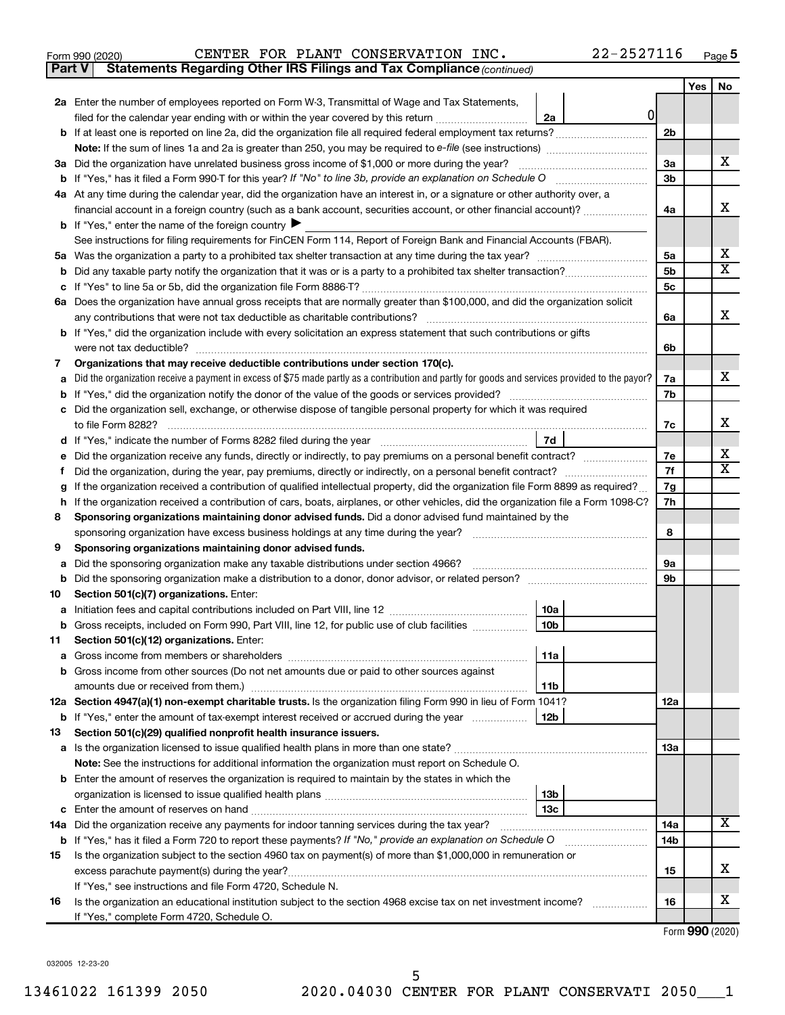| Form 990 (2020) |  |  |  |  | CENTER FOR PLANT CONSERVATION INC. |  | 22-2527116 | Page |  |
|-----------------|--|--|--|--|------------------------------------|--|------------|------|--|
|-----------------|--|--|--|--|------------------------------------|--|------------|------|--|

**Part V Statements Regarding Other IRS Filings and Tax Compliance**

*(continued)*

|    |                                                                                                                                                                                                                                  |                 | Yes | No     |  |  |  |  |  |
|----|----------------------------------------------------------------------------------------------------------------------------------------------------------------------------------------------------------------------------------|-----------------|-----|--------|--|--|--|--|--|
|    | 2a Enter the number of employees reported on Form W-3, Transmittal of Wage and Tax Statements,                                                                                                                                   |                 |     |        |  |  |  |  |  |
|    | 0<br>filed for the calendar year ending with or within the year covered by this return<br>2a                                                                                                                                     |                 |     |        |  |  |  |  |  |
|    |                                                                                                                                                                                                                                  | 2 <sub>b</sub>  |     |        |  |  |  |  |  |
|    |                                                                                                                                                                                                                                  |                 |     |        |  |  |  |  |  |
|    | 3a Did the organization have unrelated business gross income of \$1,000 or more during the year?                                                                                                                                 |                 |     |        |  |  |  |  |  |
|    |                                                                                                                                                                                                                                  |                 |     |        |  |  |  |  |  |
|    | 4a At any time during the calendar year, did the organization have an interest in, or a signature or other authority over, a                                                                                                     |                 |     |        |  |  |  |  |  |
|    | financial account in a foreign country (such as a bank account, securities account, or other financial account)?                                                                                                                 | 4a              |     | х      |  |  |  |  |  |
|    | <b>b</b> If "Yes," enter the name of the foreign country $\blacktriangleright$                                                                                                                                                   |                 |     |        |  |  |  |  |  |
|    | See instructions for filing requirements for FinCEN Form 114, Report of Foreign Bank and Financial Accounts (FBAR).                                                                                                              |                 |     |        |  |  |  |  |  |
| 5а |                                                                                                                                                                                                                                  | 5a              |     | x<br>X |  |  |  |  |  |
| b  |                                                                                                                                                                                                                                  | 5 <sub>b</sub>  |     |        |  |  |  |  |  |
|    |                                                                                                                                                                                                                                  | 5c              |     |        |  |  |  |  |  |
|    | 6a Does the organization have annual gross receipts that are normally greater than \$100,000, and did the organization solicit                                                                                                   |                 |     | x      |  |  |  |  |  |
|    |                                                                                                                                                                                                                                  | 6a              |     |        |  |  |  |  |  |
|    | b If "Yes," did the organization include with every solicitation an express statement that such contributions or gifts                                                                                                           |                 |     |        |  |  |  |  |  |
|    | were not tax deductible?                                                                                                                                                                                                         | 6b              |     |        |  |  |  |  |  |
| 7  | Organizations that may receive deductible contributions under section 170(c).<br>Did the organization receive a payment in excess of \$75 made partly as a contribution and partly for goods and services provided to the payor? | 7a              |     | x.     |  |  |  |  |  |
|    | If "Yes," did the organization notify the donor of the value of the goods or services provided?                                                                                                                                  | 7b              |     |        |  |  |  |  |  |
|    | Did the organization sell, exchange, or otherwise dispose of tangible personal property for which it was required                                                                                                                |                 |     |        |  |  |  |  |  |
|    |                                                                                                                                                                                                                                  | 7c              |     | x.     |  |  |  |  |  |
|    | 7d                                                                                                                                                                                                                               |                 |     |        |  |  |  |  |  |
|    | Did the organization receive any funds, directly or indirectly, to pay premiums on a personal benefit contract?                                                                                                                  |                 |     |        |  |  |  |  |  |
| Ť. | Did the organization, during the year, pay premiums, directly or indirectly, on a personal benefit contract?                                                                                                                     |                 |     |        |  |  |  |  |  |
|    | If the organization received a contribution of qualified intellectual property, did the organization file Form 8899 as required?                                                                                                 |                 |     |        |  |  |  |  |  |
| h  | If the organization received a contribution of cars, boats, airplanes, or other vehicles, did the organization file a Form 1098-C?                                                                                               |                 |     |        |  |  |  |  |  |
| 8  | Sponsoring organizations maintaining donor advised funds. Did a donor advised fund maintained by the                                                                                                                             |                 |     |        |  |  |  |  |  |
|    |                                                                                                                                                                                                                                  |                 |     |        |  |  |  |  |  |
| 9  | Sponsoring organizations maintaining donor advised funds.                                                                                                                                                                        |                 |     |        |  |  |  |  |  |
| а  | Did the sponsoring organization make any taxable distributions under section 4966?                                                                                                                                               | 9а              |     |        |  |  |  |  |  |
| b  |                                                                                                                                                                                                                                  | 9b              |     |        |  |  |  |  |  |
| 10 | Section 501(c)(7) organizations. Enter:                                                                                                                                                                                          |                 |     |        |  |  |  |  |  |
| а  | 10a                                                                                                                                                                                                                              |                 |     |        |  |  |  |  |  |
|    | 10 <sub>b</sub><br>b Gross receipts, included on Form 990, Part VIII, line 12, for public use of club facilities                                                                                                                 |                 |     |        |  |  |  |  |  |
| 11 | Section 501(c)(12) organizations. Enter:                                                                                                                                                                                         |                 |     |        |  |  |  |  |  |
|    | 11a                                                                                                                                                                                                                              |                 |     |        |  |  |  |  |  |
|    | b Gross income from other sources (Do not net amounts due or paid to other sources against                                                                                                                                       |                 |     |        |  |  |  |  |  |
|    | 11 <sub>b</sub>                                                                                                                                                                                                                  |                 |     |        |  |  |  |  |  |
|    | 12a Section 4947(a)(1) non-exempt charitable trusts. Is the organization filing Form 990 in lieu of Form 1041?                                                                                                                   | 12a             |     |        |  |  |  |  |  |
|    | b If "Yes," enter the amount of tax-exempt interest received or accrued during the year<br>12b                                                                                                                                   |                 |     |        |  |  |  |  |  |
| 13 | Section 501(c)(29) qualified nonprofit health insurance issuers.                                                                                                                                                                 |                 |     |        |  |  |  |  |  |
|    | <b>a</b> Is the organization licensed to issue qualified health plans in more than one state?                                                                                                                                    | <b>13a</b>      |     |        |  |  |  |  |  |
|    | Note: See the instructions for additional information the organization must report on Schedule O.                                                                                                                                |                 |     |        |  |  |  |  |  |
|    | <b>b</b> Enter the amount of reserves the organization is required to maintain by the states in which the                                                                                                                        |                 |     |        |  |  |  |  |  |
|    | 13 <sub>b</sub><br>13 <sub>c</sub>                                                                                                                                                                                               |                 |     |        |  |  |  |  |  |
|    | 14a Did the organization receive any payments for indoor tanning services during the tax year?                                                                                                                                   |                 |     |        |  |  |  |  |  |
|    | <b>b</b> If "Yes," has it filed a Form 720 to report these payments? If "No," provide an explanation on Schedule O                                                                                                               |                 |     |        |  |  |  |  |  |
| 15 | Is the organization subject to the section 4960 tax on payment(s) of more than \$1,000,000 in remuneration or                                                                                                                    | 14 <sub>b</sub> |     |        |  |  |  |  |  |
|    |                                                                                                                                                                                                                                  | 15              |     | x.     |  |  |  |  |  |
|    | If "Yes," see instructions and file Form 4720, Schedule N.                                                                                                                                                                       |                 |     |        |  |  |  |  |  |
| 16 | Is the organization an educational institution subject to the section 4968 excise tax on net investment income?                                                                                                                  | 16              |     | x      |  |  |  |  |  |
|    | If "Yes," complete Form 4720, Schedule O.                                                                                                                                                                                        |                 |     |        |  |  |  |  |  |
|    |                                                                                                                                                                                                                                  |                 |     |        |  |  |  |  |  |

Form (2020) **990**

032005 12-23-20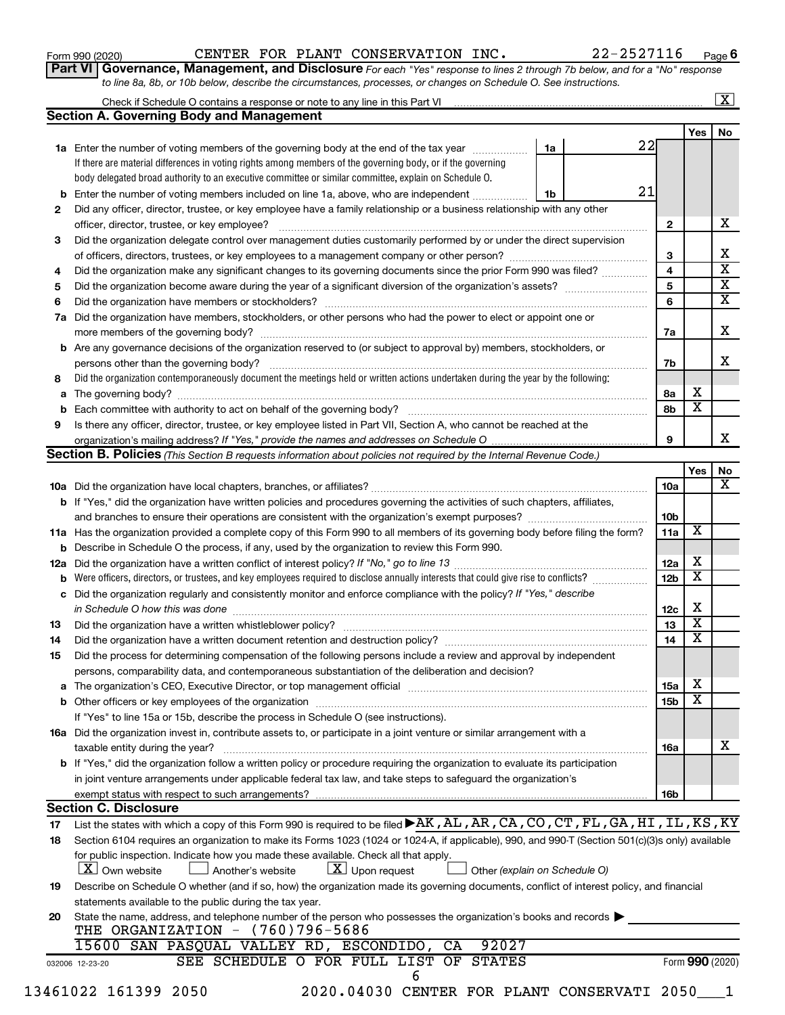**Part VI** Governance, Management, and Disclosure For each "Yes" response to lines 2 through 7b below, and for a "No" response *to line 8a, 8b, or 10b below, describe the circumstances, processes, or changes on Schedule O. See instructions.*

|     | Check if Schedule O contains a response or note to any line in this Part VI [11] [12] [12] Check if Schedule O contains a response or note to any line in this Part VI                                                        |                               |                 |                         | $\mathbf{X}$ |
|-----|-------------------------------------------------------------------------------------------------------------------------------------------------------------------------------------------------------------------------------|-------------------------------|-----------------|-------------------------|--------------|
|     | <b>Section A. Governing Body and Management</b>                                                                                                                                                                               |                               |                 |                         |              |
|     |                                                                                                                                                                                                                               |                               |                 | Yes                     | No           |
|     | 1a Enter the number of voting members of the governing body at the end of the tax year                                                                                                                                        | 22<br>1a                      |                 |                         |              |
|     | If there are material differences in voting rights among members of the governing body, or if the governing                                                                                                                   |                               |                 |                         |              |
|     | body delegated broad authority to an executive committee or similar committee, explain on Schedule O.                                                                                                                         |                               |                 |                         |              |
| b   | Enter the number of voting members included on line 1a, above, who are independent                                                                                                                                            | 21<br>1b                      |                 |                         |              |
| 2   | Did any officer, director, trustee, or key employee have a family relationship or a business relationship with any other                                                                                                      |                               |                 |                         |              |
|     | officer, director, trustee, or key employee?                                                                                                                                                                                  |                               | 2               |                         |              |
| 3   | Did the organization delegate control over management duties customarily performed by or under the direct supervision                                                                                                         |                               |                 |                         |              |
|     |                                                                                                                                                                                                                               |                               | 3               |                         |              |
| 4   | Did the organization make any significant changes to its governing documents since the prior Form 990 was filed?                                                                                                              |                               | 4               |                         |              |
| 5   |                                                                                                                                                                                                                               |                               | 5               |                         |              |
| 6   |                                                                                                                                                                                                                               |                               | 6               |                         |              |
| 7a  | Did the organization have members, stockholders, or other persons who had the power to elect or appoint one or                                                                                                                |                               |                 |                         |              |
|     |                                                                                                                                                                                                                               |                               | 7a              |                         |              |
| b   | Are any governance decisions of the organization reserved to (or subject to approval by) members, stockholders, or                                                                                                            |                               |                 |                         |              |
|     |                                                                                                                                                                                                                               |                               | 7b              |                         |              |
| 8   | Did the organization contemporaneously document the meetings held or written actions undertaken during the year by the following:                                                                                             |                               |                 |                         |              |
| а   |                                                                                                                                                                                                                               |                               | 8a              | х                       |              |
|     |                                                                                                                                                                                                                               |                               | 8b              | $\overline{\mathbf{x}}$ |              |
| 9   | Is there any officer, director, trustee, or key employee listed in Part VII, Section A, who cannot be reached at the                                                                                                          |                               |                 |                         |              |
|     |                                                                                                                                                                                                                               |                               | 9               |                         |              |
|     | <b>Section B. Policies</b> (This Section B requests information about policies not required by the Internal Revenue Code.)                                                                                                    |                               |                 |                         |              |
|     |                                                                                                                                                                                                                               |                               |                 | Yes                     |              |
|     |                                                                                                                                                                                                                               |                               | 10a             |                         |              |
|     | <b>b</b> If "Yes," did the organization have written policies and procedures governing the activities of such chapters, affiliates,                                                                                           |                               |                 |                         |              |
|     |                                                                                                                                                                                                                               |                               | 10b             |                         |              |
|     | 11a Has the organization provided a complete copy of this Form 990 to all members of its governing body before filing the form?                                                                                               |                               | 11a             | X                       |              |
|     | Describe in Schedule O the process, if any, used by the organization to review this Form 990.                                                                                                                                 |                               |                 |                         |              |
| 12a |                                                                                                                                                                                                                               |                               | 12a             | х                       |              |
|     | Were officers, directors, or trustees, and key employees required to disclose annually interests that could give rise to conflicts?                                                                                           |                               | 12 <sub>b</sub> | X                       |              |
| с   | Did the organization regularly and consistently monitor and enforce compliance with the policy? If "Yes," describe                                                                                                            |                               |                 |                         |              |
|     | in Schedule O how this was done manufactured and continuum and contact the was done manufactured and contact t                                                                                                                |                               | 12c             | X                       |              |
| 13  |                                                                                                                                                                                                                               |                               | 13              | X                       |              |
| 14  |                                                                                                                                                                                                                               |                               | 14              | X                       |              |
| 15  | Did the process for determining compensation of the following persons include a review and approval by independent                                                                                                            |                               |                 |                         |              |
|     | persons, comparability data, and contemporaneous substantiation of the deliberation and decision?                                                                                                                             |                               |                 |                         |              |
|     |                                                                                                                                                                                                                               |                               |                 | х                       |              |
| а   | The organization's CEO, Executive Director, or top management official [111] [11] manument content of the organization's CEO, Executive Director, or top management official [11] manument content of the organization of the |                               | 15a             | х                       |              |
|     |                                                                                                                                                                                                                               |                               | 15b             |                         |              |
|     | If "Yes" to line 15a or 15b, describe the process in Schedule O (see instructions).                                                                                                                                           |                               |                 |                         |              |
|     | 16a Did the organization invest in, contribute assets to, or participate in a joint venture or similar arrangement with a                                                                                                     |                               |                 |                         |              |
|     | taxable entity during the year?                                                                                                                                                                                               |                               | 16a             |                         |              |
|     | b If "Yes," did the organization follow a written policy or procedure requiring the organization to evaluate its participation                                                                                                |                               |                 |                         |              |
|     | in joint venture arrangements under applicable federal tax law, and take steps to safequard the organization's                                                                                                                |                               |                 |                         |              |
|     | exempt status with respect to such arrangements?                                                                                                                                                                              |                               | 16b             |                         |              |
|     | <b>Section C. Disclosure</b>                                                                                                                                                                                                  |                               |                 |                         |              |
| 17  | List the states with which a copy of this Form 990 is required to be filed $\blacktriangleright$ AK, AL, AR, CA, CO, CT, FL, GA, HI, IL, KS, KY                                                                               |                               |                 |                         |              |
| 18  | Section 6104 requires an organization to make its Forms 1023 (1024 or 1024-A, if applicable), 990, and 990-T (Section 501(c)(3)s only) available                                                                              |                               |                 |                         |              |
|     | for public inspection. Indicate how you made these available. Check all that apply.                                                                                                                                           |                               |                 |                         |              |
|     | $\lfloor x \rfloor$ Upon request<br>  X   Own website<br>Another's website                                                                                                                                                    | Other (explain on Schedule O) |                 |                         |              |
| 19  | Describe on Schedule O whether (and if so, how) the organization made its governing documents, conflict of interest policy, and financial                                                                                     |                               |                 |                         |              |
|     | statements available to the public during the tax year.                                                                                                                                                                       |                               |                 |                         |              |
| 20  | State the name, address, and telephone number of the person who possesses the organization's books and records                                                                                                                |                               |                 |                         |              |
|     | THE ORGANIZATION - (760)796-5686                                                                                                                                                                                              |                               |                 |                         |              |
|     | 92027<br>15600 SAN PASQUAL VALLEY RD, ESCONDIDO, CA                                                                                                                                                                           |                               |                 |                         |              |
|     | SEE SCHEDULE O FOR FULL LIST OF STATES<br>032006 12-23-20                                                                                                                                                                     |                               |                 | Form 990 (2020)         |              |
|     | 6                                                                                                                                                                                                                             |                               |                 |                         |              |
|     | 13461022 161399 2050<br>2020.04030 CENTER FOR PLANT CONSERVATI 2050                                                                                                                                                           |                               |                 |                         |              |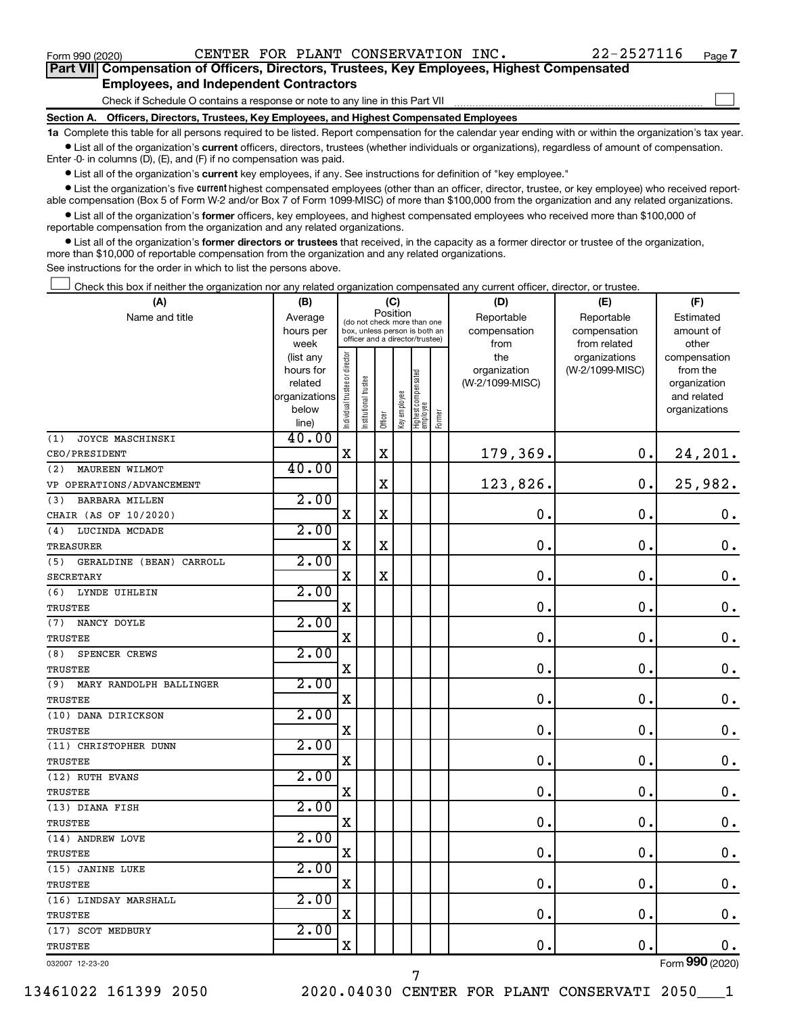$\Box$ 

| Part VII Compensation of Officers, Directors, Trustees, Key Employees, Highest Compensated |  |  |
|--------------------------------------------------------------------------------------------|--|--|
| <b>Employees, and Independent Contractors</b>                                              |  |  |

Check if Schedule O contains a response or note to any line in this Part VII

**Section A. Officers, Directors, Trustees, Key Employees, and Highest Compensated Employees**

**1a**  Complete this table for all persons required to be listed. Report compensation for the calendar year ending with or within the organization's tax year.  $\bullet$  List all of the organization's current officers, directors, trustees (whether individuals or organizations), regardless of amount of compensation.

Enter -0- in columns (D), (E), and (F) if no compensation was paid.

**•** List all of the organization's current key employees, if any. See instructions for definition of "key employee."

• List the organization's five *current* highest compensated employees (other than an officer, director, trustee, or key employee) who received reportable compensation (Box 5 of Form W-2 and/or Box 7 of Form 1099-MISC) of more than \$100,000 from the organization and any related organizations.

 $\bullet$  List all of the organization's former officers, key employees, and highest compensated employees who received more than \$100,000 of reportable compensation from the organization and any related organizations.

**•** List all of the organization's former directors or trustees that received, in the capacity as a former director or trustee of the organization, more than \$10,000 of reportable compensation from the organization and any related organizations.

See instructions for the order in which to list the persons above.

Check this box if neither the organization nor any related organization compensated any current officer, director, or trustee.  $\Box$ 

| (A)                             | (B)                    |                                         |                 | (C)         |                                                                  |                                 |        | (D)             | (E)             | (F)                          |
|---------------------------------|------------------------|-----------------------------------------|-----------------|-------------|------------------------------------------------------------------|---------------------------------|--------|-----------------|-----------------|------------------------------|
| Name and title                  | Average                | Position<br>(do not check more than one |                 |             |                                                                  |                                 |        | Reportable      | Reportable      | Estimated                    |
|                                 | hours per              |                                         |                 |             | box, unless person is both an<br>officer and a director/trustee) |                                 |        | compensation    | compensation    | amount of                    |
|                                 | week                   |                                         |                 |             |                                                                  |                                 |        | from            | from related    | other                        |
|                                 | (list any              |                                         |                 |             |                                                                  |                                 |        | the             | organizations   | compensation                 |
|                                 | hours for              |                                         |                 |             |                                                                  |                                 |        | organization    | (W-2/1099-MISC) | from the                     |
|                                 | related                |                                         | trustee         |             |                                                                  |                                 |        | (W-2/1099-MISC) |                 | organization                 |
|                                 | organizations<br>below |                                         |                 |             |                                                                  |                                 |        |                 |                 | and related<br>organizations |
|                                 | line)                  | ndividual trustee or director           | Institutional t | Officer     | Key employee                                                     | Highest compensated<br>employee | Former |                 |                 |                              |
| JOYCE MASCHINSKI<br>(1)         | 40.00                  |                                         |                 |             |                                                                  |                                 |        |                 |                 |                              |
| CEO/PRESIDENT                   |                        | $\mathbf X$                             |                 | $\mathbf X$ |                                                                  |                                 |        | 179,369.        | $\mathbf 0$ .   | 24,201.                      |
| MAUREEN WILMOT<br>(2)           | 40.00                  |                                         |                 |             |                                                                  |                                 |        |                 |                 |                              |
| VP OPERATIONS/ADVANCEMENT       |                        |                                         |                 | $\mathbf X$ |                                                                  |                                 |        | 123,826.        | $\mathbf 0$ .   | 25,982.                      |
| BARBARA MILLEN<br>(3)           | 2.00                   |                                         |                 |             |                                                                  |                                 |        |                 |                 |                              |
| CHAIR (AS OF 10/2020)           |                        | $\mathbf X$                             |                 | X           |                                                                  |                                 |        | $\mathbf 0$ .   | $\mathbf 0$ .   | 0.                           |
| LUCINDA MCDADE<br>(4)           | 2.00                   |                                         |                 |             |                                                                  |                                 |        |                 |                 |                              |
| <b>TREASURER</b>                |                        | $\mathbf X$                             |                 | $\mathbf X$ |                                                                  |                                 |        | 0.              | $\mathbf 0$ .   | $\mathbf 0$ .                |
| (5)<br>GERALDINE (BEAN) CARROLL | 2.00                   |                                         |                 |             |                                                                  |                                 |        |                 |                 |                              |
| SECRETARY                       |                        | X                                       |                 | X           |                                                                  |                                 |        | 0.              | $\mathbf 0$ .   | $\mathbf 0$ .                |
| LYNDE UIHLEIN<br>(6)            | 2.00                   |                                         |                 |             |                                                                  |                                 |        |                 |                 |                              |
| <b>TRUSTEE</b>                  |                        | X                                       |                 |             |                                                                  |                                 |        | $\mathbf 0$     | $\mathbf 0$     | $\mathbf 0$ .                |
| NANCY DOYLE<br>(7)              | 2.00                   |                                         |                 |             |                                                                  |                                 |        |                 |                 |                              |
| TRUSTEE                         |                        | $\mathbf X$                             |                 |             |                                                                  |                                 |        | 0.              | $\mathbf 0$ .   | $\mathbf 0$ .                |
| (8)<br>SPENCER CREWS            | 2.00                   |                                         |                 |             |                                                                  |                                 |        |                 |                 |                              |
| TRUSTEE                         |                        | $\mathbf X$                             |                 |             |                                                                  |                                 |        | $\mathbf 0$ .   | $\mathbf 0$ .   | $\mathbf 0$ .                |
| (9)<br>MARY RANDOLPH BALLINGER  | 2.00                   |                                         |                 |             |                                                                  |                                 |        |                 |                 |                              |
| TRUSTEE                         |                        | $\mathbf X$                             |                 |             |                                                                  |                                 |        | $\mathbf 0$ .   | $\mathbf 0$ .   | $\mathbf 0$ .                |
| (10) DANA DIRICKSON             | 2.00                   |                                         |                 |             |                                                                  |                                 |        |                 |                 |                              |
| <b>TRUSTEE</b>                  |                        | $\mathbf X$                             |                 |             |                                                                  |                                 |        | 0.              | $\mathbf 0$ .   | $\mathbf 0$ .                |
| (11) CHRISTOPHER DUNN           | 2.00                   |                                         |                 |             |                                                                  |                                 |        |                 |                 |                              |
| TRUSTEE                         |                        | $\overline{\mathbf{X}}$                 |                 |             |                                                                  |                                 |        | $\mathbf 0$ .   | $\mathbf 0$ .   | $\mathbf 0$ .                |
| (12) RUTH EVANS                 | 2.00                   |                                         |                 |             |                                                                  |                                 |        |                 |                 |                              |
| TRUSTEE                         |                        | $\mathbf X$                             |                 |             |                                                                  |                                 |        | $\mathbf 0$ .   | $\mathbf 0$ .   | $\mathbf 0$ .                |
| (13) DIANA FISH                 | 2.00                   |                                         |                 |             |                                                                  |                                 |        |                 |                 |                              |
| <b>TRUSTEE</b>                  |                        | $\mathbf X$                             |                 |             |                                                                  |                                 |        | 0.              | $\mathbf 0$ .   | $\mathbf 0$ .                |
| (14) ANDREW LOVE                | 2.00                   |                                         |                 |             |                                                                  |                                 |        |                 |                 |                              |
| <b>TRUSTEE</b>                  |                        | X                                       |                 |             |                                                                  |                                 |        | $\mathbf 0$ .   | $\mathbf 0$ .   | 0.                           |
| (15) JANINE LUKE                | 2.00                   |                                         |                 |             |                                                                  |                                 |        |                 |                 |                              |
| TRUSTEE                         |                        | $\mathbf x$                             |                 |             |                                                                  |                                 |        | $\mathbf 0$ .   | $\mathbf 0$ .   | $\mathbf 0$ .                |
| (16) LINDSAY MARSHALL           | 2.00                   |                                         |                 |             |                                                                  |                                 |        |                 |                 |                              |
| TRUSTEE                         |                        | X                                       |                 |             |                                                                  |                                 |        | $\mathbf 0$     | $\mathbf 0$     | $\boldsymbol{0}$ .           |
| (17) SCOT MEDBURY               | 2.00                   |                                         |                 |             |                                                                  |                                 |        |                 |                 |                              |
| TRUSTEE                         |                        | $\mathbf X$                             |                 |             |                                                                  |                                 |        | 0.              | $\mathbf 0$ .   | $\mathbf 0$ .                |
| 032007 12-23-20                 |                        |                                         |                 |             |                                                                  |                                 |        |                 |                 | Form 990 (2020)              |

7

Form (2020) **990**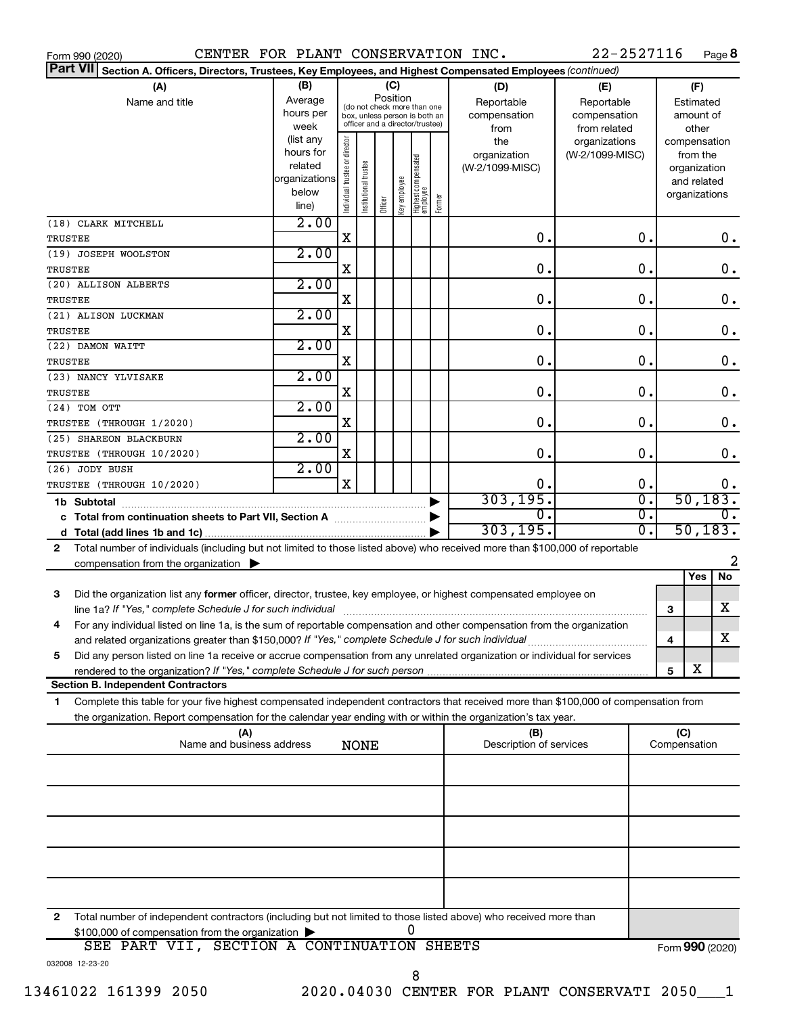| Form 990 (2020)                                                                                                                                             |     |                        |                    |                                 |          |              |                                  |        | CENTER FOR PLANT CONSERVATION INC. | 22-2527116                  |   |                             | Page 8          |
|-------------------------------------------------------------------------------------------------------------------------------------------------------------|-----|------------------------|--------------------|---------------------------------|----------|--------------|----------------------------------|--------|------------------------------------|-----------------------------|---|-----------------------------|-----------------|
| <b>Part VII</b><br>Section A. Officers, Directors, Trustees, Key Employees, and Highest Compensated Employees (continued)                                   |     |                        |                    |                                 |          |              |                                  |        |                                    |                             |   |                             |                 |
| (A)                                                                                                                                                         |     | (B)                    |                    |                                 | (C)      |              |                                  |        | (D)                                | (E)                         |   | (F)                         |                 |
| Name and title                                                                                                                                              |     | Average                |                    | (do not check more than one     | Position |              |                                  |        | Reportable                         | Reportable                  |   | Estimated                   |                 |
|                                                                                                                                                             |     | hours per              |                    | box, unless person is both an   |          |              |                                  |        | compensation                       | compensation                |   | amount of                   |                 |
|                                                                                                                                                             |     | week                   |                    | officer and a director/trustee) |          |              |                                  |        | from                               | from related                |   | other                       |                 |
|                                                                                                                                                             |     | (list any<br>hours for | director           |                                 |          |              |                                  |        | the                                | organizations               |   |                             | compensation    |
|                                                                                                                                                             |     | related                | ă                  |                                 |          |              |                                  |        | organization                       | (W-2/1099-MISC)             |   | from the                    |                 |
|                                                                                                                                                             |     | organizations          |                    |                                 |          |              |                                  |        | (W-2/1099-MISC)                    |                             |   | organization<br>and related |                 |
|                                                                                                                                                             |     | below                  |                    |                                 |          |              |                                  |        |                                    |                             |   |                             | organizations   |
|                                                                                                                                                             |     | line)                  | Individual trustee | Institutional trustee           | Officer  | Key employee | Highest compensated<br> employee | Former |                                    |                             |   |                             |                 |
| (18) CLARK MITCHELL                                                                                                                                         |     | 2.00                   |                    |                                 |          |              |                                  |        |                                    |                             |   |                             |                 |
| TRUSTEE                                                                                                                                                     |     |                        | X                  |                                 |          |              |                                  |        | 0.                                 | 0.                          |   |                             | 0.              |
| (19) JOSEPH WOOLSTON                                                                                                                                        |     | 2.00                   |                    |                                 |          |              |                                  |        |                                    |                             |   |                             |                 |
| TRUSTEE                                                                                                                                                     |     |                        | X                  |                                 |          |              |                                  |        | 0.                                 | $\mathbf 0$ .               |   |                             | $\mathbf 0$ .   |
| (20) ALLISON ALBERTS                                                                                                                                        |     | 2.00                   |                    |                                 |          |              |                                  |        |                                    |                             |   |                             |                 |
| <b>TRUSTEE</b>                                                                                                                                              |     |                        | X                  |                                 |          |              |                                  |        | 0.                                 | 0.                          |   |                             | $\mathbf 0$ .   |
| (21) ALISON LUCKMAN                                                                                                                                         |     | 2.00                   |                    |                                 |          |              |                                  |        |                                    |                             |   |                             |                 |
| TRUSTEE                                                                                                                                                     |     |                        | X                  |                                 |          |              |                                  |        | 0.                                 | 0.                          |   |                             | $\mathbf 0$ .   |
| (22) DAMON WAITT                                                                                                                                            |     | 2.00                   |                    |                                 |          |              |                                  |        | 0.                                 |                             |   |                             |                 |
| <b>TRUSTEE</b>                                                                                                                                              |     | 2.00                   | X                  |                                 |          |              |                                  |        |                                    | 0.                          |   |                             | $\mathbf 0$ .   |
| (23) NANCY YLVISAKE<br><b>TRUSTEE</b>                                                                                                                       |     |                        | X                  |                                 |          |              |                                  |        | 0.                                 | 0.                          |   |                             | 0.              |
| (24) TOM OTT                                                                                                                                                |     | 2.00                   |                    |                                 |          |              |                                  |        |                                    |                             |   |                             |                 |
| TRUSTEE (THROUGH 1/2020)                                                                                                                                    |     |                        | X                  |                                 |          |              |                                  |        | 0.                                 | 0.                          |   |                             | 0.              |
| (25) SHAREON BLACKBURN                                                                                                                                      |     | 2.00                   |                    |                                 |          |              |                                  |        |                                    |                             |   |                             |                 |
| TRUSTEE (THROUGH 10/2020)                                                                                                                                   |     |                        | X                  |                                 |          |              |                                  |        | 0.                                 | $\mathbf 0$ .               |   |                             | 0.              |
| (26) JODY BUSH                                                                                                                                              |     | 2.00                   |                    |                                 |          |              |                                  |        |                                    |                             |   |                             |                 |
| TRUSTEE (THROUGH 10/2020)                                                                                                                                   |     |                        | X                  |                                 |          |              |                                  |        | 0.                                 | 0.                          |   |                             | $0$ .           |
| 1b Subtotal                                                                                                                                                 |     |                        |                    |                                 |          |              |                                  |        | 303, 195.                          | $\overline{\mathfrak{o}}$ . |   |                             | 50, 183.        |
|                                                                                                                                                             |     |                        |                    |                                 |          |              |                                  |        | 0.                                 | $\overline{\mathfrak{o}}$ . |   |                             |                 |
|                                                                                                                                                             |     |                        |                    |                                 |          |              |                                  |        | 303, 195.                          | σ.                          |   |                             | 50, 183.        |
| Total number of individuals (including but not limited to those listed above) who received more than \$100,000 of reportable<br>2                           |     |                        |                    |                                 |          |              |                                  |        |                                    |                             |   |                             |                 |
| compensation from the organization                                                                                                                          |     |                        |                    |                                 |          |              |                                  |        |                                    |                             |   |                             | 2               |
|                                                                                                                                                             |     |                        |                    |                                 |          |              |                                  |        |                                    |                             |   | Yes                         | <b>No</b>       |
| З<br>Did the organization list any former officer, director, trustee, key employee, or highest compensated employee on                                      |     |                        |                    |                                 |          |              |                                  |        |                                    |                             |   |                             |                 |
| line 1a? If "Yes," complete Schedule J for such individual manufacture content to the settlement of the schedu                                              |     |                        |                    |                                 |          |              |                                  |        |                                    |                             | 3 |                             | X               |
| For any individual listed on line 1a, is the sum of reportable compensation and other compensation from the organization                                    |     |                        |                    |                                 |          |              |                                  |        |                                    |                             |   |                             | х               |
| and related organizations greater than \$150,000? If "Yes," complete Schedule J for such individual                                                         |     |                        |                    |                                 |          |              |                                  |        |                                    |                             | 4 |                             |                 |
| Did any person listed on line 1a receive or accrue compensation from any unrelated organization or individual for services<br>5                             |     |                        |                    |                                 |          |              |                                  |        |                                    |                             | 5 | х                           |                 |
| rendered to the organization? If "Yes," complete Schedule J for such person manufaction contains and contained<br><b>Section B. Independent Contractors</b> |     |                        |                    |                                 |          |              |                                  |        |                                    |                             |   |                             |                 |
| Complete this table for your five highest compensated independent contractors that received more than \$100,000 of compensation from<br>1                   |     |                        |                    |                                 |          |              |                                  |        |                                    |                             |   |                             |                 |
| the organization. Report compensation for the calendar year ending with or within the organization's tax year.                                              |     |                        |                    |                                 |          |              |                                  |        |                                    |                             |   |                             |                 |
|                                                                                                                                                             | (A) |                        |                    |                                 |          |              |                                  |        | (B)                                |                             |   | (C)                         |                 |
| Name and business address                                                                                                                                   |     |                        |                    | <b>NONE</b>                     |          |              |                                  |        | Description of services            |                             |   | Compensation                |                 |
|                                                                                                                                                             |     |                        |                    |                                 |          |              |                                  |        |                                    |                             |   |                             |                 |
|                                                                                                                                                             |     |                        |                    |                                 |          |              |                                  |        |                                    |                             |   |                             |                 |
|                                                                                                                                                             |     |                        |                    |                                 |          |              |                                  |        |                                    |                             |   |                             |                 |
|                                                                                                                                                             |     |                        |                    |                                 |          |              |                                  |        |                                    |                             |   |                             |                 |
|                                                                                                                                                             |     |                        |                    |                                 |          |              |                                  |        |                                    |                             |   |                             |                 |
|                                                                                                                                                             |     |                        |                    |                                 |          |              |                                  |        |                                    |                             |   |                             |                 |
|                                                                                                                                                             |     |                        |                    |                                 |          |              |                                  |        |                                    |                             |   |                             |                 |
|                                                                                                                                                             |     |                        |                    |                                 |          |              |                                  |        |                                    |                             |   |                             |                 |
| Total number of independent contractors (including but not limited to those listed above) who received more than                                            |     |                        |                    |                                 |          |              |                                  |        |                                    |                             |   |                             |                 |
| 2<br>\$100,000 of compensation from the organization                                                                                                        |     |                        |                    |                                 |          |              | 0                                |        |                                    |                             |   |                             |                 |
| SEE PART VII, SECTION A CONTINUATION SHEETS                                                                                                                 |     |                        |                    |                                 |          |              |                                  |        |                                    |                             |   |                             | Form 990 (2020) |
|                                                                                                                                                             |     |                        |                    |                                 |          |              |                                  |        |                                    |                             |   |                             |                 |

| 032008 12-23-20 |
|-----------------|
|                 |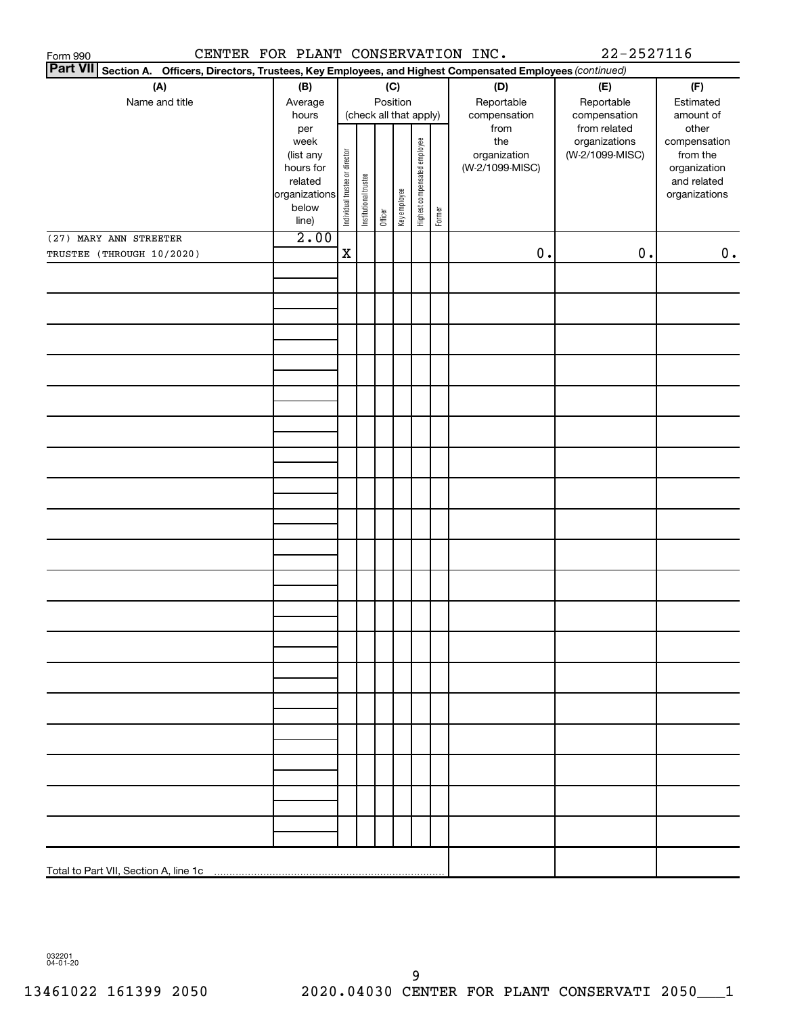| CENTER FOR PLANT CONSERVATION INC.<br>Form 990                                                                  |                |                                |                       |         |                        |                              |        |                 | 22-2527116                    |                       |
|-----------------------------------------------------------------------------------------------------------------|----------------|--------------------------------|-----------------------|---------|------------------------|------------------------------|--------|-----------------|-------------------------------|-----------------------|
| Part VII Section A. Officers, Directors, Trustees, Key Employees, and Highest Compensated Employees (continued) |                |                                |                       |         |                        |                              |        |                 |                               |                       |
| (A)                                                                                                             | (B)            |                                |                       |         | (C)                    |                              |        | (D)             | (E)                           | (F)                   |
| Name and title                                                                                                  | Average        |                                |                       |         | Position               |                              |        | Reportable      | Reportable                    | Estimated             |
|                                                                                                                 | hours          |                                |                       |         | (check all that apply) |                              |        | compensation    | compensation                  | amount of             |
|                                                                                                                 | per<br>week    |                                |                       |         |                        |                              |        | from<br>the     | from related<br>organizations | other<br>compensation |
|                                                                                                                 | (list any      |                                |                       |         |                        |                              |        | organization    | (W-2/1099-MISC)               | from the              |
|                                                                                                                 | hours for      |                                |                       |         |                        |                              |        | (W-2/1099-MISC) |                               | organization          |
|                                                                                                                 | related        |                                |                       |         |                        |                              |        |                 |                               | and related           |
|                                                                                                                 | organizations  |                                |                       |         |                        |                              |        |                 |                               | organizations         |
|                                                                                                                 | below<br>line) | Individual trustee or director | Institutional trustee | Officer | Key employee           | Highest compensated employee | Former |                 |                               |                       |
| (27) MARY ANN STREETER                                                                                          | 2.00           |                                |                       |         |                        |                              |        |                 |                               |                       |
| TRUSTEE (THROUGH 10/2020)                                                                                       |                | $\mathbf X$                    |                       |         |                        |                              |        | 0.              | 0.                            | 0.                    |
|                                                                                                                 |                |                                |                       |         |                        |                              |        |                 |                               |                       |
|                                                                                                                 |                |                                |                       |         |                        |                              |        |                 |                               |                       |
|                                                                                                                 |                |                                |                       |         |                        |                              |        |                 |                               |                       |
|                                                                                                                 |                |                                |                       |         |                        |                              |        |                 |                               |                       |
|                                                                                                                 |                |                                |                       |         |                        |                              |        |                 |                               |                       |
|                                                                                                                 |                |                                |                       |         |                        |                              |        |                 |                               |                       |
|                                                                                                                 |                |                                |                       |         |                        |                              |        |                 |                               |                       |
|                                                                                                                 |                |                                |                       |         |                        |                              |        |                 |                               |                       |
|                                                                                                                 |                |                                |                       |         |                        |                              |        |                 |                               |                       |
|                                                                                                                 |                |                                |                       |         |                        |                              |        |                 |                               |                       |
|                                                                                                                 |                |                                |                       |         |                        |                              |        |                 |                               |                       |
|                                                                                                                 |                |                                |                       |         |                        |                              |        |                 |                               |                       |
|                                                                                                                 |                |                                |                       |         |                        |                              |        |                 |                               |                       |
|                                                                                                                 |                |                                |                       |         |                        |                              |        |                 |                               |                       |
|                                                                                                                 |                |                                |                       |         |                        |                              |        |                 |                               |                       |
|                                                                                                                 |                |                                |                       |         |                        |                              |        |                 |                               |                       |
|                                                                                                                 |                |                                |                       |         |                        |                              |        |                 |                               |                       |
|                                                                                                                 |                |                                |                       |         |                        |                              |        |                 |                               |                       |
|                                                                                                                 |                |                                |                       |         |                        |                              |        |                 |                               |                       |
|                                                                                                                 |                |                                |                       |         |                        |                              |        |                 |                               |                       |
|                                                                                                                 |                |                                |                       |         |                        |                              |        |                 |                               |                       |
|                                                                                                                 |                |                                |                       |         |                        |                              |        |                 |                               |                       |
|                                                                                                                 |                |                                |                       |         |                        |                              |        |                 |                               |                       |
|                                                                                                                 |                |                                |                       |         |                        |                              |        |                 |                               |                       |
|                                                                                                                 |                |                                |                       |         |                        |                              |        |                 |                               |                       |
|                                                                                                                 |                |                                |                       |         |                        |                              |        |                 |                               |                       |
|                                                                                                                 |                |                                |                       |         |                        |                              |        |                 |                               |                       |
|                                                                                                                 |                |                                |                       |         |                        |                              |        |                 |                               |                       |
|                                                                                                                 |                |                                |                       |         |                        |                              |        |                 |                               |                       |
|                                                                                                                 |                |                                |                       |         |                        |                              |        |                 |                               |                       |
|                                                                                                                 |                |                                |                       |         |                        |                              |        |                 |                               |                       |
|                                                                                                                 |                |                                |                       |         |                        |                              |        |                 |                               |                       |
|                                                                                                                 |                |                                |                       |         |                        |                              |        |                 |                               |                       |
|                                                                                                                 |                |                                |                       |         |                        |                              |        |                 |                               |                       |
|                                                                                                                 |                |                                |                       |         |                        |                              |        |                 |                               |                       |
|                                                                                                                 |                |                                |                       |         |                        |                              |        |                 |                               |                       |
|                                                                                                                 |                |                                |                       |         |                        |                              |        |                 |                               |                       |

032201 04-01-20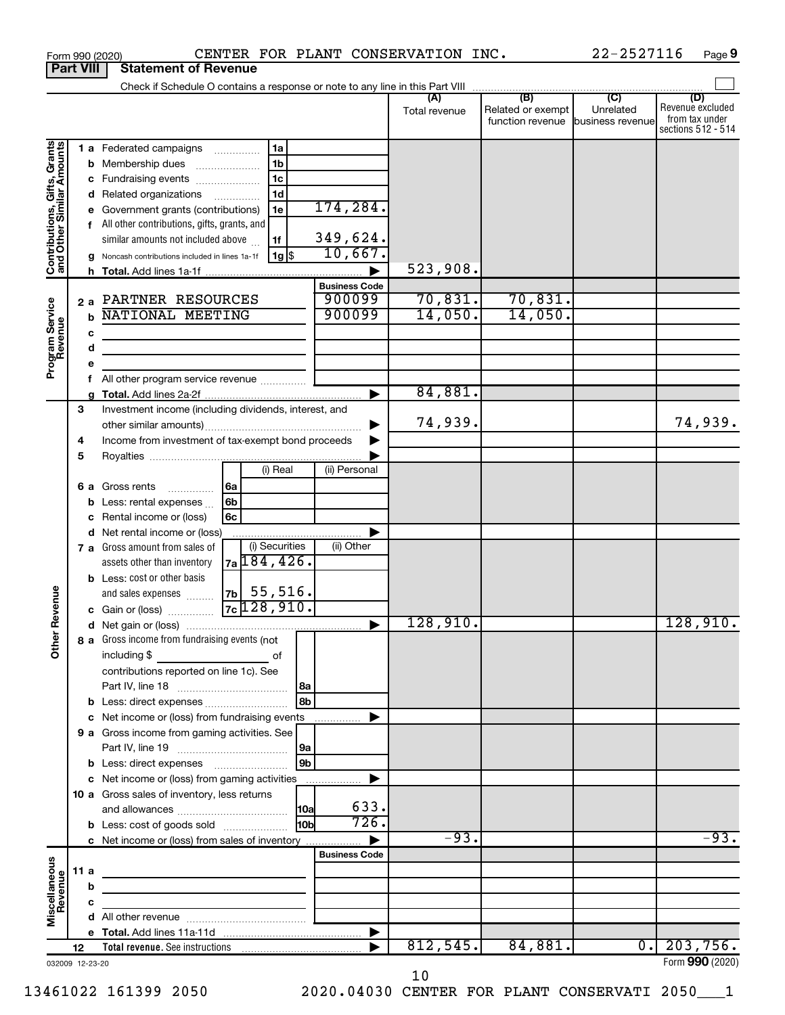| Form 990 (2020)                                           |                  |             |                                                                               |                      |                           |                 |                      | CENTER FOR PLANT CONSERVATION INC. |                                                     | 22-2527116                                     | Page 9                                                          |
|-----------------------------------------------------------|------------------|-------------|-------------------------------------------------------------------------------|----------------------|---------------------------|-----------------|----------------------|------------------------------------|-----------------------------------------------------|------------------------------------------------|-----------------------------------------------------------------|
|                                                           | <b>Part VIII</b> |             | <b>Statement of Revenue</b>                                                   |                      |                           |                 |                      |                                    |                                                     |                                                |                                                                 |
|                                                           |                  |             | Check if Schedule O contains a response or note to any line in this Part VIII |                      |                           |                 |                      |                                    | $\overline{(\mathsf{B})}$ $\overline{(\mathsf{C})}$ |                                                |                                                                 |
|                                                           |                  |             |                                                                               |                      |                           |                 |                      | Total revenue                      | Related or exempt                                   | Unrelated<br>function revenue business revenue | (D)<br>Revenue excluded<br>from tax under<br>sections 512 - 514 |
|                                                           |                  |             | 1 a Federated campaigns                                                       |                      | 1a                        |                 |                      |                                    |                                                     |                                                |                                                                 |
|                                                           |                  | b           | Membership dues                                                               |                      | 1 <sub>b</sub>            |                 |                      |                                    |                                                     |                                                |                                                                 |
|                                                           |                  | с           | Fundraising events                                                            |                      | 1 <sub>c</sub>            |                 |                      |                                    |                                                     |                                                |                                                                 |
|                                                           |                  | d           | Related organizations                                                         | .                    | 1 <sub>d</sub>            |                 |                      |                                    |                                                     |                                                |                                                                 |
|                                                           |                  |             | Government grants (contributions)                                             |                      | 1e                        |                 | 174,284.             |                                    |                                                     |                                                |                                                                 |
|                                                           |                  | f           | All other contributions, gifts, grants, and                                   |                      |                           |                 |                      |                                    |                                                     |                                                |                                                                 |
| Contributions, Gifts, Grants<br>and Other Similar Amounts |                  |             | similar amounts not included above                                            |                      | 1f                        |                 | 349,624.<br>10,667.  |                                    |                                                     |                                                |                                                                 |
|                                                           |                  |             | Noncash contributions included in lines 1a-1f                                 |                      | $1g$ \$                   |                 |                      | 523,908.                           |                                                     |                                                |                                                                 |
|                                                           |                  | h.          |                                                                               |                      |                           |                 | <b>Business Code</b> |                                    |                                                     |                                                |                                                                 |
|                                                           | 2a               |             | PARTNER RESOURCES                                                             |                      |                           |                 | 900099               | 70,831.                            | 70,831.                                             |                                                |                                                                 |
|                                                           |                  | $\mathbf b$ | NATIONAL MEETING                                                              |                      |                           |                 | 900099               | 14,050.                            | 14,050.                                             |                                                |                                                                 |
|                                                           |                  | c           |                                                                               |                      |                           |                 |                      |                                    |                                                     |                                                |                                                                 |
|                                                           |                  | d           | <u> 1989 - Johann Barbara, martin a</u>                                       |                      |                           |                 |                      |                                    |                                                     |                                                |                                                                 |
| Program Service<br>Revenue                                |                  | е           |                                                                               |                      |                           |                 |                      |                                    |                                                     |                                                |                                                                 |
|                                                           |                  | f           |                                                                               |                      |                           |                 |                      |                                    |                                                     |                                                |                                                                 |
|                                                           |                  |             |                                                                               |                      |                           |                 | ►                    | 84,881.                            |                                                     |                                                |                                                                 |
|                                                           | 3                |             | Investment income (including dividends, interest, and                         |                      |                           |                 |                      |                                    |                                                     |                                                |                                                                 |
|                                                           |                  |             |                                                                               |                      |                           |                 |                      | 74,939.                            |                                                     |                                                | 74,939.                                                         |
|                                                           | 4                |             | Income from investment of tax-exempt bond proceeds                            |                      |                           |                 |                      |                                    |                                                     |                                                |                                                                 |
|                                                           | 5                |             |                                                                               |                      |                           |                 |                      |                                    |                                                     |                                                |                                                                 |
|                                                           |                  |             |                                                                               |                      | (i) Real                  |                 | (ii) Personal        |                                    |                                                     |                                                |                                                                 |
|                                                           |                  |             | 6 a Gross rents                                                               | l 6a                 |                           |                 |                      |                                    |                                                     |                                                |                                                                 |
|                                                           |                  | b           | Less: rental expenses                                                         | 6 <sub>b</sub><br>6c |                           |                 |                      |                                    |                                                     |                                                |                                                                 |
|                                                           |                  | с           | Rental income or (loss)<br>d Net rental income or (loss)                      |                      |                           |                 |                      |                                    |                                                     |                                                |                                                                 |
|                                                           |                  |             | 7 a Gross amount from sales of                                                |                      | (i) Securities            |                 | (ii) Other           |                                    |                                                     |                                                |                                                                 |
|                                                           |                  |             | assets other than inventory                                                   |                      | 7a 184, 426.              |                 |                      |                                    |                                                     |                                                |                                                                 |
|                                                           |                  |             | <b>b</b> Less: cost or other basis                                            |                      |                           |                 |                      |                                    |                                                     |                                                |                                                                 |
|                                                           |                  |             | and sales expenses                                                            |                      | 7 <sub>b</sub>   55, 516. |                 |                      |                                    |                                                     |                                                |                                                                 |
| evenue                                                    |                  |             | c Gain or (loss)                                                              |                      | $7c$ 128, 910.            |                 |                      |                                    |                                                     |                                                |                                                                 |
| Œ                                                         |                  |             |                                                                               |                      |                           |                 |                      | 128,910.                           |                                                     |                                                | 128,910.                                                        |
| Other                                                     |                  |             | 8 a Gross income from fundraising events (not                                 |                      |                           |                 |                      |                                    |                                                     |                                                |                                                                 |
|                                                           |                  |             | including $$$                                                                 |                      | of                        |                 |                      |                                    |                                                     |                                                |                                                                 |
|                                                           |                  |             | contributions reported on line 1c). See                                       |                      |                           |                 |                      |                                    |                                                     |                                                |                                                                 |
|                                                           |                  |             |                                                                               |                      |                           | l8a             |                      |                                    |                                                     |                                                |                                                                 |
|                                                           |                  |             | <b>b</b> Less: direct expenses                                                |                      |                           | 8b              |                      |                                    |                                                     |                                                |                                                                 |
|                                                           |                  |             |                                                                               |                      |                           |                 |                      |                                    |                                                     |                                                |                                                                 |
|                                                           |                  |             | 9 a Gross income from gaming activities. See                                  |                      |                           |                 |                      |                                    |                                                     |                                                |                                                                 |
|                                                           |                  |             |                                                                               |                      |                           | 9a<br>l 9b      |                      |                                    |                                                     |                                                |                                                                 |
|                                                           |                  |             | c Net income or (loss) from gaming activities                                 |                      |                           |                 |                      |                                    |                                                     |                                                |                                                                 |
|                                                           |                  |             | 10 a Gross sales of inventory, less returns                                   |                      |                           |                 |                      |                                    |                                                     |                                                |                                                                 |
|                                                           |                  |             |                                                                               |                      |                           |                 | 633.                 |                                    |                                                     |                                                |                                                                 |
|                                                           |                  |             | <b>b</b> Less: cost of goods sold                                             |                      |                           | H <sub>0b</sub> | 726.                 |                                    |                                                     |                                                |                                                                 |
|                                                           |                  |             |                                                                               |                      |                           |                 |                      | $-93.$                             |                                                     |                                                | $-93.$                                                          |
|                                                           |                  |             |                                                                               |                      |                           |                 | <b>Business Code</b> |                                    |                                                     |                                                |                                                                 |
|                                                           | 11 a             |             | the control of the control of the control of the control of the control of    |                      |                           |                 |                      |                                    |                                                     |                                                |                                                                 |
|                                                           |                  | b           | <u> 1980 - Johann Barbara, martxa alemaniar a</u>                             |                      |                           |                 |                      |                                    |                                                     |                                                |                                                                 |
| Miscellaneous<br>Revenue                                  |                  | c           | the control of the control of the control of the control of the control of    |                      |                           |                 |                      |                                    |                                                     |                                                |                                                                 |
|                                                           |                  |             |                                                                               |                      |                           |                 |                      |                                    |                                                     |                                                |                                                                 |
|                                                           |                  |             |                                                                               |                      |                           |                 |                      | 812,545.                           | 84,881.                                             |                                                | 0.203,756.                                                      |
|                                                           | 12               |             |                                                                               |                      |                           |                 |                      |                                    |                                                     |                                                |                                                                 |

032009 12-23-20

Form (2020) **990**

**9**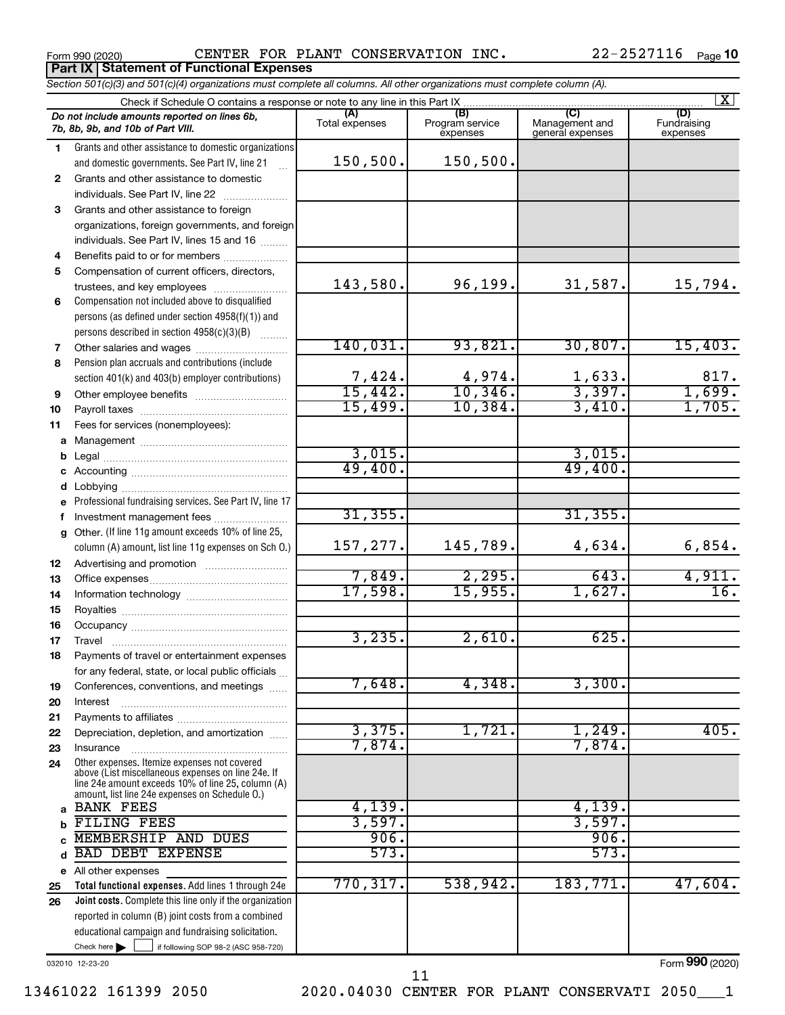Form 990 (2020)  $\begin{array}{cccc} \text{CENTER} & \text{FOR} & \text{PLANT} & \text{CONSERVATION} & \text{INC.} \end{array}$  22-2527116  $_{\text{Page}}$ 

|                | Section 501(c)(3) and 501(c)(4) organizations must complete all columns. All other organizations must complete column (A).                                                                                 |                        |                                    |                                           |                                |
|----------------|------------------------------------------------------------------------------------------------------------------------------------------------------------------------------------------------------------|------------------------|------------------------------------|-------------------------------------------|--------------------------------|
|                | Check if Schedule O contains a response or note to any line in this Part IX                                                                                                                                |                        |                                    |                                           | X                              |
|                | Do not include amounts reported on lines 6b,<br>7b, 8b, 9b, and 10b of Part VIII.                                                                                                                          | (A)<br>Total expenses  | (B)<br>Program service<br>expenses | (C)<br>Management and<br>general expenses | (D)<br>Fundraising<br>expenses |
| $\mathbf 1$    | Grants and other assistance to domestic organizations                                                                                                                                                      |                        |                                    |                                           |                                |
|                | and domestic governments. See Part IV, line 21                                                                                                                                                             | 150, 500.              | 150,500.                           |                                           |                                |
| $\mathbf{2}$   | Grants and other assistance to domestic                                                                                                                                                                    |                        |                                    |                                           |                                |
|                | individuals. See Part IV, line 22                                                                                                                                                                          |                        |                                    |                                           |                                |
| 3              | Grants and other assistance to foreign                                                                                                                                                                     |                        |                                    |                                           |                                |
|                | organizations, foreign governments, and foreign<br>individuals. See Part IV, lines 15 and 16                                                                                                               |                        |                                    |                                           |                                |
| 4              | Benefits paid to or for members                                                                                                                                                                            |                        |                                    |                                           |                                |
| 5              | Compensation of current officers, directors,                                                                                                                                                               |                        |                                    |                                           |                                |
|                | trustees, and key employees                                                                                                                                                                                | 143,580.               | 96, 199.                           | 31,587.                                   | 15,794.                        |
| 6              | Compensation not included above to disqualified                                                                                                                                                            |                        |                                    |                                           |                                |
|                | persons (as defined under section 4958(f)(1)) and                                                                                                                                                          |                        |                                    |                                           |                                |
|                | persons described in section 4958(c)(3)(B)                                                                                                                                                                 |                        |                                    |                                           |                                |
| $\overline{7}$ |                                                                                                                                                                                                            | 140,031.               | 93,821.                            | 30,807.                                   | 15,403.                        |
| 8              | Pension plan accruals and contributions (include                                                                                                                                                           |                        |                                    |                                           |                                |
|                | section 401(k) and 403(b) employer contributions)                                                                                                                                                          | $\frac{7,424}{15,442}$ | $\frac{4,974.}{10,346.}$           | $\frac{1,633}{3,397}$                     | 817.                           |
| 9              | Other employee benefits                                                                                                                                                                                    |                        |                                    |                                           | 1,699.                         |
| 10             |                                                                                                                                                                                                            | 15,499.                | 10,384.                            | 3,410.                                    | 1,705.                         |
| 11             | Fees for services (nonemployees):                                                                                                                                                                          |                        |                                    |                                           |                                |
|                |                                                                                                                                                                                                            |                        |                                    |                                           |                                |
| b              |                                                                                                                                                                                                            | 3,015.                 |                                    | 3,015.                                    |                                |
|                |                                                                                                                                                                                                            | 49,400.                |                                    | 49,400.                                   |                                |
| d              |                                                                                                                                                                                                            |                        |                                    |                                           |                                |
|                | e Professional fundraising services. See Part IV, line 17                                                                                                                                                  |                        |                                    |                                           |                                |
| f              | Investment management fees                                                                                                                                                                                 | 31, 355.               |                                    | 31, 355.                                  |                                |
|                | g Other. (If line 11g amount exceeds 10% of line 25,<br>column (A) amount, list line 11g expenses on Sch O.)                                                                                               | 157,277.               | 145,789.                           | 4,634.                                    | 6,854.                         |
| 12             |                                                                                                                                                                                                            |                        |                                    |                                           |                                |
| 13             |                                                                                                                                                                                                            | 7,849.                 | 2,295.                             | 643.                                      | 4,911.                         |
| 14             |                                                                                                                                                                                                            | 17,598.                | 15,955.                            | 1,627.                                    | 16.                            |
| 15             |                                                                                                                                                                                                            |                        |                                    |                                           |                                |
| 16             |                                                                                                                                                                                                            |                        |                                    |                                           |                                |
| 17             |                                                                                                                                                                                                            | 3,235.                 | 2,610.                             | 625.                                      |                                |
| 18             | Payments of travel or entertainment expenses                                                                                                                                                               |                        |                                    |                                           |                                |
|                | for any federal, state, or local public officials                                                                                                                                                          |                        |                                    |                                           |                                |
| 19             | Conferences, conventions, and meetings                                                                                                                                                                     | 7,648.                 | 4,348.                             | 3,300.                                    |                                |
| 20             | Interest                                                                                                                                                                                                   |                        |                                    |                                           |                                |
| 21             |                                                                                                                                                                                                            | 3,375.                 | 1,721.                             |                                           | 405.                           |
| 22             | Depreciation, depletion, and amortization                                                                                                                                                                  | 7,874.                 |                                    | 1,249.<br>7,874.                          |                                |
| 23             | Insurance                                                                                                                                                                                                  |                        |                                    |                                           |                                |
| 24             | Other expenses. Itemize expenses not covered<br>above (List miscellaneous expenses on line 24e. If<br>line 24e amount exceeds 10% of line 25, column (A)<br>amount, list line 24e expenses on Schedule O.) |                        |                                    |                                           |                                |
| a              | <b>BANK FEES</b>                                                                                                                                                                                           | 4,139.                 |                                    | 4,139.                                    |                                |
|                | FILING FEES                                                                                                                                                                                                | 3,597.                 |                                    | 3,597.                                    |                                |
|                | MEMBERSHIP AND DUES                                                                                                                                                                                        | 906.                   |                                    | 906.                                      |                                |
| d              | <b>BAD DEBT EXPENSE</b>                                                                                                                                                                                    | 573.                   |                                    | 573.                                      |                                |
| е              | All other expenses                                                                                                                                                                                         |                        |                                    |                                           |                                |
| 25             | Total functional expenses. Add lines 1 through 24e                                                                                                                                                         | 770, 317.              | 538,942.                           | 183,771.                                  | 47,604.                        |
| 26             | Joint costs. Complete this line only if the organization                                                                                                                                                   |                        |                                    |                                           |                                |
|                | reported in column (B) joint costs from a combined                                                                                                                                                         |                        |                                    |                                           |                                |
|                | educational campaign and fundraising solicitation.                                                                                                                                                         |                        |                                    |                                           |                                |
|                | Check here $\blacktriangleright$<br>if following SOP 98-2 (ASC 958-720)                                                                                                                                    |                        |                                    |                                           |                                |

032010 12-23-20

13461022 161399 2050 2020.04030 CENTER FOR PLANT CONSERVATI 2050\_\_\_1 11

Form (2020) **990**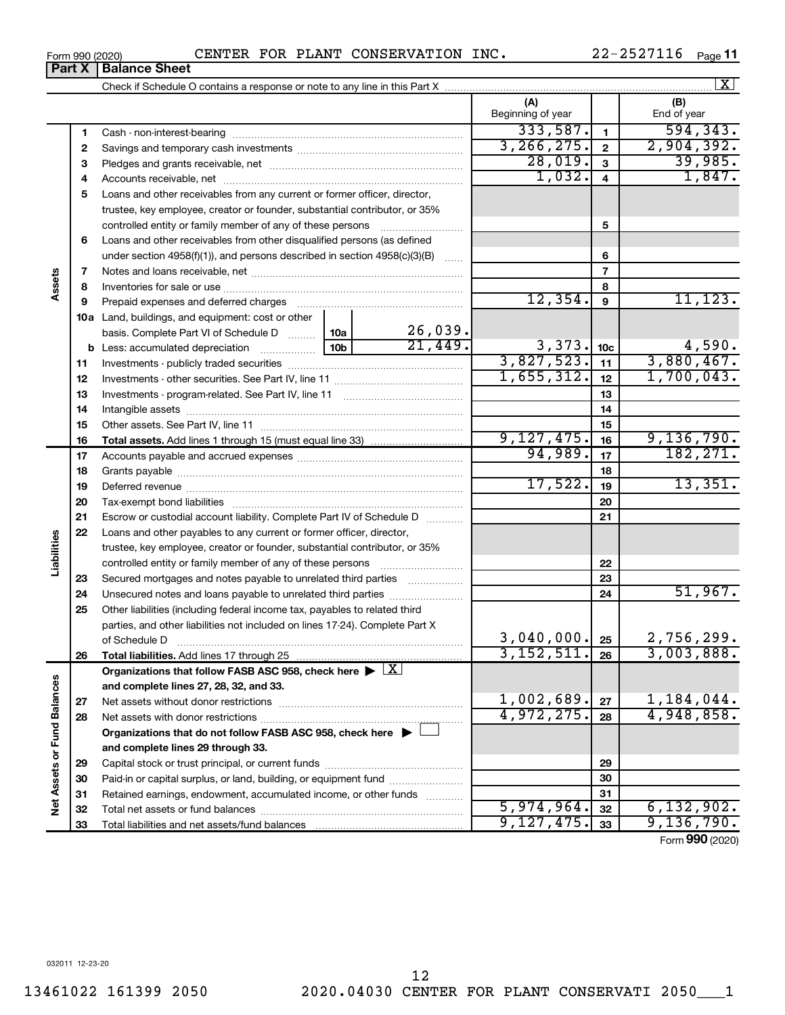|        |        | CENTER FOR PLANT CONSERVATION INC.<br>Form 990 (2020)                                                                                                                                                                 |                   |                 |                          |                | 22-2527116<br>Page 11 |
|--------|--------|-----------------------------------------------------------------------------------------------------------------------------------------------------------------------------------------------------------------------|-------------------|-----------------|--------------------------|----------------|-----------------------|
|        | Part X | <b>Balance Sheet</b>                                                                                                                                                                                                  |                   |                 |                          |                |                       |
|        |        |                                                                                                                                                                                                                       |                   |                 |                          |                | $\vert$ X $\vert$     |
|        |        |                                                                                                                                                                                                                       |                   |                 | (A)<br>Beginning of year |                | (B)<br>End of year    |
|        |        |                                                                                                                                                                                                                       |                   |                 | 333,587.                 | 1              | 594, 343.             |
|        | 2      |                                                                                                                                                                                                                       |                   |                 | 3, 266, 275.             | $\overline{2}$ | 2,904,392.            |
|        | з      |                                                                                                                                                                                                                       |                   |                 | 28,019.                  | 3              | 39,985.               |
|        | 4      |                                                                                                                                                                                                                       |                   |                 | 1,032.                   | 4              | 1,847.                |
|        | 5      | Loans and other receivables from any current or former officer, director,<br>trustee, key employee, creator or founder, substantial contributor, or 35%<br>controlled entity or family member of any of these persons |                   | 5               |                          |                |                       |
|        | 6      | Loans and other receivables from other disqualified persons (as defined<br>under section $4958(f)(1)$ , and persons described in section $4958(c)(3)(B)$                                                              |                   |                 | 6                        |                |                       |
| Assets |        |                                                                                                                                                                                                                       |                   |                 |                          | 7              |                       |
|        | 8      |                                                                                                                                                                                                                       |                   |                 |                          | 8              |                       |
|        | 9      | Prepaid expenses and deferred charges                                                                                                                                                                                 |                   |                 | 12,354.                  | 9              | 11, 123.              |
|        |        | 10a Land, buildings, and equipment: cost or other<br>basis. Complete Part VI of Schedule D  10a                                                                                                                       |                   | 26,039.         |                          |                |                       |
|        |        |                                                                                                                                                                                                                       | 21,449.<br>3,373. | 10 <sub>c</sub> | 4,590.                   |                |                       |
|        | 11     |                                                                                                                                                                                                                       |                   |                 | 3,827,523.               | 11             | 3,880,467.            |
|        | 12     |                                                                                                                                                                                                                       |                   |                 | 1,655,312.               | 12             | 1,700,043.            |
|        | 13     | Investments - program-related. See Part IV, line 11                                                                                                                                                                   |                   |                 |                          | 13             |                       |

**Total assets.**  Add lines 1 through 15 (must equal line 33)

Intangible assets ~~~~~~~~~~~~~~~~~~~~~~~~~~~~~~

Other assets. See Part IV, line 11 ~~~~~~~~~~~~~~~~~~~~~~

|                             | 17 |                                                                                                        | 94,989.                    | 17 | 182,271.                      |
|-----------------------------|----|--------------------------------------------------------------------------------------------------------|----------------------------|----|-------------------------------|
|                             | 18 |                                                                                                        |                            | 18 |                               |
|                             | 19 |                                                                                                        | 17,522.                    | 19 | 13,351.                       |
|                             | 20 |                                                                                                        |                            | 20 |                               |
|                             | 21 | Escrow or custodial account liability. Complete Part IV of Schedule D                                  |                            | 21 |                               |
|                             | 22 | Loans and other payables to any current or former officer, director,                                   |                            |    |                               |
|                             |    | trustee, key employee, creator or founder, substantial contributor, or 35%                             |                            |    |                               |
| Liabilities                 |    | controlled entity or family member of any of these persons                                             |                            | 22 |                               |
|                             | 23 | Secured mortgages and notes payable to unrelated third parties                                         |                            | 23 |                               |
|                             | 24 |                                                                                                        |                            | 24 | 51,967.                       |
|                             | 25 | Other liabilities (including federal income tax, payables to related third                             |                            |    |                               |
|                             |    | parties, and other liabilities not included on lines 17-24). Complete Part X                           |                            |    |                               |
|                             |    | of Schedule D                                                                                          | $3,040,000$ $\cdot$ 25     |    | 2,756,299.                    |
|                             | 26 |                                                                                                        | $3,152,511$ . $26$         |    | 3,003,888.                    |
|                             |    | Organizations that follow FASB ASC 958, check here $\blacktriangleright \lfloor \underline{X} \rfloor$ |                            |    |                               |
|                             |    | and complete lines 27, 28, 32, and 33.                                                                 |                            |    |                               |
|                             | 27 |                                                                                                        | $1,002,689$ . $27$         |    | 1,184,044.                    |
|                             | 28 |                                                                                                        | $4,972,275.$ 28            |    | 4,948,858.                    |
| Net Assets or Fund Balances |    | Organizations that do not follow FASB ASC 958, check here $\blacktriangleright \sqsubset$              |                            |    |                               |
|                             |    | and complete lines 29 through 33.                                                                      |                            |    |                               |
|                             | 29 |                                                                                                        |                            | 29 |                               |
|                             | 30 | Paid-in or capital surplus, or land, building, or equipment fund                                       |                            | 30 |                               |
|                             | 31 | Retained earnings, endowment, accumulated income, or other funds                                       |                            | 31 |                               |
|                             | 32 |                                                                                                        | 5,974,964.                 | 32 | 6, 132, 902.                  |
|                             | 33 |                                                                                                        | $\overline{9,127,475.}$ 33 |    | 9,136,790.<br>Form 990 (2020) |
|                             |    |                                                                                                        |                            |    |                               |

**14 15 16**

**14 15 16**

9,127,475. 16 9,136,790.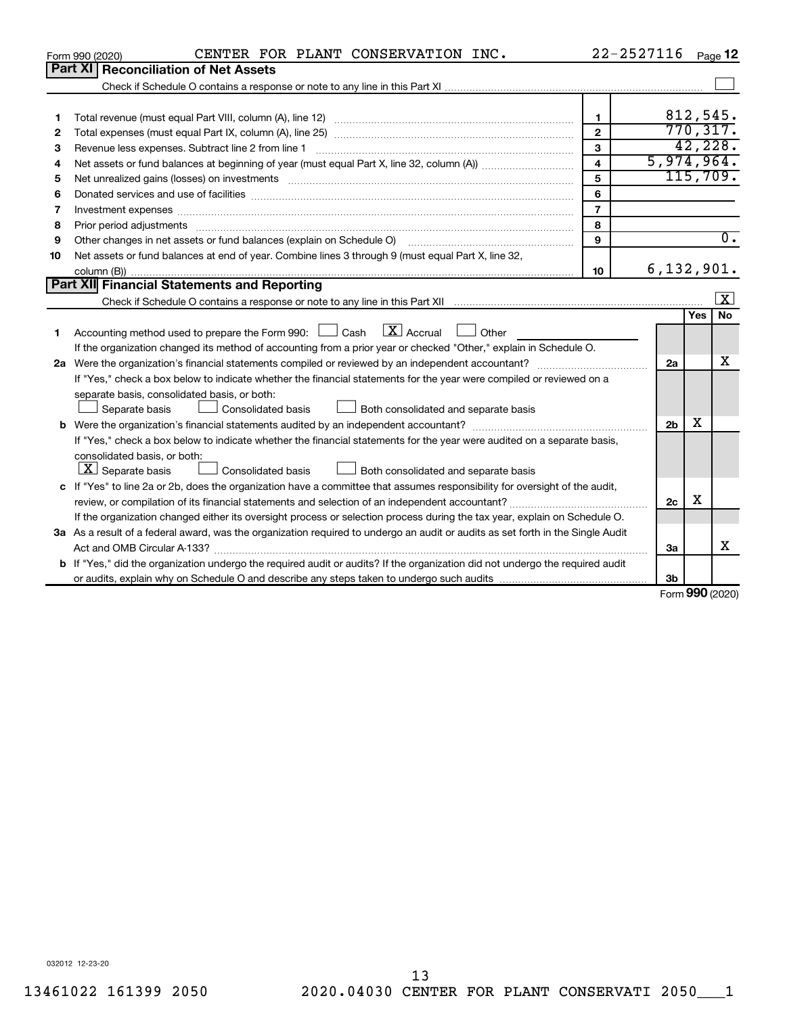|    | CENTER FOR PLANT CONSERVATION INC.<br>Form 990 (2020)                                                                                                                                                                          | 22-2527116              |                |     | Page 12                  |
|----|--------------------------------------------------------------------------------------------------------------------------------------------------------------------------------------------------------------------------------|-------------------------|----------------|-----|--------------------------|
|    | Part XI   Reconciliation of Net Assets                                                                                                                                                                                         |                         |                |     |                          |
|    |                                                                                                                                                                                                                                |                         |                |     |                          |
|    |                                                                                                                                                                                                                                |                         |                |     |                          |
| 1  |                                                                                                                                                                                                                                | $\mathbf{1}$            |                |     | 812,545.                 |
| 2  |                                                                                                                                                                                                                                | $\mathbf{2}$            |                |     | 770, 317.                |
| 3  |                                                                                                                                                                                                                                | 3                       |                |     | 42,228.                  |
| 4  |                                                                                                                                                                                                                                | $\overline{\mathbf{4}}$ | 5,974,964.     |     |                          |
| 5  |                                                                                                                                                                                                                                | 5                       |                |     | 115,709.                 |
| 6  |                                                                                                                                                                                                                                | 6                       |                |     |                          |
| 7  | Investment expenses www.communication.com/www.communication.com/www.communication.com/www.com                                                                                                                                  | $\overline{7}$          |                |     |                          |
| 8  | Prior period adjustments material contents and content and content and content and content and content and content and content and content and content and content and content and content and content and content and content | 8                       |                |     |                          |
| 9  | Other changes in net assets or fund balances (explain on Schedule O)                                                                                                                                                           | 9                       |                |     | $\overline{0}$ .         |
| 10 | Net assets or fund balances at end of year. Combine lines 3 through 9 (must equal Part X, line 32,                                                                                                                             |                         |                |     |                          |
|    |                                                                                                                                                                                                                                | 10                      | 6, 132, 901.   |     |                          |
|    | Part XII Financial Statements and Reporting                                                                                                                                                                                    |                         |                |     |                          |
|    |                                                                                                                                                                                                                                |                         |                |     | $\mathbf{X}$             |
|    |                                                                                                                                                                                                                                |                         |                | Yes | <b>No</b>                |
| 1  | $\mathbf{X}$ Accrual<br>Accounting method used to prepare the Form 990: [130] Cash<br><b>Durier</b> Other                                                                                                                      |                         |                |     |                          |
|    | If the organization changed its method of accounting from a prior year or checked "Other," explain in Schedule O.                                                                                                              |                         |                |     |                          |
|    |                                                                                                                                                                                                                                |                         | 2a             |     | x                        |
|    | If "Yes," check a box below to indicate whether the financial statements for the year were compiled or reviewed on a                                                                                                           |                         |                |     |                          |
|    | separate basis, consolidated basis, or both:                                                                                                                                                                                   |                         |                |     |                          |
|    | Consolidated basis<br>Both consolidated and separate basis<br>Separate basis                                                                                                                                                   |                         |                |     |                          |
|    |                                                                                                                                                                                                                                |                         | 2 <sub>b</sub> | x   |                          |
|    | If "Yes," check a box below to indicate whether the financial statements for the year were audited on a separate basis,                                                                                                        |                         |                |     |                          |
|    | consolidated basis, or both:                                                                                                                                                                                                   |                         |                |     |                          |
|    | $\boxed{\textbf{X}}$ Separate basis<br>Consolidated basis<br>Both consolidated and separate basis                                                                                                                              |                         |                |     |                          |
|    | c If "Yes" to line 2a or 2b, does the organization have a committee that assumes responsibility for oversight of the audit,                                                                                                    |                         |                |     |                          |
|    |                                                                                                                                                                                                                                |                         | 2c             | х   |                          |
|    | If the organization changed either its oversight process or selection process during the tax year, explain on Schedule O.                                                                                                      |                         |                |     |                          |
|    | 3a As a result of a federal award, was the organization required to undergo an audit or audits as set forth in the Single Audit                                                                                                |                         |                |     |                          |
|    |                                                                                                                                                                                                                                |                         | 3a             |     | x                        |
|    | <b>b</b> If "Yes," did the organization undergo the required audit or audits? If the organization did not undergo the required audit                                                                                           |                         |                |     |                          |
|    |                                                                                                                                                                                                                                |                         | 3 <sub>b</sub> |     |                          |
|    |                                                                                                                                                                                                                                |                         |                |     | $F_{\rm OCD}$ 990 (2020) |

Form (2020) **990**

032012 12-23-20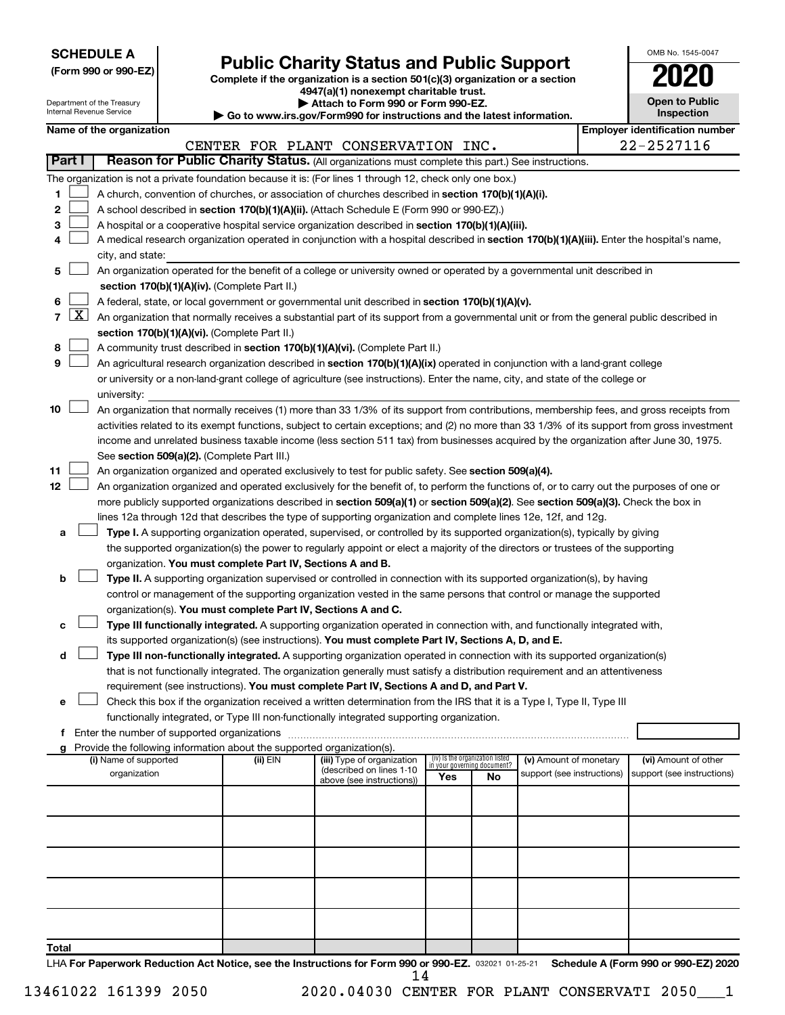| <b>SCHEDULE A</b> |  |
|-------------------|--|
|-------------------|--|

# Form 990 or 990-EZ) **Public Charity Status and Public Support**<br>
Complete if the organization is a section 501(c)(3) organization or a section<br> **2020**

**4947(a)(1) nonexempt charitable trust. | Attach to Form 990 or Form 990-EZ.** 

| OMB No 1545-0047                    |
|-------------------------------------|
| 17                                  |
| <b>Open to Public</b><br>Inspection |

|        | Department of the Treasury<br>Attach to Form 990 or Form 990-EZ.<br>Internal Revenue Service<br>Inspection<br>Go to www.irs.gov/Form990 for instructions and the latest information. |                                       |  |                                                                        | <b>Open to Public</b>                                                                                                                        |     |                                 |                                                      |  |                                                    |
|--------|--------------------------------------------------------------------------------------------------------------------------------------------------------------------------------------|---------------------------------------|--|------------------------------------------------------------------------|----------------------------------------------------------------------------------------------------------------------------------------------|-----|---------------------------------|------------------------------------------------------|--|----------------------------------------------------|
|        |                                                                                                                                                                                      | Name of the organization              |  |                                                                        |                                                                                                                                              |     |                                 |                                                      |  | <b>Employer identification number</b>              |
|        |                                                                                                                                                                                      |                                       |  |                                                                        | CENTER FOR PLANT CONSERVATION INC.                                                                                                           |     |                                 |                                                      |  | 22-2527116                                         |
| Part I |                                                                                                                                                                                      |                                       |  |                                                                        | Reason for Public Charity Status. (All organizations must complete this part.) See instructions.                                             |     |                                 |                                                      |  |                                                    |
|        |                                                                                                                                                                                      |                                       |  |                                                                        | The organization is not a private foundation because it is: (For lines 1 through 12, check only one box.)                                    |     |                                 |                                                      |  |                                                    |
| 1      |                                                                                                                                                                                      |                                       |  |                                                                        | A church, convention of churches, or association of churches described in section 170(b)(1)(A)(i).                                           |     |                                 |                                                      |  |                                                    |
| 2      |                                                                                                                                                                                      |                                       |  |                                                                        | A school described in section 170(b)(1)(A)(ii). (Attach Schedule E (Form 990 or 990-EZ).)                                                    |     |                                 |                                                      |  |                                                    |
| з      |                                                                                                                                                                                      |                                       |  |                                                                        | A hospital or a cooperative hospital service organization described in section 170(b)(1)(A)(iii).                                            |     |                                 |                                                      |  |                                                    |
| 4      |                                                                                                                                                                                      |                                       |  |                                                                        | A medical research organization operated in conjunction with a hospital described in section 170(b)(1)(A)(iii). Enter the hospital's name,   |     |                                 |                                                      |  |                                                    |
|        |                                                                                                                                                                                      | city, and state:                      |  |                                                                        |                                                                                                                                              |     |                                 |                                                      |  |                                                    |
| 5      |                                                                                                                                                                                      |                                       |  |                                                                        | An organization operated for the benefit of a college or university owned or operated by a governmental unit described in                    |     |                                 |                                                      |  |                                                    |
|        |                                                                                                                                                                                      |                                       |  | section 170(b)(1)(A)(iv). (Complete Part II.)                          |                                                                                                                                              |     |                                 |                                                      |  |                                                    |
| 6      |                                                                                                                                                                                      |                                       |  |                                                                        | A federal, state, or local government or governmental unit described in section 170(b)(1)(A)(v).                                             |     |                                 |                                                      |  |                                                    |
|        | $7 \mid X \mid$                                                                                                                                                                      |                                       |  |                                                                        | An organization that normally receives a substantial part of its support from a governmental unit or from the general public described in    |     |                                 |                                                      |  |                                                    |
|        |                                                                                                                                                                                      |                                       |  | section 170(b)(1)(A)(vi). (Complete Part II.)                          |                                                                                                                                              |     |                                 |                                                      |  |                                                    |
| 8      |                                                                                                                                                                                      |                                       |  |                                                                        | A community trust described in section 170(b)(1)(A)(vi). (Complete Part II.)                                                                 |     |                                 |                                                      |  |                                                    |
| 9      |                                                                                                                                                                                      |                                       |  |                                                                        | An agricultural research organization described in section 170(b)(1)(A)(ix) operated in conjunction with a land-grant college                |     |                                 |                                                      |  |                                                    |
|        |                                                                                                                                                                                      |                                       |  |                                                                        | or university or a non-land-grant college of agriculture (see instructions). Enter the name, city, and state of the college or               |     |                                 |                                                      |  |                                                    |
|        |                                                                                                                                                                                      | university:                           |  |                                                                        |                                                                                                                                              |     |                                 |                                                      |  |                                                    |
| 10     |                                                                                                                                                                                      |                                       |  |                                                                        | An organization that normally receives (1) more than 33 1/3% of its support from contributions, membership fees, and gross receipts from     |     |                                 |                                                      |  |                                                    |
|        |                                                                                                                                                                                      |                                       |  |                                                                        | activities related to its exempt functions, subject to certain exceptions; and (2) no more than 33 1/3% of its support from gross investment |     |                                 |                                                      |  |                                                    |
|        |                                                                                                                                                                                      |                                       |  |                                                                        | income and unrelated business taxable income (less section 511 tax) from businesses acquired by the organization after June 30, 1975.        |     |                                 |                                                      |  |                                                    |
|        |                                                                                                                                                                                      |                                       |  | See section 509(a)(2). (Complete Part III.)                            |                                                                                                                                              |     |                                 |                                                      |  |                                                    |
| 11     |                                                                                                                                                                                      |                                       |  |                                                                        | An organization organized and operated exclusively to test for public safety. See section 509(a)(4).                                         |     |                                 |                                                      |  |                                                    |
| 12     |                                                                                                                                                                                      |                                       |  |                                                                        | An organization organized and operated exclusively for the benefit of, to perform the functions of, or to carry out the purposes of one or   |     |                                 |                                                      |  |                                                    |
|        |                                                                                                                                                                                      |                                       |  |                                                                        | more publicly supported organizations described in section 509(a)(1) or section 509(a)(2). See section 509(a)(3). Check the box in           |     |                                 |                                                      |  |                                                    |
|        |                                                                                                                                                                                      |                                       |  |                                                                        | lines 12a through 12d that describes the type of supporting organization and complete lines 12e, 12f, and 12g.                               |     |                                 |                                                      |  |                                                    |
| а      |                                                                                                                                                                                      |                                       |  |                                                                        | Type I. A supporting organization operated, supervised, or controlled by its supported organization(s), typically by giving                  |     |                                 |                                                      |  |                                                    |
|        |                                                                                                                                                                                      |                                       |  |                                                                        | the supported organization(s) the power to regularly appoint or elect a majority of the directors or trustees of the supporting              |     |                                 |                                                      |  |                                                    |
|        |                                                                                                                                                                                      |                                       |  | organization. You must complete Part IV, Sections A and B.             |                                                                                                                                              |     |                                 |                                                      |  |                                                    |
| b      |                                                                                                                                                                                      |                                       |  |                                                                        | Type II. A supporting organization supervised or controlled in connection with its supported organization(s), by having                      |     |                                 |                                                      |  |                                                    |
|        |                                                                                                                                                                                      |                                       |  |                                                                        | control or management of the supporting organization vested in the same persons that control or manage the supported                         |     |                                 |                                                      |  |                                                    |
|        |                                                                                                                                                                                      |                                       |  | organization(s). You must complete Part IV, Sections A and C.          |                                                                                                                                              |     |                                 |                                                      |  |                                                    |
| с      |                                                                                                                                                                                      |                                       |  |                                                                        | Type III functionally integrated. A supporting organization operated in connection with, and functionally integrated with,                   |     |                                 |                                                      |  |                                                    |
|        |                                                                                                                                                                                      |                                       |  |                                                                        | its supported organization(s) (see instructions). You must complete Part IV, Sections A, D, and E.                                           |     |                                 |                                                      |  |                                                    |
| d      |                                                                                                                                                                                      |                                       |  |                                                                        | Type III non-functionally integrated. A supporting organization operated in connection with its supported organization(s)                    |     |                                 |                                                      |  |                                                    |
|        |                                                                                                                                                                                      |                                       |  |                                                                        | that is not functionally integrated. The organization generally must satisfy a distribution requirement and an attentiveness                 |     |                                 |                                                      |  |                                                    |
|        |                                                                                                                                                                                      |                                       |  |                                                                        | requirement (see instructions). You must complete Part IV, Sections A and D, and Part V.                                                     |     |                                 |                                                      |  |                                                    |
| е      |                                                                                                                                                                                      |                                       |  |                                                                        | Check this box if the organization received a written determination from the IRS that it is a Type I, Type II, Type III                      |     |                                 |                                                      |  |                                                    |
|        |                                                                                                                                                                                      |                                       |  |                                                                        | functionally integrated, or Type III non-functionally integrated supporting organization.                                                    |     |                                 |                                                      |  |                                                    |
|        |                                                                                                                                                                                      |                                       |  | f Enter the number of supported organizations                          |                                                                                                                                              |     |                                 |                                                      |  |                                                    |
| g      |                                                                                                                                                                                      |                                       |  | Provide the following information about the supported organization(s). |                                                                                                                                              |     | (iv) Is the organization listed |                                                      |  |                                                    |
|        |                                                                                                                                                                                      | (i) Name of supported<br>organization |  | (ii) EIN                                                               | (iii) Type of organization<br>(described on lines 1-10                                                                                       |     | in your governing document?     | (v) Amount of monetary<br>support (see instructions) |  | (vi) Amount of other<br>support (see instructions) |
|        |                                                                                                                                                                                      |                                       |  |                                                                        | above (see instructions))                                                                                                                    | Yes | No                              |                                                      |  |                                                    |
|        |                                                                                                                                                                                      |                                       |  |                                                                        |                                                                                                                                              |     |                                 |                                                      |  |                                                    |
|        |                                                                                                                                                                                      |                                       |  |                                                                        |                                                                                                                                              |     |                                 |                                                      |  |                                                    |
|        |                                                                                                                                                                                      |                                       |  |                                                                        |                                                                                                                                              |     |                                 |                                                      |  |                                                    |
|        |                                                                                                                                                                                      |                                       |  |                                                                        |                                                                                                                                              |     |                                 |                                                      |  |                                                    |
|        |                                                                                                                                                                                      |                                       |  |                                                                        |                                                                                                                                              |     |                                 |                                                      |  |                                                    |
|        |                                                                                                                                                                                      |                                       |  |                                                                        |                                                                                                                                              |     |                                 |                                                      |  |                                                    |
|        |                                                                                                                                                                                      |                                       |  |                                                                        |                                                                                                                                              |     |                                 |                                                      |  |                                                    |
|        |                                                                                                                                                                                      |                                       |  |                                                                        |                                                                                                                                              |     |                                 |                                                      |  |                                                    |
|        |                                                                                                                                                                                      |                                       |  |                                                                        |                                                                                                                                              |     |                                 |                                                      |  |                                                    |
|        |                                                                                                                                                                                      |                                       |  |                                                                        |                                                                                                                                              |     |                                 |                                                      |  |                                                    |
| Total  |                                                                                                                                                                                      |                                       |  |                                                                        |                                                                                                                                              |     |                                 |                                                      |  |                                                    |

LHA For Paperwork Reduction Act Notice, see the Instructions for Form 990 or 990-EZ. 032021 01-25-21 Schedule A (Form 990 or 990-EZ) 2020 14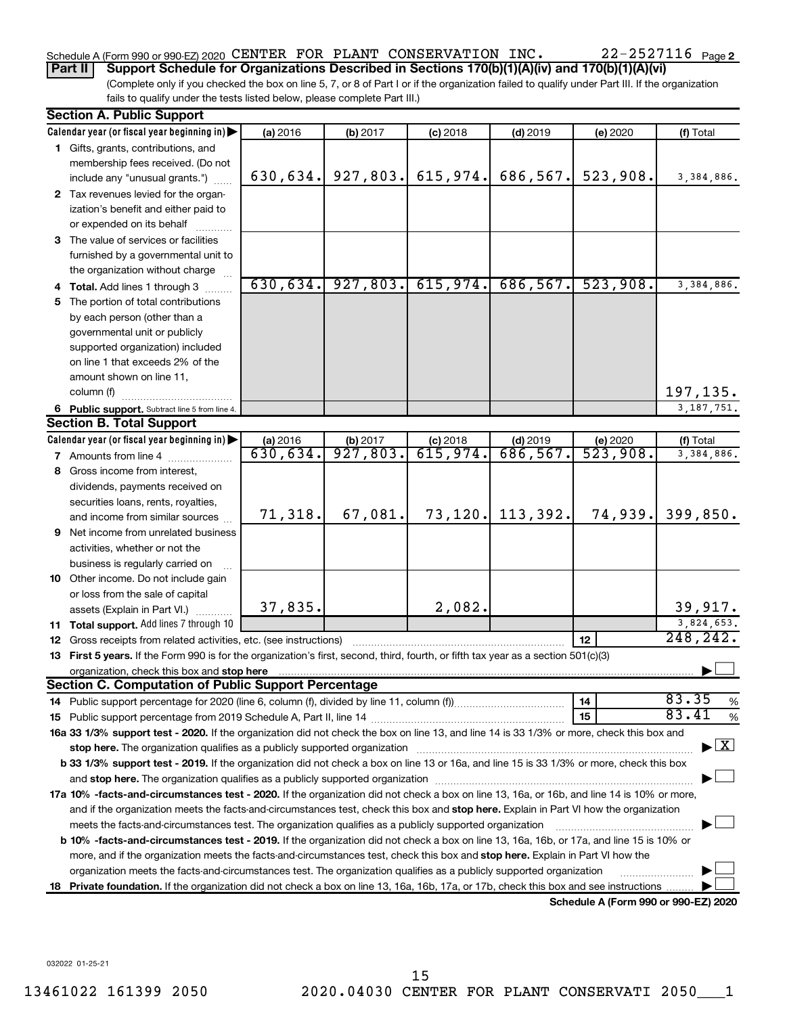## Schedule A (Form 990 or 990-EZ) 2020 CENTER FOR PLANT CONSERVATION INC.  $22-2527116$  Page

**Part II Support Schedule for Organizations Described in Sections 170(b)(1)(A)(iv) and 170(b)(1)(A)(vi)**

(Complete only if you checked the box on line 5, 7, or 8 of Part I or if the organization failed to qualify under Part III. If the organization fails to qualify under the tests listed below, please complete Part III.)

|    | <b>Section A. Public Support</b>                                                                                                                                                                                               |                      |                       |                        |                        |                                      |                                          |
|----|--------------------------------------------------------------------------------------------------------------------------------------------------------------------------------------------------------------------------------|----------------------|-----------------------|------------------------|------------------------|--------------------------------------|------------------------------------------|
|    | Calendar year (or fiscal year beginning in)                                                                                                                                                                                    | (a) 2016             | (b) 2017              | $(c)$ 2018             | $(d)$ 2019             | (e) 2020                             | (f) Total                                |
|    | 1 Gifts, grants, contributions, and                                                                                                                                                                                            |                      |                       |                        |                        |                                      |                                          |
|    | membership fees received. (Do not                                                                                                                                                                                              |                      |                       |                        |                        |                                      |                                          |
|    | include any "unusual grants.")                                                                                                                                                                                                 | 630,634.             | 927,803.              | 615,974.               | 686, 567.              | 523,908.                             | 3,384,886.                               |
|    | 2 Tax revenues levied for the organ-                                                                                                                                                                                           |                      |                       |                        |                        |                                      |                                          |
|    | ization's benefit and either paid to                                                                                                                                                                                           |                      |                       |                        |                        |                                      |                                          |
|    | or expended on its behalf                                                                                                                                                                                                      |                      |                       |                        |                        |                                      |                                          |
|    | 3 The value of services or facilities                                                                                                                                                                                          |                      |                       |                        |                        |                                      |                                          |
|    | furnished by a governmental unit to                                                                                                                                                                                            |                      |                       |                        |                        |                                      |                                          |
|    | the organization without charge                                                                                                                                                                                                |                      |                       |                        |                        |                                      |                                          |
|    | 4 Total. Add lines 1 through 3                                                                                                                                                                                                 |                      | $630, 634.$ 927, 803. | 615,974.               | 686,567.               | 523,908.                             | 3,384,886.                               |
|    | 5 The portion of total contributions                                                                                                                                                                                           |                      |                       |                        |                        |                                      |                                          |
|    | by each person (other than a                                                                                                                                                                                                   |                      |                       |                        |                        |                                      |                                          |
|    | governmental unit or publicly                                                                                                                                                                                                  |                      |                       |                        |                        |                                      |                                          |
|    | supported organization) included                                                                                                                                                                                               |                      |                       |                        |                        |                                      |                                          |
|    | on line 1 that exceeds 2% of the                                                                                                                                                                                               |                      |                       |                        |                        |                                      |                                          |
|    | amount shown on line 11,                                                                                                                                                                                                       |                      |                       |                        |                        |                                      |                                          |
|    | column (f)                                                                                                                                                                                                                     |                      |                       |                        |                        |                                      | 197,135.                                 |
|    | 6 Public support. Subtract line 5 from line 4.                                                                                                                                                                                 |                      |                       |                        |                        |                                      | 3, 187, 751.                             |
|    | <b>Section B. Total Support</b>                                                                                                                                                                                                |                      |                       |                        |                        |                                      |                                          |
|    | Calendar year (or fiscal year beginning in)                                                                                                                                                                                    | (a) 2016<br>630,634. | (b) 2017<br>927,803.  | $(c)$ 2018<br>615,974. | $(d)$ 2019<br>686,567. | (e) 2020<br>523,908.                 | (f) Total<br>3,384,886.                  |
|    | 7 Amounts from line 4                                                                                                                                                                                                          |                      |                       |                        |                        |                                      |                                          |
|    | 8 Gross income from interest,                                                                                                                                                                                                  |                      |                       |                        |                        |                                      |                                          |
|    | dividends, payments received on<br>securities loans, rents, royalties,                                                                                                                                                         |                      |                       |                        |                        |                                      |                                          |
|    | and income from similar sources                                                                                                                                                                                                | 71,318.              | 67,081.               | 73, 120.               | 113,392.               | 74,939.                              | 399,850.                                 |
|    | 9 Net income from unrelated business                                                                                                                                                                                           |                      |                       |                        |                        |                                      |                                          |
|    | activities, whether or not the                                                                                                                                                                                                 |                      |                       |                        |                        |                                      |                                          |
|    | business is regularly carried on                                                                                                                                                                                               |                      |                       |                        |                        |                                      |                                          |
|    | 10 Other income. Do not include gain                                                                                                                                                                                           |                      |                       |                        |                        |                                      |                                          |
|    | or loss from the sale of capital                                                                                                                                                                                               |                      |                       |                        |                        |                                      |                                          |
|    | assets (Explain in Part VI.)                                                                                                                                                                                                   | 37,835.              |                       | 2,082.                 |                        |                                      | 39,917.                                  |
|    | 11 Total support. Add lines 7 through 10                                                                                                                                                                                       |                      |                       |                        |                        |                                      | 3,824,653.                               |
|    | 12 Gross receipts from related activities, etc. (see instructions)                                                                                                                                                             |                      |                       |                        |                        | 12                                   | 248, 242.                                |
|    | 13 First 5 years. If the Form 990 is for the organization's first, second, third, fourth, or fifth tax year as a section 501(c)(3)                                                                                             |                      |                       |                        |                        |                                      |                                          |
|    |                                                                                                                                                                                                                                |                      |                       |                        |                        |                                      |                                          |
|    | <b>Section C. Computation of Public Support Percentage</b>                                                                                                                                                                     |                      |                       |                        |                        |                                      |                                          |
|    |                                                                                                                                                                                                                                |                      |                       |                        |                        | 14                                   | 83.35<br>$\%$                            |
|    |                                                                                                                                                                                                                                |                      |                       |                        |                        | 15                                   | 83.41<br>$\%$                            |
|    | 16a 33 1/3% support test - 2020. If the organization did not check the box on line 13, and line 14 is 33 1/3% or more, check this box and                                                                                      |                      |                       |                        |                        |                                      |                                          |
|    | stop here. The organization qualifies as a publicly supported organization manufaction manufacture or manufacture or the organization manufacture or the organization of the state of the state of the state of the state of t |                      |                       |                        |                        |                                      | $\blacktriangleright$ $\boxed{\text{X}}$ |
|    | b 33 1/3% support test - 2019. If the organization did not check a box on line 13 or 16a, and line 15 is 33 1/3% or more, check this box                                                                                       |                      |                       |                        |                        |                                      |                                          |
|    |                                                                                                                                                                                                                                |                      |                       |                        |                        |                                      |                                          |
|    | 17a 10% -facts-and-circumstances test - 2020. If the organization did not check a box on line 13, 16a, or 16b, and line 14 is 10% or more,                                                                                     |                      |                       |                        |                        |                                      |                                          |
|    | and if the organization meets the facts-and-circumstances test, check this box and stop here. Explain in Part VI how the organization                                                                                          |                      |                       |                        |                        |                                      |                                          |
|    | meets the facts-and-circumstances test. The organization qualifies as a publicly supported organization                                                                                                                        |                      |                       |                        |                        |                                      |                                          |
|    | b 10% -facts-and-circumstances test - 2019. If the organization did not check a box on line 13, 16a, 16b, or 17a, and line 15 is 10% or                                                                                        |                      |                       |                        |                        |                                      |                                          |
|    | more, and if the organization meets the facts-and-circumstances test, check this box and stop here. Explain in Part VI how the                                                                                                 |                      |                       |                        |                        |                                      |                                          |
|    | organization meets the facts-and-circumstances test. The organization qualifies as a publicly supported organization                                                                                                           |                      |                       |                        |                        |                                      |                                          |
| 18 | Private foundation. If the organization did not check a box on line 13, 16a, 16b, 17a, or 17b, check this box and see instructions.                                                                                            |                      |                       |                        |                        |                                      |                                          |
|    |                                                                                                                                                                                                                                |                      |                       |                        |                        | Schedule A (Form 990 or 990-EZ) 2020 |                                          |

032022 01-25-21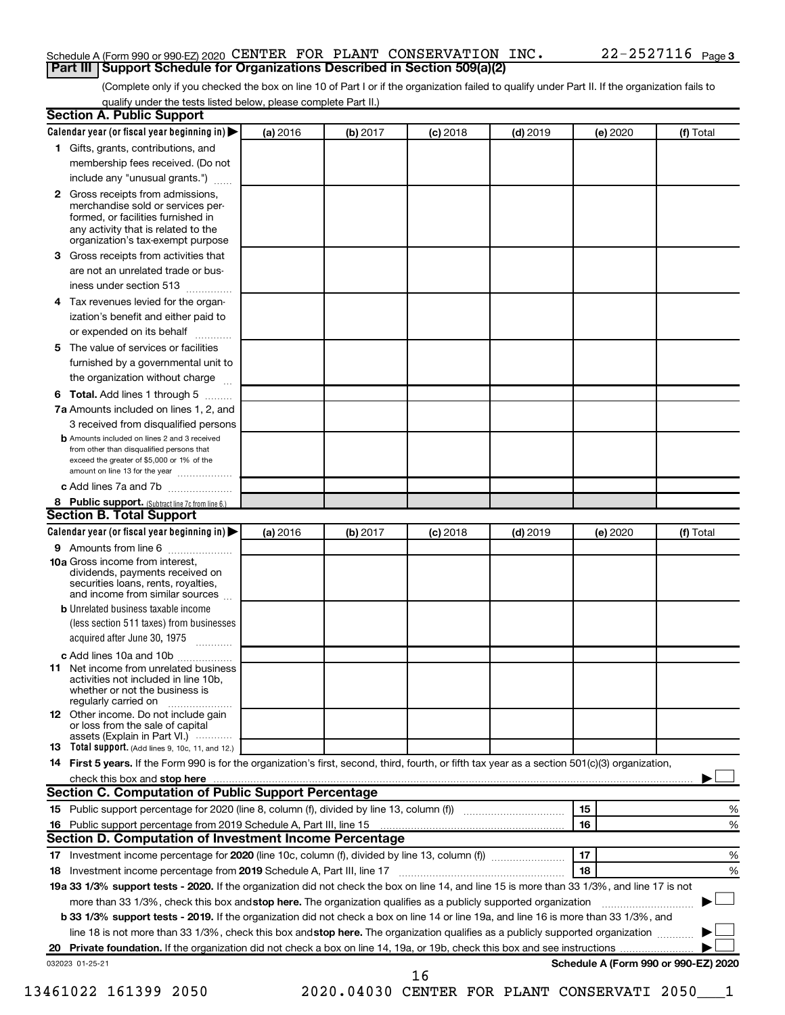#### Schedule A (Form 990 or 990-EZ) 2020 CENTER FOR PLANT CONSERVATION INC.  $22-2527116$  Page **Part III Support Schedule for Organizations Described in Section 509(a)(2)**

(Complete only if you checked the box on line 10 of Part I or if the organization failed to qualify under Part II. If the organization fails to qualify under the tests listed below, please complete Part II.)

|              | Calendar year (or fiscal year beginning in)                                                                                                                                                                                                                                     | (a) 2016 | (b) 2017 | $(c)$ 2018                                  | $(d)$ 2019 |    | (e) 2020 | (f) Total                            |   |
|--------------|---------------------------------------------------------------------------------------------------------------------------------------------------------------------------------------------------------------------------------------------------------------------------------|----------|----------|---------------------------------------------|------------|----|----------|--------------------------------------|---|
|              | 1 Gifts, grants, contributions, and                                                                                                                                                                                                                                             |          |          |                                             |            |    |          |                                      |   |
|              | membership fees received. (Do not                                                                                                                                                                                                                                               |          |          |                                             |            |    |          |                                      |   |
|              | include any "unusual grants.")                                                                                                                                                                                                                                                  |          |          |                                             |            |    |          |                                      |   |
| $\mathbf{2}$ | Gross receipts from admissions,<br>merchandise sold or services per-<br>formed, or facilities furnished in<br>any activity that is related to the<br>organization's tax-exempt purpose                                                                                          |          |          |                                             |            |    |          |                                      |   |
| 3.           | Gross receipts from activities that                                                                                                                                                                                                                                             |          |          |                                             |            |    |          |                                      |   |
|              | are not an unrelated trade or bus-                                                                                                                                                                                                                                              |          |          |                                             |            |    |          |                                      |   |
|              | iness under section 513                                                                                                                                                                                                                                                         |          |          |                                             |            |    |          |                                      |   |
| 4            | Tax revenues levied for the organ-                                                                                                                                                                                                                                              |          |          |                                             |            |    |          |                                      |   |
|              | ization's benefit and either paid to<br>or expended on its behalf<br>.                                                                                                                                                                                                          |          |          |                                             |            |    |          |                                      |   |
| 5            | The value of services or facilities                                                                                                                                                                                                                                             |          |          |                                             |            |    |          |                                      |   |
|              | furnished by a governmental unit to<br>the organization without charge                                                                                                                                                                                                          |          |          |                                             |            |    |          |                                      |   |
|              |                                                                                                                                                                                                                                                                                 |          |          |                                             |            |    |          |                                      |   |
| 6            | Total. Add lines 1 through 5                                                                                                                                                                                                                                                    |          |          |                                             |            |    |          |                                      |   |
|              | 7a Amounts included on lines 1, 2, and                                                                                                                                                                                                                                          |          |          |                                             |            |    |          |                                      |   |
|              | 3 received from disqualified persons<br><b>b</b> Amounts included on lines 2 and 3 received                                                                                                                                                                                     |          |          |                                             |            |    |          |                                      |   |
|              | from other than disqualified persons that<br>exceed the greater of \$5,000 or 1% of the<br>amount on line 13 for the year                                                                                                                                                       |          |          |                                             |            |    |          |                                      |   |
|              | c Add lines 7a and 7b                                                                                                                                                                                                                                                           |          |          |                                             |            |    |          |                                      |   |
|              | 8 Public support. (Subtract line 7c from line 6.)                                                                                                                                                                                                                               |          |          |                                             |            |    |          |                                      |   |
|              | <b>Section B. Total Support</b>                                                                                                                                                                                                                                                 |          |          |                                             |            |    |          |                                      |   |
|              | Calendar year (or fiscal year beginning in)                                                                                                                                                                                                                                     | (a) 2016 | (b) 2017 | $(c)$ 2018                                  | $(d)$ 2019 |    | (e) 2020 | (f) Total                            |   |
|              | 9 Amounts from line 6                                                                                                                                                                                                                                                           |          |          |                                             |            |    |          |                                      |   |
|              | <b>10a</b> Gross income from interest,<br>dividends, payments received on<br>securities loans, rents, royalties,<br>and income from similar sources                                                                                                                             |          |          |                                             |            |    |          |                                      |   |
|              | <b>b</b> Unrelated business taxable income                                                                                                                                                                                                                                      |          |          |                                             |            |    |          |                                      |   |
|              | (less section 511 taxes) from businesses<br>acquired after June 30, 1975                                                                                                                                                                                                        |          |          |                                             |            |    |          |                                      |   |
|              | c Add lines 10a and 10b                                                                                                                                                                                                                                                         |          |          |                                             |            |    |          |                                      |   |
| 11           | Net income from unrelated business<br>activities not included in line 10b.<br>whether or not the business is<br>regularly carried on                                                                                                                                            |          |          |                                             |            |    |          |                                      |   |
|              | <b>12</b> Other income. Do not include gain<br>or loss from the sale of capital<br>assets (Explain in Part VI.)                                                                                                                                                                 |          |          |                                             |            |    |          |                                      |   |
|              | <b>13</b> Total support. (Add lines 9, 10c, 11, and 12.)                                                                                                                                                                                                                        |          |          |                                             |            |    |          |                                      |   |
|              | 14 First 5 years. If the Form 990 is for the organization's first, second, third, fourth, or fifth tax year as a section 501(c)(3) organization,                                                                                                                                |          |          |                                             |            |    |          |                                      |   |
|              |                                                                                                                                                                                                                                                                                 |          |          |                                             |            |    |          |                                      |   |
|              | Section C. Computation of Public Support Percentage                                                                                                                                                                                                                             |          |          |                                             |            |    |          |                                      |   |
|              |                                                                                                                                                                                                                                                                                 |          |          |                                             |            | 15 |          |                                      | % |
|              |                                                                                                                                                                                                                                                                                 |          |          |                                             |            | 16 |          |                                      | % |
|              | Section D. Computation of Investment Income Percentage                                                                                                                                                                                                                          |          |          |                                             |            |    |          |                                      |   |
|              |                                                                                                                                                                                                                                                                                 |          |          |                                             |            | 17 |          |                                      | % |
|              |                                                                                                                                                                                                                                                                                 |          |          |                                             |            | 18 |          |                                      | % |
|              | 19a 33 1/3% support tests - 2020. If the organization did not check the box on line 14, and line 15 is more than 33 1/3%, and line 17 is not                                                                                                                                    |          |          |                                             |            |    |          |                                      |   |
|              | more than 33 1/3%, check this box and stop here. The organization qualifies as a publicly supported organization                                                                                                                                                                |          |          |                                             |            |    |          |                                      |   |
|              | <b>b 33 1/3% support tests - 2019.</b> If the organization did not check a box on line 14 or line 19a, and line 16 is more than 33 1/3%, and<br>line 18 is not more than 33 1/3%, check this box and stop here. The organization qualifies as a publicly supported organization |          |          |                                             |            |    |          |                                      |   |
|              |                                                                                                                                                                                                                                                                                 |          |          |                                             |            |    |          |                                      |   |
|              | 032023 01-25-21                                                                                                                                                                                                                                                                 |          |          |                                             |            |    |          | Schedule A (Form 990 or 990-EZ) 2020 |   |
|              |                                                                                                                                                                                                                                                                                 |          |          | 16                                          |            |    |          |                                      |   |
|              | 13461022 161399 2050                                                                                                                                                                                                                                                            |          |          | 2020.04030 CENTER FOR PLANT CONSERVATI 2050 |            |    |          |                                      |   |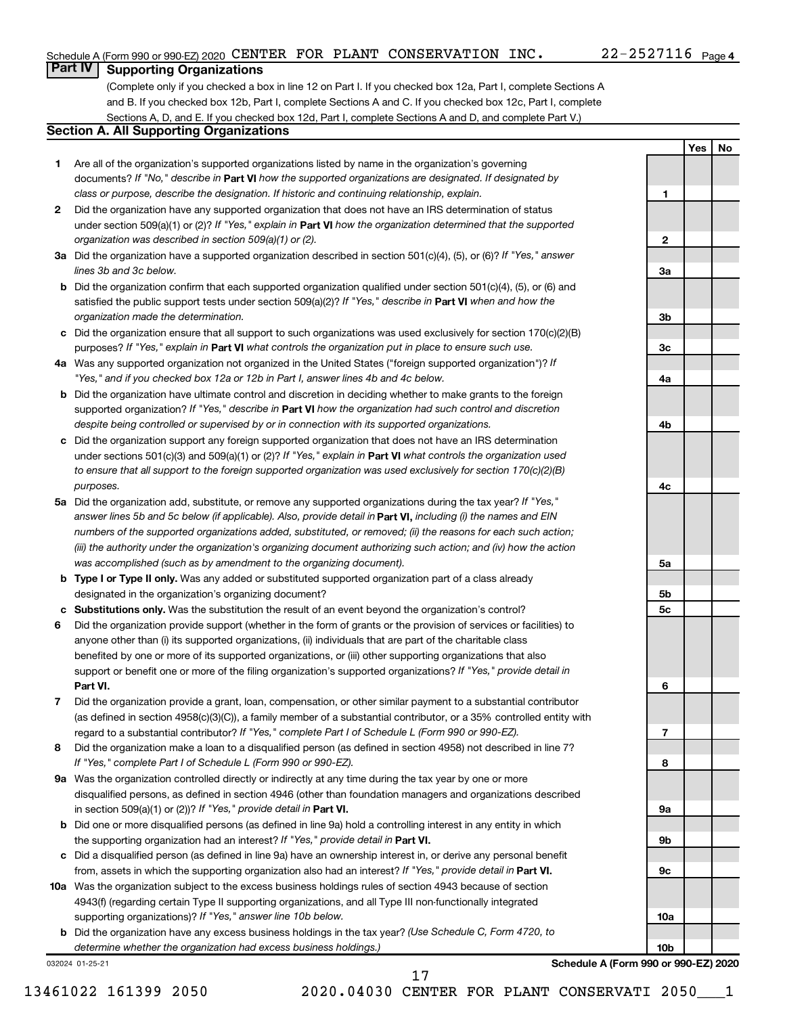**1**

**2**

**3a**

**3b**

**3c**

**4a**

**4b**

**4c**

**Yes No**

## **Part IV Supporting Organizations**

(Complete only if you checked a box in line 12 on Part I. If you checked box 12a, Part I, complete Sections A and B. If you checked box 12b, Part I, complete Sections A and C. If you checked box 12c, Part I, complete Sections A, D, and E. If you checked box 12d, Part I, complete Sections A and D, and complete Part V.)

### **Section A. All Supporting Organizations**

- **1** Are all of the organization's supported organizations listed by name in the organization's governing documents? If "No," describe in Part VI how the supported organizations are designated. If designated by *class or purpose, describe the designation. If historic and continuing relationship, explain.*
- **2** Did the organization have any supported organization that does not have an IRS determination of status under section 509(a)(1) or (2)? If "Yes," explain in Part **VI** how the organization determined that the supported *organization was described in section 509(a)(1) or (2).*
- **3a** Did the organization have a supported organization described in section 501(c)(4), (5), or (6)? If "Yes," answer *lines 3b and 3c below.*
- **b** Did the organization confirm that each supported organization qualified under section 501(c)(4), (5), or (6) and satisfied the public support tests under section 509(a)(2)? If "Yes," describe in Part VI when and how the *organization made the determination.*
- **c** Did the organization ensure that all support to such organizations was used exclusively for section 170(c)(2)(B) purposes? If "Yes," explain in Part VI what controls the organization put in place to ensure such use.
- **4 a** *If* Was any supported organization not organized in the United States ("foreign supported organization")? *"Yes," and if you checked box 12a or 12b in Part I, answer lines 4b and 4c below.*
- **b** Did the organization have ultimate control and discretion in deciding whether to make grants to the foreign supported organization? If "Yes," describe in Part VI how the organization had such control and discretion *despite being controlled or supervised by or in connection with its supported organizations.*
- **c** Did the organization support any foreign supported organization that does not have an IRS determination under sections 501(c)(3) and 509(a)(1) or (2)? If "Yes," explain in Part VI what controls the organization used *to ensure that all support to the foreign supported organization was used exclusively for section 170(c)(2)(B) purposes.*
- **5a** Did the organization add, substitute, or remove any supported organizations during the tax year? If "Yes," answer lines 5b and 5c below (if applicable). Also, provide detail in **Part VI,** including (i) the names and EIN *numbers of the supported organizations added, substituted, or removed; (ii) the reasons for each such action; (iii) the authority under the organization's organizing document authorizing such action; and (iv) how the action was accomplished (such as by amendment to the organizing document).*
- **b Type I or Type II only.** Was any added or substituted supported organization part of a class already designated in the organization's organizing document?
- **c Substitutions only.**  Was the substitution the result of an event beyond the organization's control?
- **6** Did the organization provide support (whether in the form of grants or the provision of services or facilities) to **Part VI.** support or benefit one or more of the filing organization's supported organizations? If "Yes," provide detail in anyone other than (i) its supported organizations, (ii) individuals that are part of the charitable class benefited by one or more of its supported organizations, or (iii) other supporting organizations that also
- **7** Did the organization provide a grant, loan, compensation, or other similar payment to a substantial contributor regard to a substantial contributor? If "Yes," complete Part I of Schedule L (Form 990 or 990-EZ). (as defined in section 4958(c)(3)(C)), a family member of a substantial contributor, or a 35% controlled entity with
- **8** Did the organization make a loan to a disqualified person (as defined in section 4958) not described in line 7? *If "Yes," complete Part I of Schedule L (Form 990 or 990-EZ).*
- **9 a** Was the organization controlled directly or indirectly at any time during the tax year by one or more in section 509(a)(1) or (2))? If "Yes," provide detail in **Part VI.** disqualified persons, as defined in section 4946 (other than foundation managers and organizations described
- **b** Did one or more disqualified persons (as defined in line 9a) hold a controlling interest in any entity in which the supporting organization had an interest? If "Yes," provide detail in Part VI.
- **c** Did a disqualified person (as defined in line 9a) have an ownership interest in, or derive any personal benefit from, assets in which the supporting organization also had an interest? If "Yes," provide detail in Part VI.
- **10 a** Was the organization subject to the excess business holdings rules of section 4943 because of section supporting organizations)? If "Yes," answer line 10b below. 4943(f) (regarding certain Type II supporting organizations, and all Type III non-functionally integrated
	- **b** Did the organization have any excess business holdings in the tax year? (Use Schedule C, Form 4720, to *determine whether the organization had excess business holdings.)*

032024 01-25-21

**Schedule A (Form 990 or 990-EZ) 2020**

17

**5a 5b 5c 6 7 8 9a 9b 9c 10a 10b**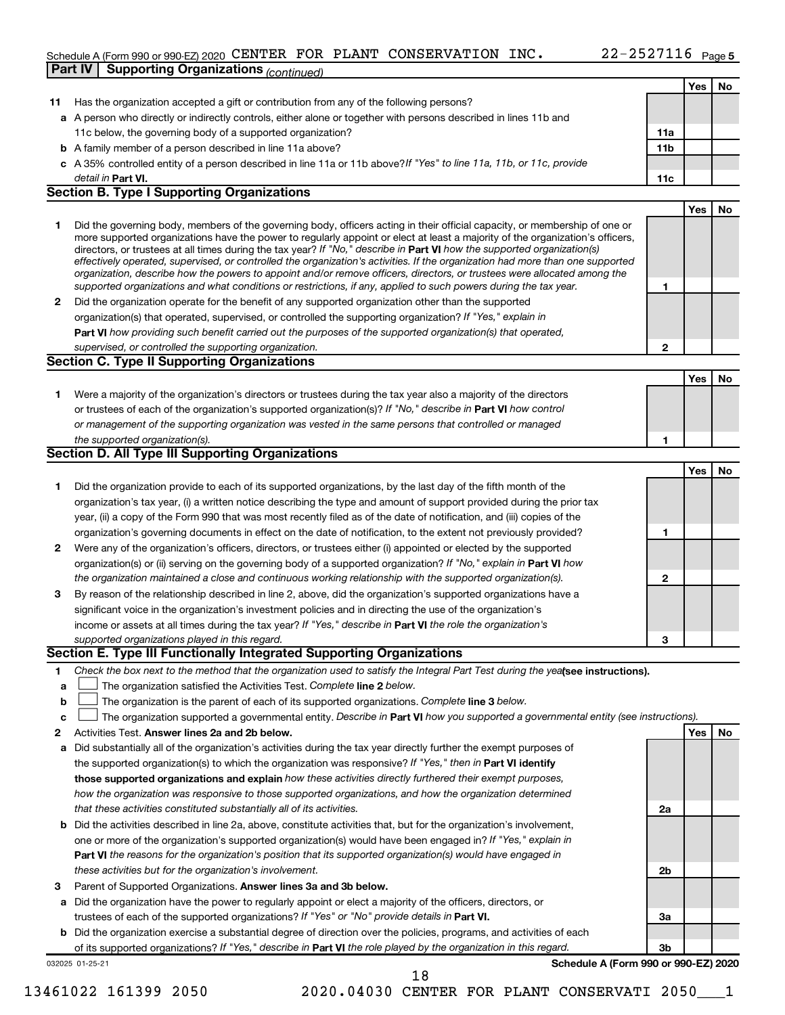#### Schedule A (Form 990 or 990-EZ) 2020 CENTER FOR PLANT CONSERVATION INC . 22-2527116 <sub>Page 5</sub> **Part IV Supporting Organizations** *(continued)*

|              |                                                                                                                                                                                                                                                            |              | Yes | No |
|--------------|------------------------------------------------------------------------------------------------------------------------------------------------------------------------------------------------------------------------------------------------------------|--------------|-----|----|
| 11           | Has the organization accepted a gift or contribution from any of the following persons?                                                                                                                                                                    |              |     |    |
|              | a A person who directly or indirectly controls, either alone or together with persons described in lines 11b and                                                                                                                                           |              |     |    |
|              | 11c below, the governing body of a supported organization?                                                                                                                                                                                                 | 11a          |     |    |
|              | <b>b</b> A family member of a person described in line 11a above?                                                                                                                                                                                          | 11b          |     |    |
|              | c A 35% controlled entity of a person described in line 11a or 11b above? If "Yes" to line 11a, 11b, or 11c, provide                                                                                                                                       |              |     |    |
|              | detail in Part VI.                                                                                                                                                                                                                                         | 11c          |     |    |
|              | <b>Section B. Type I Supporting Organizations</b>                                                                                                                                                                                                          |              |     |    |
|              |                                                                                                                                                                                                                                                            |              | Yes | No |
| 1            | Did the governing body, members of the governing body, officers acting in their official capacity, or membership of one or                                                                                                                                 |              |     |    |
|              | more supported organizations have the power to regularly appoint or elect at least a majority of the organization's officers,                                                                                                                              |              |     |    |
|              | directors, or trustees at all times during the tax year? If "No," describe in Part VI how the supported organization(s)                                                                                                                                    |              |     |    |
|              | effectively operated, supervised, or controlled the organization's activities. If the organization had more than one supported<br>organization, describe how the powers to appoint and/or remove officers, directors, or trustees were allocated among the |              |     |    |
|              | supported organizations and what conditions or restrictions, if any, applied to such powers during the tax year.                                                                                                                                           | 1            |     |    |
| $\mathbf{2}$ | Did the organization operate for the benefit of any supported organization other than the supported                                                                                                                                                        |              |     |    |
|              | organization(s) that operated, supervised, or controlled the supporting organization? If "Yes," explain in                                                                                                                                                 |              |     |    |
|              | Part VI how providing such benefit carried out the purposes of the supported organization(s) that operated,                                                                                                                                                |              |     |    |
|              | supervised, or controlled the supporting organization.                                                                                                                                                                                                     | $\mathbf{2}$ |     |    |
|              | <b>Section C. Type II Supporting Organizations</b>                                                                                                                                                                                                         |              |     |    |
|              |                                                                                                                                                                                                                                                            |              |     |    |
|              |                                                                                                                                                                                                                                                            |              | Yes | No |
| 1            | Were a majority of the organization's directors or trustees during the tax year also a majority of the directors                                                                                                                                           |              |     |    |
|              | or trustees of each of the organization's supported organization(s)? If "No," describe in Part VI how control                                                                                                                                              |              |     |    |
|              | or management of the supporting organization was vested in the same persons that controlled or managed                                                                                                                                                     |              |     |    |
|              | the supported organization(s).                                                                                                                                                                                                                             | 1            |     |    |
|              | Section D. All Type III Supporting Organizations                                                                                                                                                                                                           |              |     |    |
|              |                                                                                                                                                                                                                                                            |              | Yes | No |
| 1            | Did the organization provide to each of its supported organizations, by the last day of the fifth month of the                                                                                                                                             |              |     |    |
|              | organization's tax year, (i) a written notice describing the type and amount of support provided during the prior tax                                                                                                                                      |              |     |    |
|              | year, (ii) a copy of the Form 990 that was most recently filed as of the date of notification, and (iii) copies of the                                                                                                                                     |              |     |    |
|              | organization's governing documents in effect on the date of notification, to the extent not previously provided?                                                                                                                                           | 1            |     |    |
| 2            | Were any of the organization's officers, directors, or trustees either (i) appointed or elected by the supported                                                                                                                                           |              |     |    |
|              | organization(s) or (ii) serving on the governing body of a supported organization? If "No," explain in Part VI how                                                                                                                                         |              |     |    |
|              | the organization maintained a close and continuous working relationship with the supported organization(s).                                                                                                                                                | $\mathbf{2}$ |     |    |
| 3            | By reason of the relationship described in line 2, above, did the organization's supported organizations have a                                                                                                                                            |              |     |    |
|              | significant voice in the organization's investment policies and in directing the use of the organization's                                                                                                                                                 |              |     |    |
|              | income or assets at all times during the tax year? If "Yes," describe in Part VI the role the organization's                                                                                                                                               |              |     |    |
|              | supported organizations played in this regard.                                                                                                                                                                                                             | 3            |     |    |
|              | Section E. Type III Functionally Integrated Supporting Organizations                                                                                                                                                                                       |              |     |    |
| 1            | Check the box next to the method that the organization used to satisfy the Integral Part Test during the yealsee instructions).                                                                                                                            |              |     |    |
| a            | The organization satisfied the Activities Test. Complete line 2 below.                                                                                                                                                                                     |              |     |    |
| b            | The organization is the parent of each of its supported organizations. Complete line 3 below.                                                                                                                                                              |              |     |    |
| с            | The organization supported a governmental entity. Describe in Part VI how you supported a governmental entity (see instructions).                                                                                                                          |              |     |    |
| 2            | Activities Test. Answer lines 2a and 2b below.                                                                                                                                                                                                             |              | Yes | No |
| а            | Did substantially all of the organization's activities during the tax year directly further the exempt purposes of                                                                                                                                         |              |     |    |
|              | the supported organization(s) to which the organization was responsive? If "Yes," then in Part VI identify                                                                                                                                                 |              |     |    |
|              | those supported organizations and explain how these activities directly furthered their exempt purposes,                                                                                                                                                   |              |     |    |
|              | how the organization was responsive to those supported organizations, and how the organization determined                                                                                                                                                  |              |     |    |
|              | that these activities constituted substantially all of its activities.                                                                                                                                                                                     | 2a           |     |    |
|              |                                                                                                                                                                                                                                                            |              |     |    |
| b            | Did the activities described in line 2a, above, constitute activities that, but for the organization's involvement,                                                                                                                                        |              |     |    |
|              | one or more of the organization's supported organization(s) would have been engaged in? If "Yes," explain in                                                                                                                                               |              |     |    |
|              | <b>Part VI</b> the reasons for the organization's position that its supported organization(s) would have engaged in                                                                                                                                        |              |     |    |
|              | these activities but for the organization's involvement.                                                                                                                                                                                                   | 2b           |     |    |
| з            | Parent of Supported Organizations. Answer lines 3a and 3b below.                                                                                                                                                                                           |              |     |    |
| а            | Did the organization have the power to regularly appoint or elect a majority of the officers, directors, or                                                                                                                                                |              |     |    |
|              | trustees of each of the supported organizations? If "Yes" or "No" provide details in Part VI.                                                                                                                                                              | За           |     |    |
| b            | Did the organization exercise a substantial degree of direction over the policies, programs, and activities of each                                                                                                                                        |              |     |    |
|              | of its supported organizations? If "Yes," describe in Part VI the role played by the organization in this regard.                                                                                                                                          | 3b           |     |    |
|              | Schedule A (Form 990 or 990-EZ) 2020<br>032025 01-25-21                                                                                                                                                                                                    |              |     |    |
|              | 18                                                                                                                                                                                                                                                         |              |     |    |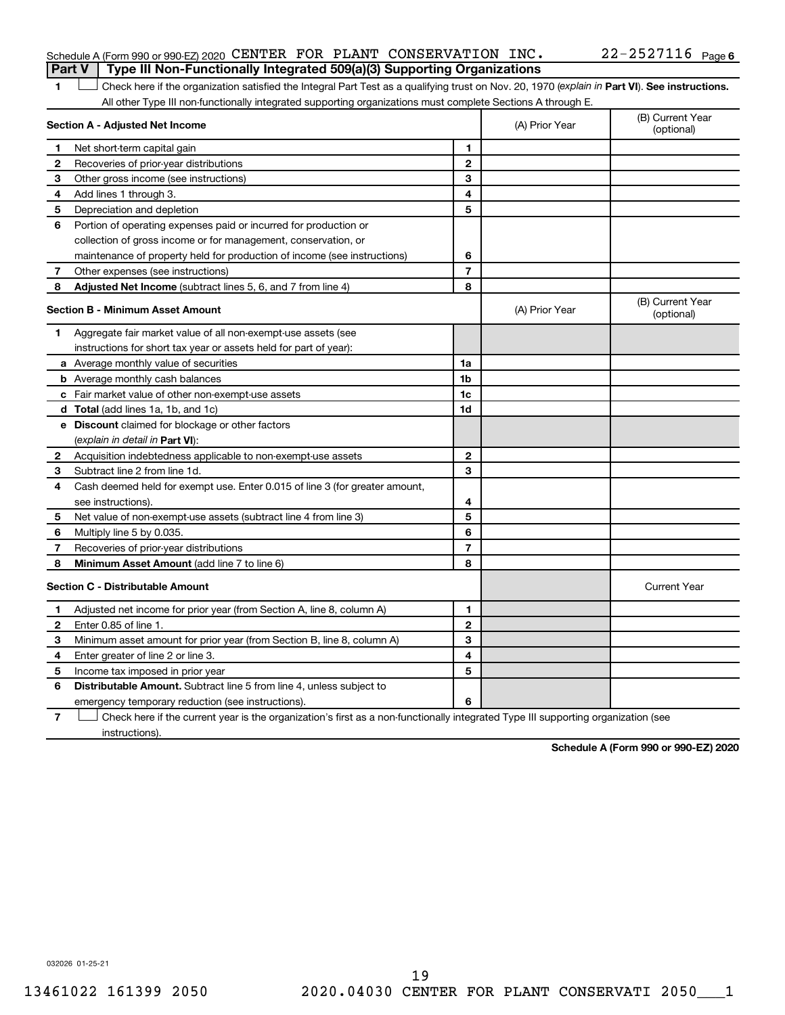#### Schedule A (Form 990 or 990-EZ) 2020 CENTER FOR PLANT CONSERVATION INC.  $22-2527116$  Page **Part V Type III Non-Functionally Integrated 509(a)(3) Supporting Organizations**

1 **Letter See instructions.** Check here if the organization satisfied the Integral Part Test as a qualifying trust on Nov. 20, 1970 (*explain in* Part **VI**). See instructions. All other Type III non-functionally integrated supporting organizations must complete Sections A through E.

| Section A - Adjusted Net Income |                                                                             |                | (A) Prior Year | (B) Current Year<br>(optional) |
|---------------------------------|-----------------------------------------------------------------------------|----------------|----------------|--------------------------------|
| 1                               | Net short-term capital gain                                                 | 1              |                |                                |
| $\mathbf{2}$                    | Recoveries of prior-year distributions                                      | $\mathbf{2}$   |                |                                |
| З                               | Other gross income (see instructions)                                       | 3              |                |                                |
| 4                               | Add lines 1 through 3.                                                      | 4              |                |                                |
| 5                               | Depreciation and depletion                                                  | 5              |                |                                |
| 6                               | Portion of operating expenses paid or incurred for production or            |                |                |                                |
|                                 | collection of gross income or for management, conservation, or              |                |                |                                |
|                                 | maintenance of property held for production of income (see instructions)    | 6              |                |                                |
| 7                               | Other expenses (see instructions)                                           | $\overline{7}$ |                |                                |
| 8                               | Adjusted Net Income (subtract lines 5, 6, and 7 from line 4)                | 8              |                |                                |
|                                 | <b>Section B - Minimum Asset Amount</b>                                     |                | (A) Prior Year | (B) Current Year<br>(optional) |
| 1                               | Aggregate fair market value of all non-exempt-use assets (see               |                |                |                                |
|                                 | instructions for short tax year or assets held for part of year):           |                |                |                                |
|                                 | a Average monthly value of securities                                       | 1a             |                |                                |
|                                 | <b>b</b> Average monthly cash balances                                      | 1 <sub>b</sub> |                |                                |
|                                 | <b>c</b> Fair market value of other non-exempt-use assets                   | 1 <sub>c</sub> |                |                                |
|                                 | <b>d</b> Total (add lines 1a, 1b, and 1c)                                   | 1d             |                |                                |
|                                 | e Discount claimed for blockage or other factors                            |                |                |                                |
|                                 | (explain in detail in <b>Part VI</b> ):                                     |                |                |                                |
| $\mathbf{2}$                    | Acquisition indebtedness applicable to non-exempt-use assets                | $\mathbf{2}$   |                |                                |
| 3                               | Subtract line 2 from line 1d.                                               | 3              |                |                                |
| 4                               | Cash deemed held for exempt use. Enter 0.015 of line 3 (for greater amount, |                |                |                                |
|                                 | see instructions).                                                          | 4              |                |                                |
| 5                               | Net value of non-exempt-use assets (subtract line 4 from line 3)            | 5              |                |                                |
| 6                               | Multiply line 5 by 0.035.                                                   | 6              |                |                                |
| 7                               | Recoveries of prior-year distributions                                      | $\overline{7}$ |                |                                |
| 8                               | <b>Minimum Asset Amount (add line 7 to line 6)</b>                          | 8              |                |                                |
|                                 | <b>Section C - Distributable Amount</b>                                     |                |                | <b>Current Year</b>            |
| 1.                              | Adjusted net income for prior year (from Section A, line 8, column A)       | 1              |                |                                |
| $\mathbf{2}$                    | Enter 0.85 of line 1.                                                       | $\mathbf{2}$   |                |                                |
| 3                               | Minimum asset amount for prior year (from Section B, line 8, column A)      | 3              |                |                                |
| 4                               | Enter greater of line 2 or line 3.                                          | 4              |                |                                |
| 5                               | Income tax imposed in prior year                                            | 5              |                |                                |
| 6                               | Distributable Amount. Subtract line 5 from line 4, unless subject to        |                |                |                                |
|                                 | emergency temporary reduction (see instructions).                           | 6              |                |                                |
|                                 |                                                                             |                |                |                                |

**7** Check here if the current year is the organization's first as a non-functionally integrated Type III supporting organization (see † instructions).

**Schedule A (Form 990 or 990-EZ) 2020**

032026 01-25-21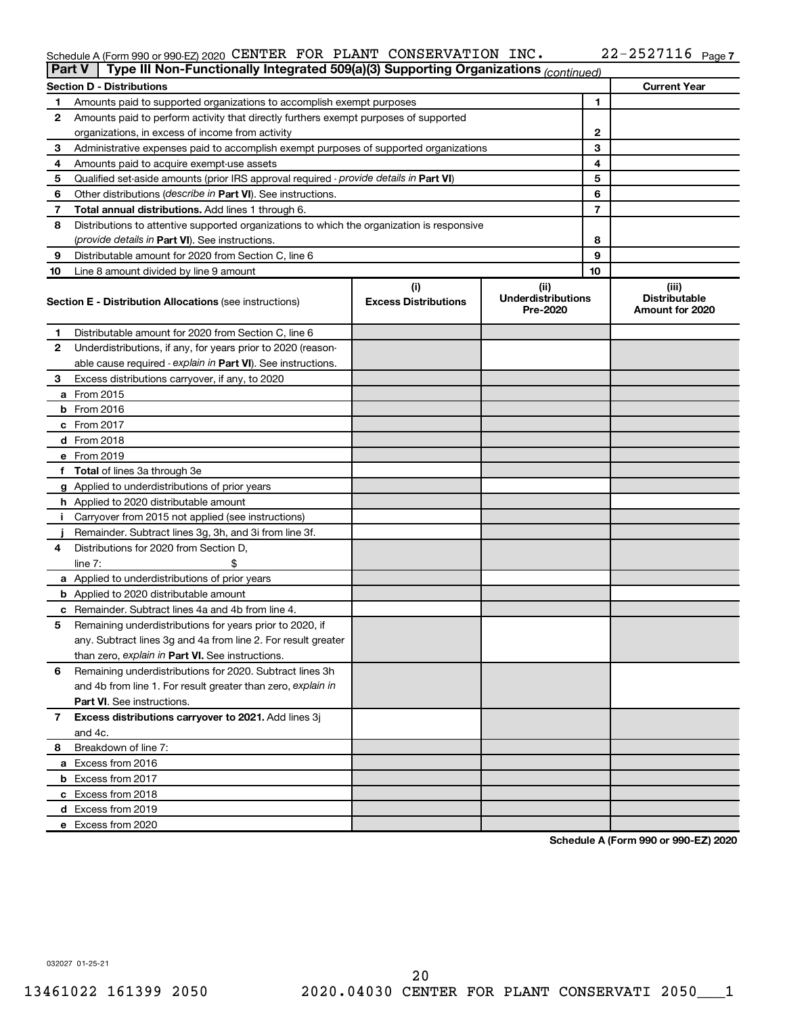#### Schedule A (Form 990 or 990-EZ) 2020 CENTER FOR PLANT CONSERVATION INC.  $ZZ - Z5Z / I16$  Page CENTER FOR PLANT CONSERVATION INC. 22-2527116

|    | Type III Non-Functionally Integrated 509(a)(3) Supporting Organizations (continued)<br><b>Part V</b> |                             |                                       |    |                                         |
|----|------------------------------------------------------------------------------------------------------|-----------------------------|---------------------------------------|----|-----------------------------------------|
|    | <b>Section D - Distributions</b>                                                                     |                             |                                       |    | <b>Current Year</b>                     |
| 1  | Amounts paid to supported organizations to accomplish exempt purposes                                |                             | 1                                     |    |                                         |
| 2  | Amounts paid to perform activity that directly furthers exempt purposes of supported                 |                             |                                       |    |                                         |
|    | organizations, in excess of income from activity                                                     |                             |                                       | 2  |                                         |
| 3  | Administrative expenses paid to accomplish exempt purposes of supported organizations                |                             |                                       | 3  |                                         |
| 4  | Amounts paid to acquire exempt-use assets                                                            |                             | 4                                     |    |                                         |
| 5  | Qualified set-aside amounts (prior IRS approval required - provide details in Part VI)               |                             | 5                                     |    |                                         |
| 6  | Other distributions ( <i>describe in Part VI</i> ). See instructions.                                |                             | 6                                     |    |                                         |
| 7  | Total annual distributions. Add lines 1 through 6.                                                   |                             |                                       | 7  |                                         |
| 8  | Distributions to attentive supported organizations to which the organization is responsive           |                             |                                       |    |                                         |
|    | (provide details in Part VI). See instructions.                                                      |                             |                                       | 8  |                                         |
| 9  | Distributable amount for 2020 from Section C, line 6                                                 |                             |                                       | 9  |                                         |
| 10 | Line 8 amount divided by line 9 amount                                                               |                             |                                       | 10 |                                         |
|    |                                                                                                      | (i)                         | (ii)                                  |    | (iii)                                   |
|    | <b>Section E - Distribution Allocations (see instructions)</b>                                       | <b>Excess Distributions</b> | <b>Underdistributions</b><br>Pre-2020 |    | <b>Distributable</b><br>Amount for 2020 |
| 1  | Distributable amount for 2020 from Section C, line 6                                                 |                             |                                       |    |                                         |
| 2  | Underdistributions, if any, for years prior to 2020 (reason-                                         |                             |                                       |    |                                         |
|    | able cause required - explain in Part VI). See instructions.                                         |                             |                                       |    |                                         |
| 3  | Excess distributions carryover, if any, to 2020                                                      |                             |                                       |    |                                         |
|    | a From 2015                                                                                          |                             |                                       |    |                                         |
|    | $b$ From 2016                                                                                        |                             |                                       |    |                                         |
|    | c From 2017                                                                                          |                             |                                       |    |                                         |
|    | <b>d</b> From 2018                                                                                   |                             |                                       |    |                                         |
|    | e From 2019                                                                                          |                             |                                       |    |                                         |
|    | f Total of lines 3a through 3e                                                                       |                             |                                       |    |                                         |
|    | g Applied to underdistributions of prior years                                                       |                             |                                       |    |                                         |
|    | <b>h</b> Applied to 2020 distributable amount                                                        |                             |                                       |    |                                         |
| Ť. | Carryover from 2015 not applied (see instructions)                                                   |                             |                                       |    |                                         |
|    | Remainder. Subtract lines 3g, 3h, and 3i from line 3f.                                               |                             |                                       |    |                                         |
| 4  | Distributions for 2020 from Section D,                                                               |                             |                                       |    |                                         |
|    | line 7:                                                                                              |                             |                                       |    |                                         |
|    | a Applied to underdistributions of prior years                                                       |                             |                                       |    |                                         |
|    | <b>b</b> Applied to 2020 distributable amount                                                        |                             |                                       |    |                                         |
|    | c Remainder. Subtract lines 4a and 4b from line 4.                                                   |                             |                                       |    |                                         |
| 5  | Remaining underdistributions for years prior to 2020, if                                             |                             |                                       |    |                                         |
|    | any. Subtract lines 3g and 4a from line 2. For result greater                                        |                             |                                       |    |                                         |
|    | than zero, explain in Part VI. See instructions.                                                     |                             |                                       |    |                                         |
| 6  | Remaining underdistributions for 2020. Subtract lines 3h                                             |                             |                                       |    |                                         |
|    | and 4b from line 1. For result greater than zero, explain in                                         |                             |                                       |    |                                         |
|    | <b>Part VI.</b> See instructions.                                                                    |                             |                                       |    |                                         |
| 7  | Excess distributions carryover to 2021. Add lines 3j                                                 |                             |                                       |    |                                         |
|    | and 4c.                                                                                              |                             |                                       |    |                                         |
| 8  | Breakdown of line 7:                                                                                 |                             |                                       |    |                                         |
|    | a Excess from 2016                                                                                   |                             |                                       |    |                                         |
|    | <b>b</b> Excess from 2017                                                                            |                             |                                       |    |                                         |
|    | c Excess from 2018                                                                                   |                             |                                       |    |                                         |
|    |                                                                                                      |                             |                                       |    |                                         |
|    | d Excess from 2019<br>e Excess from 2020                                                             |                             |                                       |    |                                         |
|    |                                                                                                      |                             |                                       |    |                                         |

**Schedule A (Form 990 or 990-EZ) 2020**

032027 01-25-21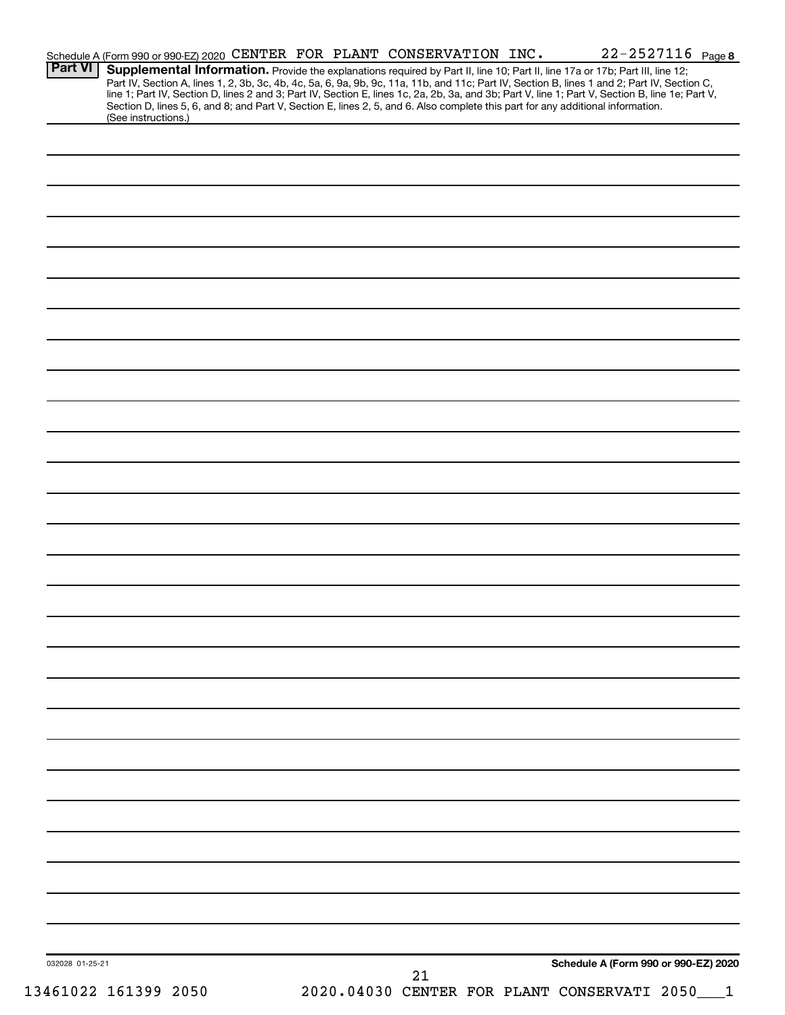| Part VI         | Schedule A (Form 990 or 990-EZ) 2020 CENTER FOR PLANT CONSERVATION INC.<br>Supplemental Information. Provide the explanations required by Part II, line 10; Part II, line 17a or 17b; Part III, line 12;                                                                            |  |    |  | 22-2527116 Page 8                               |  |
|-----------------|-------------------------------------------------------------------------------------------------------------------------------------------------------------------------------------------------------------------------------------------------------------------------------------|--|----|--|-------------------------------------------------|--|
|                 | Part IV, Section A, lines 1, 2, 3b, 3c, 4b, 4c, 5a, 6, 9a, 9b, 9c, 11a, 11b, and 11c; Part IV, Section B, lines 1 and 2; Part IV, Section C,                                                                                                                                        |  |    |  |                                                 |  |
|                 | line 1; Part IV, Section D, lines 2 and 3; Part IV, Section E, lines 1c, 2a, 2b, 3a, and 3b; Part V, line 1; Part V, Section B, line 1e; Part V,<br>Section D, lines 5, 6, and 8; and Part V, Section E, lines 2, 5, and 6. Also complete this part for any additional information. |  |    |  |                                                 |  |
|                 | (See instructions.)                                                                                                                                                                                                                                                                 |  |    |  |                                                 |  |
|                 |                                                                                                                                                                                                                                                                                     |  |    |  |                                                 |  |
|                 |                                                                                                                                                                                                                                                                                     |  |    |  |                                                 |  |
|                 |                                                                                                                                                                                                                                                                                     |  |    |  |                                                 |  |
|                 |                                                                                                                                                                                                                                                                                     |  |    |  |                                                 |  |
|                 |                                                                                                                                                                                                                                                                                     |  |    |  |                                                 |  |
|                 |                                                                                                                                                                                                                                                                                     |  |    |  |                                                 |  |
|                 |                                                                                                                                                                                                                                                                                     |  |    |  |                                                 |  |
|                 |                                                                                                                                                                                                                                                                                     |  |    |  |                                                 |  |
|                 |                                                                                                                                                                                                                                                                                     |  |    |  |                                                 |  |
|                 |                                                                                                                                                                                                                                                                                     |  |    |  |                                                 |  |
|                 |                                                                                                                                                                                                                                                                                     |  |    |  |                                                 |  |
|                 |                                                                                                                                                                                                                                                                                     |  |    |  |                                                 |  |
|                 |                                                                                                                                                                                                                                                                                     |  |    |  |                                                 |  |
|                 |                                                                                                                                                                                                                                                                                     |  |    |  |                                                 |  |
|                 |                                                                                                                                                                                                                                                                                     |  |    |  |                                                 |  |
|                 |                                                                                                                                                                                                                                                                                     |  |    |  |                                                 |  |
|                 |                                                                                                                                                                                                                                                                                     |  |    |  |                                                 |  |
|                 |                                                                                                                                                                                                                                                                                     |  |    |  |                                                 |  |
|                 |                                                                                                                                                                                                                                                                                     |  |    |  |                                                 |  |
|                 |                                                                                                                                                                                                                                                                                     |  |    |  |                                                 |  |
|                 |                                                                                                                                                                                                                                                                                     |  |    |  |                                                 |  |
|                 |                                                                                                                                                                                                                                                                                     |  |    |  |                                                 |  |
|                 |                                                                                                                                                                                                                                                                                     |  |    |  |                                                 |  |
|                 |                                                                                                                                                                                                                                                                                     |  |    |  |                                                 |  |
|                 |                                                                                                                                                                                                                                                                                     |  |    |  |                                                 |  |
|                 |                                                                                                                                                                                                                                                                                     |  |    |  |                                                 |  |
|                 |                                                                                                                                                                                                                                                                                     |  |    |  |                                                 |  |
|                 |                                                                                                                                                                                                                                                                                     |  |    |  |                                                 |  |
|                 |                                                                                                                                                                                                                                                                                     |  |    |  |                                                 |  |
|                 |                                                                                                                                                                                                                                                                                     |  |    |  |                                                 |  |
|                 |                                                                                                                                                                                                                                                                                     |  |    |  |                                                 |  |
|                 |                                                                                                                                                                                                                                                                                     |  |    |  |                                                 |  |
|                 |                                                                                                                                                                                                                                                                                     |  |    |  |                                                 |  |
|                 |                                                                                                                                                                                                                                                                                     |  |    |  |                                                 |  |
|                 |                                                                                                                                                                                                                                                                                     |  |    |  |                                                 |  |
|                 |                                                                                                                                                                                                                                                                                     |  |    |  |                                                 |  |
|                 |                                                                                                                                                                                                                                                                                     |  |    |  |                                                 |  |
|                 |                                                                                                                                                                                                                                                                                     |  |    |  |                                                 |  |
|                 |                                                                                                                                                                                                                                                                                     |  |    |  |                                                 |  |
|                 |                                                                                                                                                                                                                                                                                     |  |    |  |                                                 |  |
|                 |                                                                                                                                                                                                                                                                                     |  |    |  |                                                 |  |
|                 |                                                                                                                                                                                                                                                                                     |  |    |  |                                                 |  |
|                 |                                                                                                                                                                                                                                                                                     |  |    |  |                                                 |  |
|                 |                                                                                                                                                                                                                                                                                     |  |    |  |                                                 |  |
|                 |                                                                                                                                                                                                                                                                                     |  |    |  |                                                 |  |
|                 |                                                                                                                                                                                                                                                                                     |  |    |  |                                                 |  |
|                 |                                                                                                                                                                                                                                                                                     |  |    |  |                                                 |  |
|                 |                                                                                                                                                                                                                                                                                     |  |    |  |                                                 |  |
|                 |                                                                                                                                                                                                                                                                                     |  |    |  |                                                 |  |
|                 |                                                                                                                                                                                                                                                                                     |  |    |  |                                                 |  |
|                 |                                                                                                                                                                                                                                                                                     |  |    |  |                                                 |  |
|                 |                                                                                                                                                                                                                                                                                     |  |    |  |                                                 |  |
| 032028 01-25-21 |                                                                                                                                                                                                                                                                                     |  | 21 |  | Schedule A (Form 990 or 990-EZ) 2020            |  |
|                 | 13461022 161399 2050                                                                                                                                                                                                                                                                |  |    |  | 2020.04030 CENTER FOR PLANT CONSERVATI 2050___1 |  |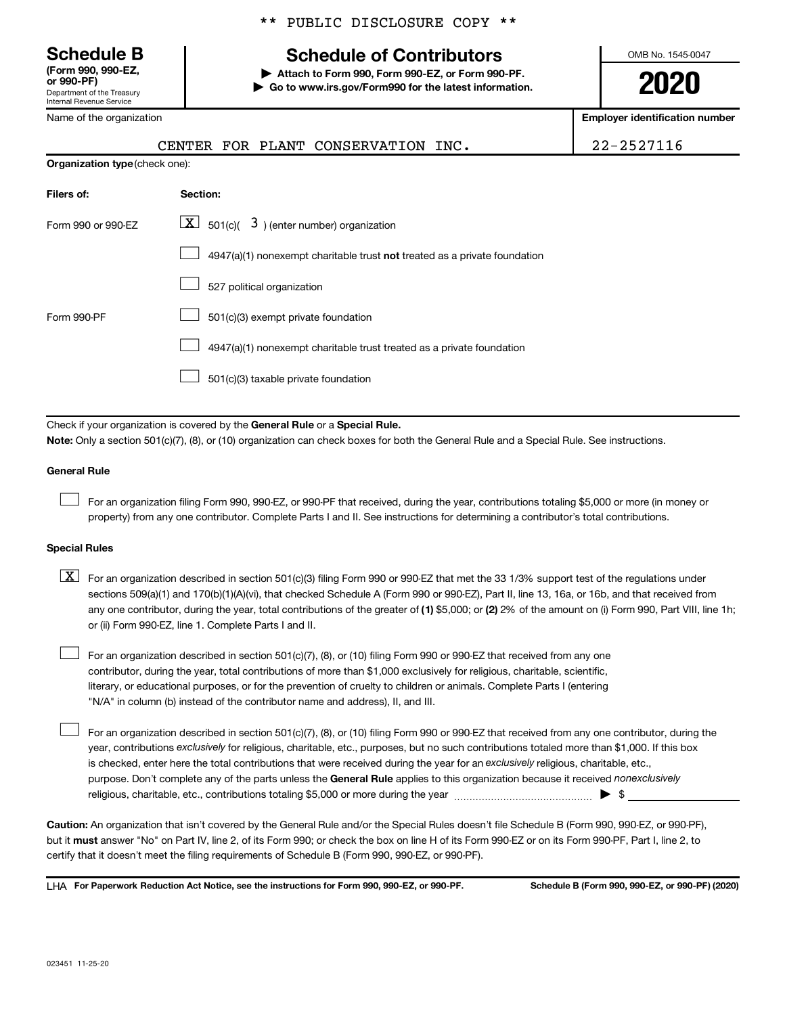Department of the Treasury Internal Revenue Service **(Form 990, 990-EZ,**

Name of the organization

### \*\* PUBLIC DISCLOSURE COPY \*\*

## **Schedule B Schedule of Contributors**

**or 990-PF) | Attach to Form 990, Form 990-EZ, or Form 990-PF. | Go to www.irs.gov/Form990 for the latest information.** OMB No. 1545-0047

**2020**

**Employer identification number**

| Name of the organization              |                                                                                                                                           | Employer identification |
|---------------------------------------|-------------------------------------------------------------------------------------------------------------------------------------------|-------------------------|
|                                       | CENTER FOR PLANT CONSERVATION INC.                                                                                                        | 22-2527116              |
| <b>Organization type (check one):</b> |                                                                                                                                           |                         |
| Filers of:                            | Section:                                                                                                                                  |                         |
| Form 990 or 990-EZ                    | $\underline{\mathbf{X}}$ 501(c)( 3) (enter number) organization                                                                           |                         |
|                                       | $4947(a)(1)$ nonexempt charitable trust not treated as a private foundation                                                               |                         |
|                                       | 527 political organization                                                                                                                |                         |
| Form 990-PF                           | 501(c)(3) exempt private foundation                                                                                                       |                         |
|                                       | 4947(a)(1) nonexempt charitable trust treated as a private foundation                                                                     |                         |
|                                       | 501(c)(3) taxable private foundation                                                                                                      |                         |
|                                       |                                                                                                                                           |                         |
|                                       | Check if your organization is covered by the General Rule or a Special Rule.                                                              |                         |
|                                       | Note: Only a section 501(c)(7), (8), or (10) organization can check boxes for both the General Rule and a Special Rule. See instructions. |                         |

**General Rule**

 $\Box$ 

 $\Box$ 

For an organization filing Form 990, 990-EZ, or 990-PF that received, during the year, contributions totaling \$5,000 or more (in money or property) from any one contributor. Complete Parts I and II. See instructions for determining a contributor's total contributions.

#### **Special Rules**

any one contributor, during the year, total contributions of the greater of (1) \$5,000; or (2) 2% of the amount on (i) Form 990, Part VIII, line 1h;  $\boxed{\text{X}}$  For an organization described in section 501(c)(3) filing Form 990 or 990-EZ that met the 33 1/3% support test of the regulations under sections 509(a)(1) and 170(b)(1)(A)(vi), that checked Schedule A (Form 990 or 990-EZ), Part II, line 13, 16a, or 16b, and that received from or (ii) Form 990-EZ, line 1. Complete Parts I and II.

For an organization described in section 501(c)(7), (8), or (10) filing Form 990 or 990-EZ that received from any one contributor, during the year, total contributions of more than \$1,000 exclusively for religious, charitable, scientific, literary, or educational purposes, or for the prevention of cruelty to children or animals. Complete Parts I (entering "N/A" in column (b) instead of the contributor name and address), II, and III.  $\Box$ 

purpose. Don't complete any of the parts unless the General Rule applies to this organization because it received nonexclusively year, contributions exclusively for religious, charitable, etc., purposes, but no such contributions totaled more than \$1,000. If this box is checked, enter here the total contributions that were received during the year for an exclusively religious, charitable, etc., For an organization described in section 501(c)(7), (8), or (10) filing Form 990 or 990-EZ that received from any one contributor, during the religious, charitable, etc., contributions totaling \$5,000 or more during the year  $~\ldots\ldots\ldots\ldots\ldots\ldots\ldots\ldots\blacktriangleright~$ \$

**Caution:**  An organization that isn't covered by the General Rule and/or the Special Rules doesn't file Schedule B (Form 990, 990-EZ, or 990-PF),  **must** but it answer "No" on Part IV, line 2, of its Form 990; or check the box on line H of its Form 990-EZ or on its Form 990-PF, Part I, line 2, to certify that it doesn't meet the filing requirements of Schedule B (Form 990, 990-EZ, or 990-PF).

**For Paperwork Reduction Act Notice, see the instructions for Form 990, 990-EZ, or 990-PF. Schedule B (Form 990, 990-EZ, or 990-PF) (2020)** LHA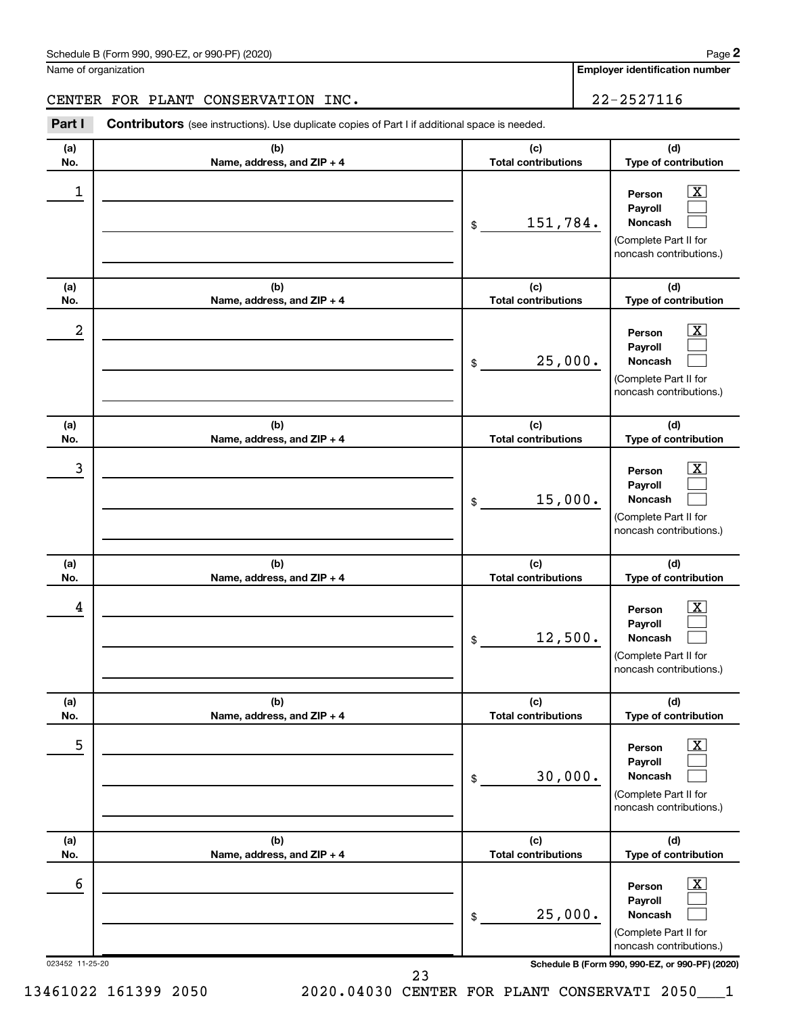| Schedule B (Form 990, 990-EZ, or 990-PF) (2020)<br>. The state of the state $\mathcal{L}$ is the state of the state of the state of the state of the state of the state of the state of the state of the state of the state of the state of the state of the state of the state of th | Page |
|---------------------------------------------------------------------------------------------------------------------------------------------------------------------------------------------------------------------------------------------------------------------------------------|------|
|---------------------------------------------------------------------------------------------------------------------------------------------------------------------------------------------------------------------------------------------------------------------------------------|------|

Name of organization

## CENTER FOR PLANT CONSERVATION INC. 22-2527116

**Part I** Contributors (see instructions). Use duplicate copies of Part I if additional space is needed.

| (a)                  |                                   |                                   |                                                                                                                                                              |
|----------------------|-----------------------------------|-----------------------------------|--------------------------------------------------------------------------------------------------------------------------------------------------------------|
| No.                  | (b)<br>Name, address, and ZIP + 4 | (c)<br><b>Total contributions</b> | (d)<br>Type of contribution                                                                                                                                  |
| 1                    |                                   | 151,784.<br>\$                    | x<br>Person<br>Pavroll<br>Noncash<br>(Complete Part II for<br>noncash contributions.)                                                                        |
| (a)<br>No.           | (b)<br>Name, address, and ZIP + 4 | (c)<br><b>Total contributions</b> | (d)<br>Type of contribution                                                                                                                                  |
| 2                    |                                   | 25,000.<br>\$                     | x<br>Person<br>Payroll<br>Noncash<br>(Complete Part II for<br>noncash contributions.)                                                                        |
| (a)<br>No.           | (b)<br>Name, address, and ZIP + 4 | (c)<br><b>Total contributions</b> | (d)<br>Type of contribution                                                                                                                                  |
| 3                    |                                   | 15,000.<br>\$                     | х<br>Person<br>Payroll<br>Noncash<br>(Complete Part II for<br>noncash contributions.)                                                                        |
| (a)<br>No.           | (b)<br>Name, address, and ZIP + 4 | (c)<br><b>Total contributions</b> | (d)<br>Type of contribution                                                                                                                                  |
|                      |                                   |                                   |                                                                                                                                                              |
| 4                    |                                   | 12,500.<br>\$                     | х<br>Person<br>Payroll<br>Noncash<br>(Complete Part II for<br>noncash contributions.)                                                                        |
| (a)<br>No.           | (b)<br>Name, address, and ZIP + 4 | (c)<br><b>Total contributions</b> | (d)<br>Type of contribution                                                                                                                                  |
| 5                    |                                   | 30,000.<br>\$                     | $\overline{\text{X}}$<br>Person<br>Payroll<br>Noncash<br>(Complete Part II for<br>noncash contributions.)                                                    |
| (a)<br>No.           | (b)<br>Name, address, and ZIP + 4 | (c)<br><b>Total contributions</b> | (d)<br>Type of contribution                                                                                                                                  |
| 6<br>023452 11-25-20 | 23                                | 25,000.<br>\$                     | $\overline{\text{X}}$<br>Person<br>Payroll<br>Noncash<br>(Complete Part II for<br>noncash contributions.)<br>Schedule B (Form 990, 990-EZ, or 990-PF) (2020) |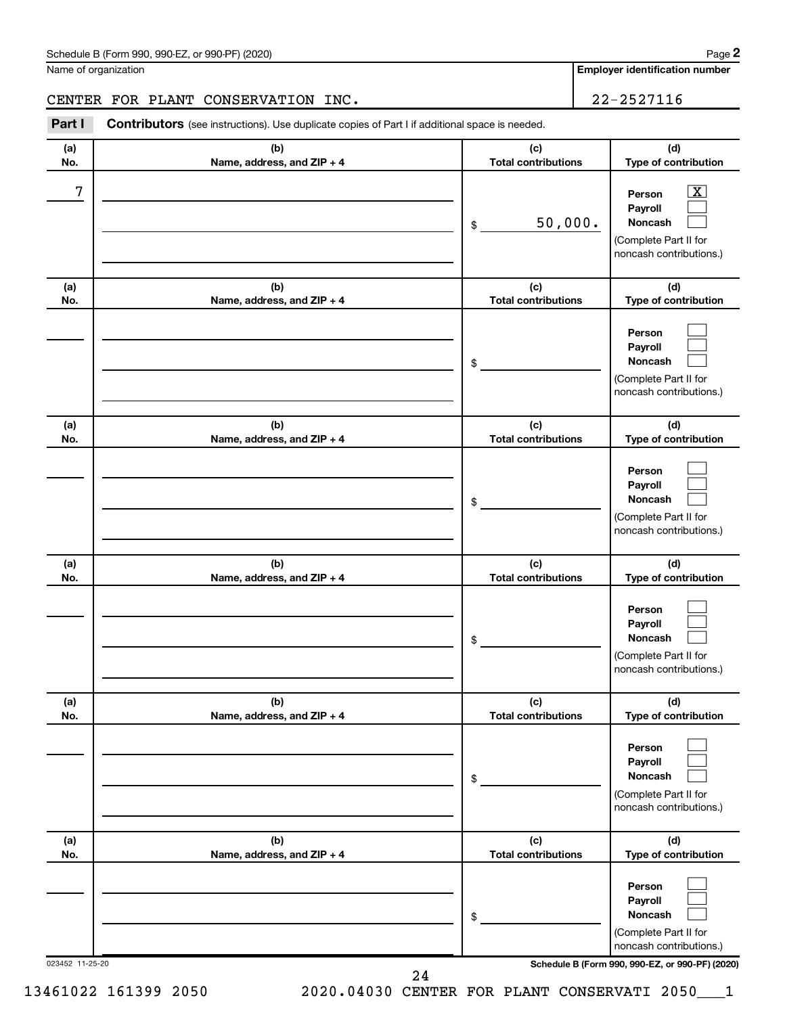| Schedule B (Form 990, 990-EZ, or 990-PF) (2020)<br>. The state of the state $\mathcal{L}$ is the state of the state of the state of the state of the state of the state of the state of the state of the state of the state of the state of the state of the state of the state of th | Page |
|---------------------------------------------------------------------------------------------------------------------------------------------------------------------------------------------------------------------------------------------------------------------------------------|------|
|---------------------------------------------------------------------------------------------------------------------------------------------------------------------------------------------------------------------------------------------------------------------------------------|------|

Name of organization

## CENTER FOR PLANT CONSERVATION INC. 22-2527116

**Part I** Contributors (see instructions). Use duplicate copies of Part I if additional space is needed.

| (a)<br>No.      | (b)<br>Name, address, and ZIP + 4 | (c)<br><b>Total contributions</b> | (d)<br>Type of contribution                                                                                 |
|-----------------|-----------------------------------|-----------------------------------|-------------------------------------------------------------------------------------------------------------|
| 7               |                                   | 50,000.<br>\$                     | $\overline{\mathbf{X}}$<br>Person<br>Payroll<br>Noncash<br>(Complete Part II for<br>noncash contributions.) |
| (a)<br>No.      | (b)<br>Name, address, and ZIP + 4 | (c)<br><b>Total contributions</b> | (d)<br>Type of contribution                                                                                 |
|                 |                                   | \$                                | Person<br>Payroll<br>Noncash<br>(Complete Part II for<br>noncash contributions.)                            |
| (a)<br>No.      | (b)<br>Name, address, and ZIP + 4 | (c)<br><b>Total contributions</b> | (d)<br>Type of contribution                                                                                 |
|                 |                                   | \$                                | Person<br>Payroll<br>Noncash<br>(Complete Part II for<br>noncash contributions.)                            |
| (a)<br>No.      | (b)<br>Name, address, and ZIP + 4 | (c)<br><b>Total contributions</b> | (d)<br>Type of contribution                                                                                 |
|                 |                                   | \$                                | Person<br>Payroll<br>Noncash<br>(Complete Part II for<br>noncash contributions.)                            |
| (a)<br>No.      | (b)<br>Name, address, and ZIP + 4 | (c)<br><b>Total contributions</b> | (d)<br>Type of contribution                                                                                 |
|                 |                                   | \$                                | Person<br>Payroll<br>Noncash<br>(Complete Part II for<br>noncash contributions.)                            |
| (a)<br>No.      | (b)<br>Name, address, and ZIP + 4 | (c)<br><b>Total contributions</b> | (d)<br>Type of contribution                                                                                 |
|                 |                                   | \$                                | Person<br>Payroll<br>Noncash<br>(Complete Part II for<br>noncash contributions.)                            |
| 023452 11-25-20 |                                   |                                   | Schedule B (Form 990, 990-EZ, or 990-PF) (2020)                                                             |

13461022 161399 2050 2020.04030 CENTER FOR PLANT CONSERVATI 2050\_\_\_1

24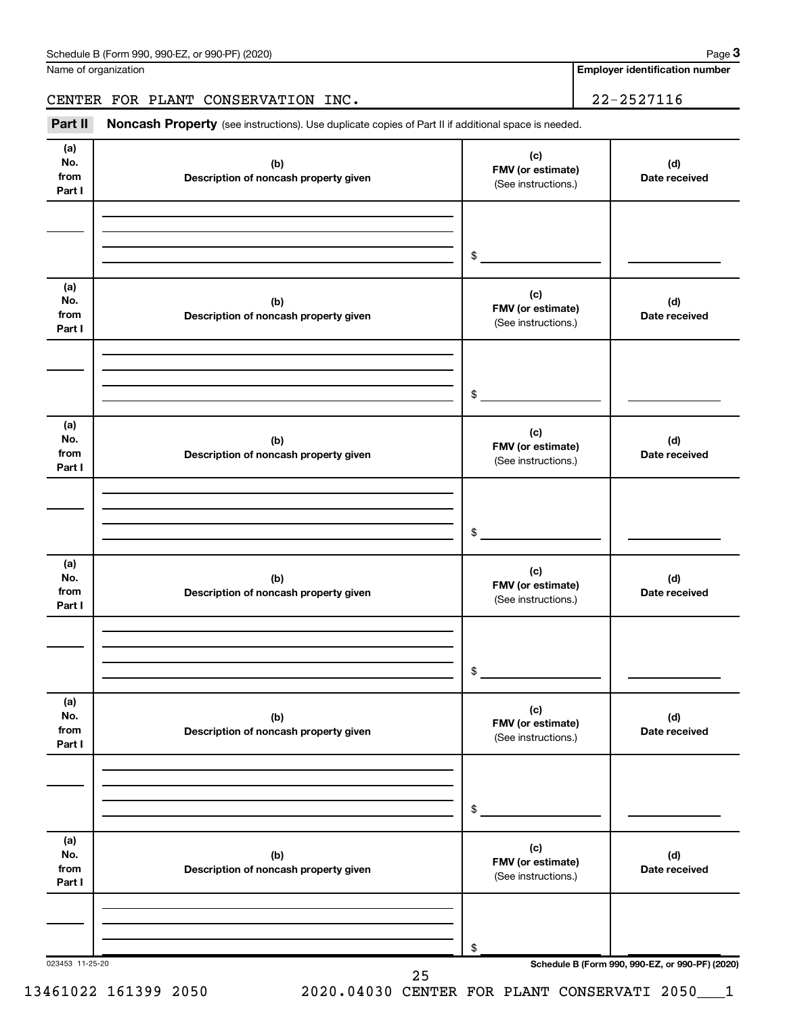Name of organization

**Employer identification number**

CENTER FOR PLANT CONSERVATION INC. 22-2527116

Part II Noncash Property (see instructions). Use duplicate copies of Part II if additional space is needed.

| (a)<br>No.<br>from<br>Part I | (b)<br>Description of noncash property given | (c)<br>FMV (or estimate)<br>(See instructions.) | (d)<br>Date received                            |
|------------------------------|----------------------------------------------|-------------------------------------------------|-------------------------------------------------|
|                              |                                              |                                                 |                                                 |
|                              |                                              | $\frac{1}{2}$                                   |                                                 |
| (a)<br>No.<br>from<br>Part I | (b)<br>Description of noncash property given | (c)<br>FMV (or estimate)<br>(See instructions.) | (d)<br>Date received                            |
|                              |                                              |                                                 |                                                 |
|                              |                                              | $\frac{1}{2}$                                   |                                                 |
| (a)<br>No.<br>from<br>Part I | (b)<br>Description of noncash property given | (c)<br>FMV (or estimate)<br>(See instructions.) | (d)<br>Date received                            |
|                              |                                              |                                                 |                                                 |
|                              |                                              | \$                                              |                                                 |
| (a)<br>No.<br>from<br>Part I | (b)<br>Description of noncash property given | (c)<br>FMV (or estimate)<br>(See instructions.) | (d)<br>Date received                            |
|                              |                                              |                                                 |                                                 |
|                              |                                              | \$                                              |                                                 |
| (a)<br>No.<br>from<br>Part I | (b)<br>Description of noncash property given | (c)<br>FMV (or estimate)<br>(See instructions.) | (d)<br>Date received                            |
|                              |                                              |                                                 |                                                 |
|                              |                                              | \$                                              |                                                 |
| (a)<br>No.<br>from<br>Part I | (b)<br>Description of noncash property given | (c)<br>FMV (or estimate)<br>(See instructions.) | (d)<br>Date received                            |
|                              |                                              |                                                 |                                                 |
|                              |                                              | \$                                              |                                                 |
| 023453 11-25-20              | 25                                           |                                                 | Schedule B (Form 990, 990-EZ, or 990-PF) (2020) |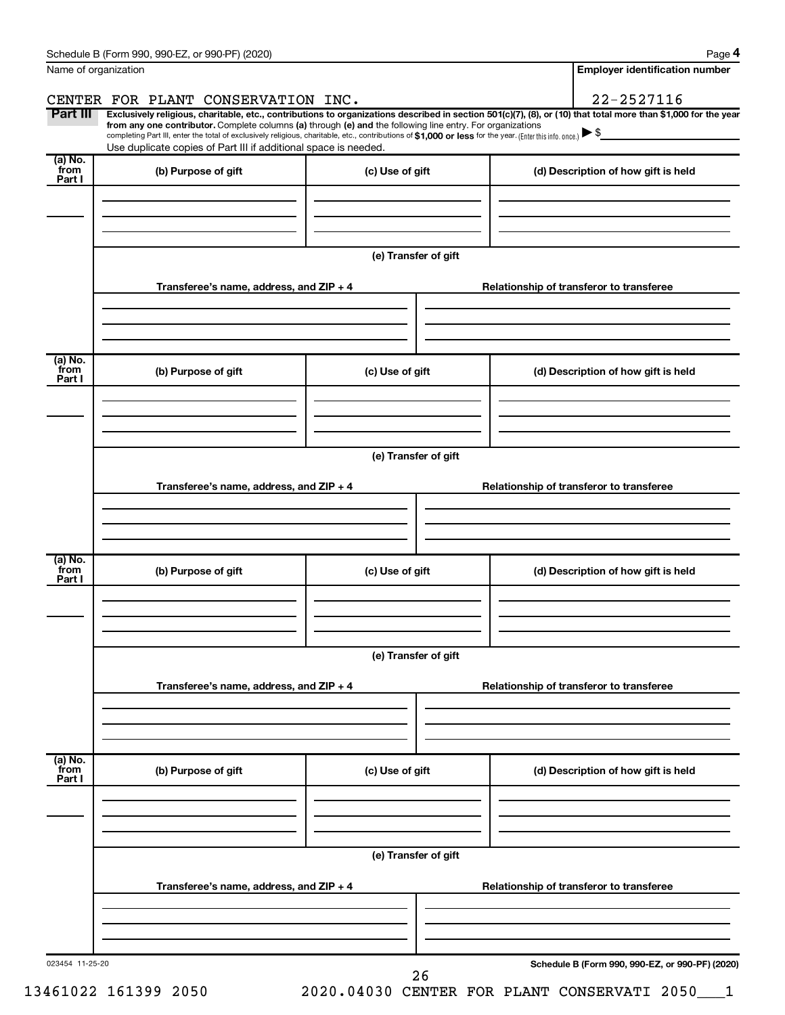|                             | Schedule B (Form 990, 990-EZ, or 990-PF) (2020)                                                                                                                                                                                                                                                                                                                    |                      | Page 4                                                                                                                                                         |  |  |  |  |
|-----------------------------|--------------------------------------------------------------------------------------------------------------------------------------------------------------------------------------------------------------------------------------------------------------------------------------------------------------------------------------------------------------------|----------------------|----------------------------------------------------------------------------------------------------------------------------------------------------------------|--|--|--|--|
| Name of organization        |                                                                                                                                                                                                                                                                                                                                                                    |                      | <b>Employer identification number</b>                                                                                                                          |  |  |  |  |
|                             | CENTER FOR PLANT CONSERVATION INC.                                                                                                                                                                                                                                                                                                                                 |                      | 22-2527116                                                                                                                                                     |  |  |  |  |
| Part III                    | from any one contributor. Complete columns (a) through (e) and the following line entry. For organizations<br>completing Part III, enter the total of exclusively religious, charitable, etc., contributions of \$1,000 or less for the year. (Enter this info. once.) $\blacktriangleright$ \$<br>Use duplicate copies of Part III if additional space is needed. |                      | Exclusively religious, charitable, etc., contributions to organizations described in section 501(c)(7), (8), or (10) that total more than \$1,000 for the year |  |  |  |  |
| $(a)$ No.<br>from           | (b) Purpose of gift                                                                                                                                                                                                                                                                                                                                                | (c) Use of gift      |                                                                                                                                                                |  |  |  |  |
| Part I                      |                                                                                                                                                                                                                                                                                                                                                                    |                      | (d) Description of how gift is held                                                                                                                            |  |  |  |  |
|                             |                                                                                                                                                                                                                                                                                                                                                                    | (e) Transfer of gift |                                                                                                                                                                |  |  |  |  |
|                             | Transferee's name, address, and ZIP + 4                                                                                                                                                                                                                                                                                                                            |                      | Relationship of transferor to transferee                                                                                                                       |  |  |  |  |
| (a) No.<br>from<br>Part I   | (b) Purpose of gift                                                                                                                                                                                                                                                                                                                                                | (c) Use of gift      | (d) Description of how gift is held                                                                                                                            |  |  |  |  |
|                             |                                                                                                                                                                                                                                                                                                                                                                    |                      |                                                                                                                                                                |  |  |  |  |
|                             | Transferee's name, address, and ZIP + 4                                                                                                                                                                                                                                                                                                                            | (e) Transfer of gift | Relationship of transferor to transferee                                                                                                                       |  |  |  |  |
|                             |                                                                                                                                                                                                                                                                                                                                                                    |                      |                                                                                                                                                                |  |  |  |  |
| $(a)$ No.<br>from<br>Part I | (b) Purpose of gift                                                                                                                                                                                                                                                                                                                                                | (c) Use of gift      | (d) Description of how gift is held                                                                                                                            |  |  |  |  |
|                             |                                                                                                                                                                                                                                                                                                                                                                    |                      |                                                                                                                                                                |  |  |  |  |
|                             | (e) Transfer of gift                                                                                                                                                                                                                                                                                                                                               |                      |                                                                                                                                                                |  |  |  |  |
|                             | Transferee's name, address, and ZIP + 4                                                                                                                                                                                                                                                                                                                            |                      | Relationship of transferor to transferee                                                                                                                       |  |  |  |  |
| (a) No.<br>from<br>Part I   | (b) Purpose of gift                                                                                                                                                                                                                                                                                                                                                | (c) Use of gift      | (d) Description of how gift is held                                                                                                                            |  |  |  |  |
|                             |                                                                                                                                                                                                                                                                                                                                                                    |                      |                                                                                                                                                                |  |  |  |  |
|                             | (e) Transfer of gift                                                                                                                                                                                                                                                                                                                                               |                      |                                                                                                                                                                |  |  |  |  |
|                             | Transferee's name, address, and ZIP + 4                                                                                                                                                                                                                                                                                                                            |                      | Relationship of transferor to transferee                                                                                                                       |  |  |  |  |
| 023454 11-25-20             |                                                                                                                                                                                                                                                                                                                                                                    | 26                   | Schedule B (Form 990, 990-EZ, or 990-PF) (2020)                                                                                                                |  |  |  |  |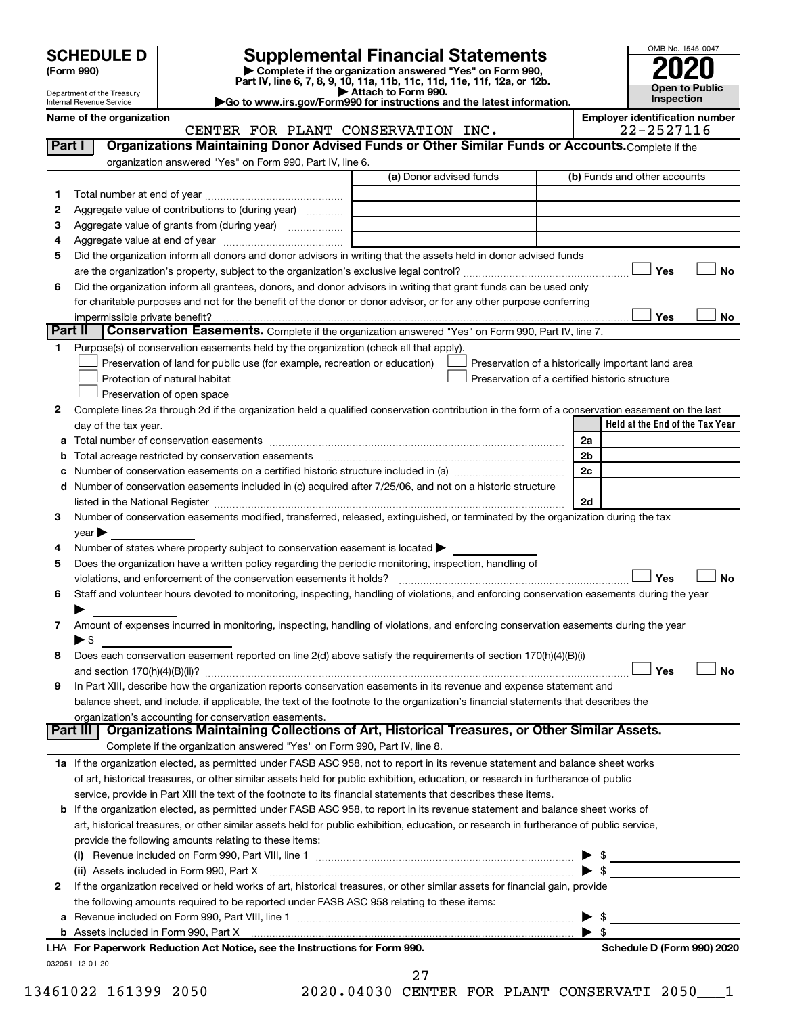Department of the Treasury Internal Revenue Service

| (Form 990) |  |
|------------|--|
|------------|--|

# **SCHEDULE D Supplemental Financial Statements**<br> **Form 990 2020**<br> **Part IV** line 6.7.8.9.10, 11a, 11b, 11d, 11d, 11d, 11d, 11d, 12a, 0r, 12b

**(Form 990) | Complete if the organization answered "Yes" on Form 990, Part IV, line 6, 7, 8, 9, 10, 11a, 11b, 11c, 11d, 11e, 11f, 12a, or 12b.**

**| Attach to Form 990. |Go to www.irs.gov/Form990 for instructions and the latest information.**



Name of the organization<br>**CENTER FOR PLANT CONSERVATION INC.** Employer identification number<br>22-2527116 CENTER FOR PLANT CONSERVATION INC.

|         |                                                                                                                                                                                                                               | (a) Donor advised funds | (b) Funds and other accounts                          |
|---------|-------------------------------------------------------------------------------------------------------------------------------------------------------------------------------------------------------------------------------|-------------------------|-------------------------------------------------------|
| 1       |                                                                                                                                                                                                                               |                         |                                                       |
| 2       | Aggregate value of contributions to (during year)                                                                                                                                                                             |                         |                                                       |
| 3       |                                                                                                                                                                                                                               |                         |                                                       |
| 4       |                                                                                                                                                                                                                               |                         |                                                       |
| 5       | Did the organization inform all donors and donor advisors in writing that the assets held in donor advised funds                                                                                                              |                         |                                                       |
|         |                                                                                                                                                                                                                               |                         | Yes                                                   |
| 6       | Did the organization inform all grantees, donors, and donor advisors in writing that grant funds can be used only                                                                                                             |                         |                                                       |
|         | for charitable purposes and not for the benefit of the donor or donor advisor, or for any other purpose conferring                                                                                                            |                         |                                                       |
|         |                                                                                                                                                                                                                               |                         | Yes                                                   |
| Part II | Conservation Easements. Complete if the organization answered "Yes" on Form 990, Part IV, line 7.                                                                                                                             |                         |                                                       |
| 1.      | Purpose(s) of conservation easements held by the organization (check all that apply).                                                                                                                                         |                         |                                                       |
|         | Preservation of land for public use (for example, recreation or education)                                                                                                                                                    |                         | Preservation of a historically important land area    |
|         | Protection of natural habitat                                                                                                                                                                                                 |                         | Preservation of a certified historic structure        |
|         | Preservation of open space                                                                                                                                                                                                    |                         |                                                       |
| 2       | Complete lines 2a through 2d if the organization held a qualified conservation contribution in the form of a conservation easement on the last                                                                                |                         |                                                       |
|         | day of the tax year.                                                                                                                                                                                                          |                         | Held at the End of the Tax Year                       |
| а       |                                                                                                                                                                                                                               |                         | 2a                                                    |
| b       | Total acreage restricted by conservation easements                                                                                                                                                                            |                         | 2b                                                    |
|         | Number of conservation easements on a certified historic structure included in (a) manufacture included in (a)                                                                                                                |                         | 2c                                                    |
| d       | Number of conservation easements included in (c) acquired after 7/25/06, and not on a historic structure                                                                                                                      |                         |                                                       |
|         | listed in the National Register [111] Marshall Register [11] Marshall Register [11] Marshall Register [11] Marshall Register [11] Marshall Register [11] Marshall Register [11] Marshall Register [11] Marshall Register [11] |                         | 2d                                                    |
| 3       | Number of conservation easements modified, transferred, released, extinguished, or terminated by the organization during the tax                                                                                              |                         |                                                       |
|         | year                                                                                                                                                                                                                          |                         |                                                       |
| 4       | Number of states where property subject to conservation easement is located >                                                                                                                                                 |                         |                                                       |
| 5       | Does the organization have a written policy regarding the periodic monitoring, inspection, handling of                                                                                                                        |                         |                                                       |
|         |                                                                                                                                                                                                                               |                         | Yes                                                   |
| 6       | Staff and volunteer hours devoted to monitoring, inspecting, handling of violations, and enforcing conservation easements during the year                                                                                     |                         |                                                       |
|         |                                                                                                                                                                                                                               |                         |                                                       |
| 7       | Amount of expenses incurred in monitoring, inspecting, handling of violations, and enforcing conservation easements during the year                                                                                           |                         |                                                       |
|         | $\blacktriangleright$ \$                                                                                                                                                                                                      |                         |                                                       |
| 8       | Does each conservation easement reported on line 2(d) above satisfy the requirements of section 170(h)(4)(B)(i)                                                                                                               |                         |                                                       |
|         |                                                                                                                                                                                                                               |                         | Yes                                                   |
| 9       | In Part XIII, describe how the organization reports conservation easements in its revenue and expense statement and                                                                                                           |                         |                                                       |
|         |                                                                                                                                                                                                                               |                         |                                                       |
|         | balance sheet, and include, if applicable, the text of the footnote to the organization's financial statements that describes the<br>organization's accounting for conservation easements.                                    |                         |                                                       |
|         | Organizations Maintaining Collections of Art, Historical Treasures, or Other Similar Assets.<br>Part III                                                                                                                      |                         |                                                       |
|         | Complete if the organization answered "Yes" on Form 990, Part IV, line 8.                                                                                                                                                     |                         |                                                       |
|         |                                                                                                                                                                                                                               |                         |                                                       |
|         |                                                                                                                                                                                                                               |                         |                                                       |
|         | 1a If the organization elected, as permitted under FASB ASC 958, not to report in its revenue statement and balance sheet works                                                                                               |                         |                                                       |
|         | of art, historical treasures, or other similar assets held for public exhibition, education, or research in furtherance of public                                                                                             |                         |                                                       |
|         | service, provide in Part XIII the text of the footnote to its financial statements that describes these items.                                                                                                                |                         |                                                       |
|         | <b>b</b> If the organization elected, as permitted under FASB ASC 958, to report in its revenue statement and balance sheet works of                                                                                          |                         |                                                       |
|         | art, historical treasures, or other similar assets held for public exhibition, education, or research in furtherance of public service,                                                                                       |                         |                                                       |
|         | provide the following amounts relating to these items:                                                                                                                                                                        |                         |                                                       |
|         |                                                                                                                                                                                                                               |                         | $\blacktriangleright$ \$                              |
|         | (ii) Assets included in Form 990, Part X                                                                                                                                                                                      |                         | $\blacktriangleright$ \$                              |
|         | If the organization received or held works of art, historical treasures, or other similar assets for financial gain, provide                                                                                                  |                         |                                                       |
|         | the following amounts required to be reported under FASB ASC 958 relating to these items:                                                                                                                                     |                         |                                                       |
| а       |                                                                                                                                                                                                                               |                         | - \$<br>▶                                             |
| 2       | b Assets included in Form 990, Part X [11, 120] Marten and Martin Martin Marten and Martin Martin Marten and M<br>LHA For Paperwork Reduction Act Notice, see the Instructions for Form 990.                                  |                         | $\blacktriangleright$ s<br>Schedule D (Form 990) 2020 |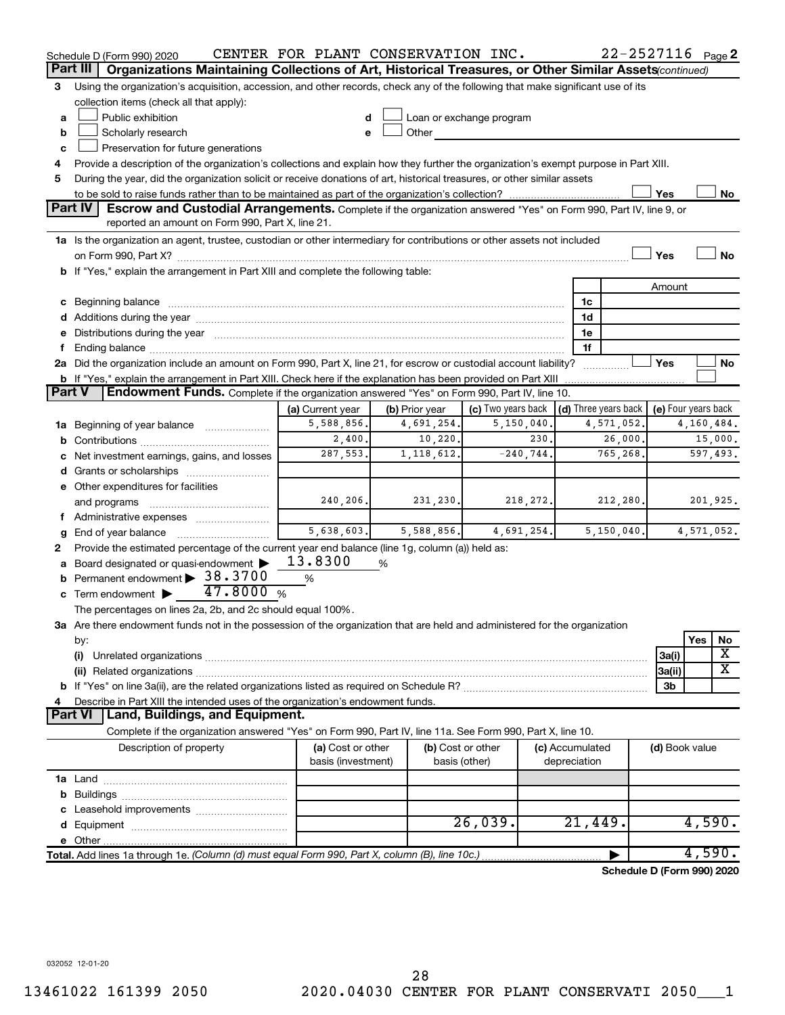|        | Schedule D (Form 990) 2020                                                                                                                                                                                                                                                                                                                                                                                                                                       | CENTER FOR PLANT CONSERVATION INC. |                |                                          |                          |                 |         | 22-2527116 Page 2                    |                     |            |                         |
|--------|------------------------------------------------------------------------------------------------------------------------------------------------------------------------------------------------------------------------------------------------------------------------------------------------------------------------------------------------------------------------------------------------------------------------------------------------------------------|------------------------------------|----------------|------------------------------------------|--------------------------|-----------------|---------|--------------------------------------|---------------------|------------|-------------------------|
|        | Part III<br>Organizations Maintaining Collections of Art, Historical Treasures, or Other Similar Assets (continued)                                                                                                                                                                                                                                                                                                                                              |                                    |                |                                          |                          |                 |         |                                      |                     |            |                         |
| 3      | Using the organization's acquisition, accession, and other records, check any of the following that make significant use of its                                                                                                                                                                                                                                                                                                                                  |                                    |                |                                          |                          |                 |         |                                      |                     |            |                         |
|        | collection items (check all that apply):                                                                                                                                                                                                                                                                                                                                                                                                                         |                                    |                |                                          |                          |                 |         |                                      |                     |            |                         |
| a      | Public exhibition                                                                                                                                                                                                                                                                                                                                                                                                                                                |                                    |                |                                          | Loan or exchange program |                 |         |                                      |                     |            |                         |
| b      | Other<br>Scholarly research                                                                                                                                                                                                                                                                                                                                                                                                                                      |                                    |                |                                          |                          |                 |         |                                      |                     |            |                         |
| c      | Preservation for future generations                                                                                                                                                                                                                                                                                                                                                                                                                              |                                    |                |                                          |                          |                 |         |                                      |                     |            |                         |
| 4      | Provide a description of the organization's collections and explain how they further the organization's exempt purpose in Part XIII.                                                                                                                                                                                                                                                                                                                             |                                    |                |                                          |                          |                 |         |                                      |                     |            |                         |
| 5      | During the year, did the organization solicit or receive donations of art, historical treasures, or other similar assets                                                                                                                                                                                                                                                                                                                                         |                                    |                |                                          |                          |                 |         |                                      |                     |            |                         |
|        |                                                                                                                                                                                                                                                                                                                                                                                                                                                                  |                                    |                |                                          |                          |                 |         |                                      | Yes                 |            | No                      |
|        | <b>Part IV</b><br><b>Escrow and Custodial Arrangements.</b> Complete if the organization answered "Yes" on Form 990, Part IV, line 9, or                                                                                                                                                                                                                                                                                                                         |                                    |                |                                          |                          |                 |         |                                      |                     |            |                         |
|        | reported an amount on Form 990, Part X, line 21.                                                                                                                                                                                                                                                                                                                                                                                                                 |                                    |                |                                          |                          |                 |         |                                      |                     |            |                         |
|        | 1a Is the organization an agent, trustee, custodian or other intermediary for contributions or other assets not included                                                                                                                                                                                                                                                                                                                                         |                                    |                |                                          |                          |                 |         |                                      |                     |            | <b>No</b>               |
|        | b If "Yes," explain the arrangement in Part XIII and complete the following table:                                                                                                                                                                                                                                                                                                                                                                               |                                    |                |                                          |                          |                 |         |                                      | Yes                 |            |                         |
|        |                                                                                                                                                                                                                                                                                                                                                                                                                                                                  |                                    |                |                                          |                          |                 |         |                                      |                     |            |                         |
|        |                                                                                                                                                                                                                                                                                                                                                                                                                                                                  |                                    |                |                                          |                          |                 | 1c      |                                      | Amount              |            |                         |
|        | c Beginning balance measurements and the contract of the contract of the contract of the contract of the contract of the contract of the contract of the contract of the contract of the contract of the contract of the contr<br>d Additions during the year manufactured and an account of the year manufactured and account of the year manufactured and account of the year manufactured and account of the year manufactured and account of the year manufa |                                    |                |                                          |                          |                 | 1d      |                                      |                     |            |                         |
|        | e Distributions during the year manufactured and a control of the year manufactured and a control of the year                                                                                                                                                                                                                                                                                                                                                    |                                    |                |                                          |                          |                 | 1e      |                                      |                     |            |                         |
| f.     |                                                                                                                                                                                                                                                                                                                                                                                                                                                                  |                                    |                |                                          |                          |                 | 1f      |                                      |                     |            |                         |
|        | 2a Did the organization include an amount on Form 990, Part X, line 21, for escrow or custodial account liability?                                                                                                                                                                                                                                                                                                                                               |                                    |                |                                          |                          |                 |         |                                      | Yes                 |            | No                      |
|        | <b>b</b> If "Yes," explain the arrangement in Part XIII. Check here if the explanation has been provided on Part XIII                                                                                                                                                                                                                                                                                                                                            |                                    |                |                                          |                          |                 |         |                                      |                     |            |                         |
| Part V | <b>Endowment Funds.</b> Complete if the organization answered "Yes" on Form 990, Part IV, line 10.                                                                                                                                                                                                                                                                                                                                                               |                                    |                |                                          |                          |                 |         |                                      |                     |            |                         |
|        |                                                                                                                                                                                                                                                                                                                                                                                                                                                                  | (a) Current year                   | (b) Prior year |                                          | (c) Two years back       |                 |         | $\vert$ (d) Three years back $\vert$ | (e) Four years back |            |                         |
|        | 1a Beginning of year balance                                                                                                                                                                                                                                                                                                                                                                                                                                     | 5,588,856.                         | 4,691,254.     |                                          | 5, 150, 040.             |                 |         | 4,571,052.                           |                     | 4,160,484. |                         |
|        | 2,400.<br>10, 220.<br>230.<br>26,000.                                                                                                                                                                                                                                                                                                                                                                                                                            |                                    |                |                                          |                          |                 |         |                                      |                     | 15,000.    |                         |
|        | c Net investment earnings, gains, and losses                                                                                                                                                                                                                                                                                                                                                                                                                     | 287,553.                           |                | 1, 118, 612.<br>$-240, 744.$<br>765,268. |                          |                 |         |                                      |                     |            | 597,493.                |
|        |                                                                                                                                                                                                                                                                                                                                                                                                                                                                  |                                    |                |                                          |                          |                 |         |                                      |                     |            |                         |
|        | e Other expenditures for facilities                                                                                                                                                                                                                                                                                                                                                                                                                              |                                    |                |                                          |                          |                 |         |                                      |                     |            |                         |
|        | and programs                                                                                                                                                                                                                                                                                                                                                                                                                                                     | 240,206.                           | 231, 230.      |                                          | 218, 272.                |                 |         | 212, 280.                            |                     |            | 201,925.                |
|        |                                                                                                                                                                                                                                                                                                                                                                                                                                                                  |                                    |                |                                          |                          |                 |         |                                      |                     |            |                         |
| g      |                                                                                                                                                                                                                                                                                                                                                                                                                                                                  | 5,638,603.                         | 5,588,856.     |                                          | 4,691,254.               |                 |         | 5, 150, 040.                         |                     | 4,571,052. |                         |
| 2      | Provide the estimated percentage of the current year end balance (line 1g, column (a)) held as:                                                                                                                                                                                                                                                                                                                                                                  |                                    |                |                                          |                          |                 |         |                                      |                     |            |                         |
|        | a Board designated or quasi-endowment >                                                                                                                                                                                                                                                                                                                                                                                                                          | 13.8300                            | %              |                                          |                          |                 |         |                                      |                     |            |                         |
|        | <b>b</b> Permanent endowment $\triangleright$ 38.3700                                                                                                                                                                                                                                                                                                                                                                                                            | %                                  |                |                                          |                          |                 |         |                                      |                     |            |                         |
|        | 47.8000%<br>c Term endowment $\blacktriangleright$                                                                                                                                                                                                                                                                                                                                                                                                               |                                    |                |                                          |                          |                 |         |                                      |                     |            |                         |
|        | The percentages on lines 2a, 2b, and 2c should equal 100%.                                                                                                                                                                                                                                                                                                                                                                                                       |                                    |                |                                          |                          |                 |         |                                      |                     |            |                         |
|        | 3a Are there endowment funds not in the possession of the organization that are held and administered for the organization                                                                                                                                                                                                                                                                                                                                       |                                    |                |                                          |                          |                 |         |                                      |                     |            |                         |
|        | by:                                                                                                                                                                                                                                                                                                                                                                                                                                                              |                                    |                |                                          |                          |                 |         |                                      |                     | Yes        | No<br>X                 |
|        | (i)                                                                                                                                                                                                                                                                                                                                                                                                                                                              |                                    |                |                                          |                          |                 |         |                                      | 3a(i)               |            | $\overline{\textbf{X}}$ |
|        |                                                                                                                                                                                                                                                                                                                                                                                                                                                                  |                                    |                |                                          |                          |                 |         |                                      | 3a(ii)              |            |                         |
| 4      |                                                                                                                                                                                                                                                                                                                                                                                                                                                                  |                                    |                |                                          |                          |                 |         |                                      | 3b                  |            |                         |
|        | Describe in Part XIII the intended uses of the organization's endowment funds.<br><b>Land, Buildings, and Equipment.</b><br><b>Part VI</b>                                                                                                                                                                                                                                                                                                                       |                                    |                |                                          |                          |                 |         |                                      |                     |            |                         |
|        | Complete if the organization answered "Yes" on Form 990, Part IV, line 11a. See Form 990, Part X, line 10.                                                                                                                                                                                                                                                                                                                                                       |                                    |                |                                          |                          |                 |         |                                      |                     |            |                         |
|        | Description of property                                                                                                                                                                                                                                                                                                                                                                                                                                          | (a) Cost or other                  |                | (b) Cost or other                        |                          | (c) Accumulated |         |                                      | (d) Book value      |            |                         |
|        |                                                                                                                                                                                                                                                                                                                                                                                                                                                                  | basis (investment)                 |                | basis (other)                            |                          | depreciation    |         |                                      |                     |            |                         |
|        |                                                                                                                                                                                                                                                                                                                                                                                                                                                                  |                                    |                |                                          |                          |                 |         |                                      |                     |            |                         |
|        |                                                                                                                                                                                                                                                                                                                                                                                                                                                                  |                                    |                |                                          |                          |                 |         |                                      |                     |            |                         |
|        |                                                                                                                                                                                                                                                                                                                                                                                                                                                                  |                                    |                |                                          |                          |                 |         |                                      |                     |            |                         |
|        |                                                                                                                                                                                                                                                                                                                                                                                                                                                                  |                                    |                |                                          | 26,039.                  |                 | 21,449. |                                      |                     | 4,590.     |                         |
|        |                                                                                                                                                                                                                                                                                                                                                                                                                                                                  |                                    |                |                                          |                          |                 |         |                                      |                     |            |                         |
|        | Total. Add lines 1a through 1e. (Column (d) must equal Form 990, Part X, column (B), line 10c.)                                                                                                                                                                                                                                                                                                                                                                  |                                    |                |                                          |                          |                 |         |                                      |                     | 4,590.     |                         |
|        |                                                                                                                                                                                                                                                                                                                                                                                                                                                                  |                                    |                |                                          |                          |                 |         | Schedule D (Form 990) 2020           |                     |            |                         |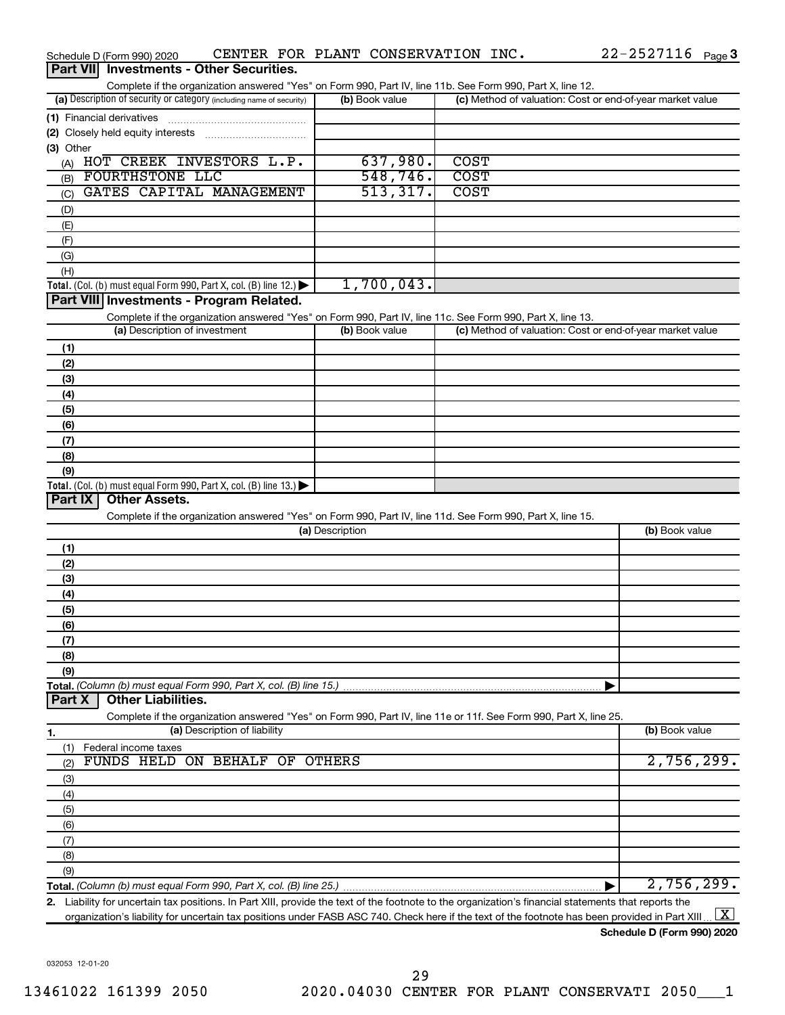| Schedule D (Form 990) 2020                                                                                                                           | CENTER FOR PLANT CONSERVATION INC. |             | 22-2527116 Page 3                                         |
|------------------------------------------------------------------------------------------------------------------------------------------------------|------------------------------------|-------------|-----------------------------------------------------------|
| <b>Investments - Other Securities.</b><br><b>Part VIII</b>                                                                                           |                                    |             |                                                           |
| Complete if the organization answered "Yes" on Form 990, Part IV, line 11b. See Form 990, Part X, line 12.                                           |                                    |             |                                                           |
| (a) Description of security or category (including name of security)                                                                                 | (b) Book value                     |             | (c) Method of valuation: Cost or end-of-year market value |
| (1) Financial derivatives                                                                                                                            |                                    |             |                                                           |
| (2) Closely held equity interests                                                                                                                    |                                    |             |                                                           |
| (3) Other                                                                                                                                            |                                    |             |                                                           |
| (A) HOT CREEK INVESTORS L.P.                                                                                                                         | 637,980.                           | <b>COST</b> |                                                           |
| FOURTHSTONE LLC<br>(B)                                                                                                                               | 548, 746.                          | <b>COST</b> |                                                           |
| GATES CAPITAL MANAGEMENT<br>(C)                                                                                                                      | 513, 317.                          | <b>COST</b> |                                                           |
| (D)                                                                                                                                                  |                                    |             |                                                           |
| (E)                                                                                                                                                  |                                    |             |                                                           |
| (F)                                                                                                                                                  |                                    |             |                                                           |
| (G)                                                                                                                                                  |                                    |             |                                                           |
| (H)                                                                                                                                                  |                                    |             |                                                           |
| Total. (Col. (b) must equal Form 990, Part X, col. (B) line 12.) $\blacktriangleright$                                                               | 1,700,043.                         |             |                                                           |
| Part VIII Investments - Program Related.                                                                                                             |                                    |             |                                                           |
| Complete if the organization answered "Yes" on Form 990, Part IV, line 11c. See Form 990, Part X, line 13.                                           |                                    |             |                                                           |
| (a) Description of investment                                                                                                                        | (b) Book value                     |             | (c) Method of valuation: Cost or end-of-year market value |
| (1)                                                                                                                                                  |                                    |             |                                                           |
| (2)                                                                                                                                                  |                                    |             |                                                           |
| (3)                                                                                                                                                  |                                    |             |                                                           |
| (4)                                                                                                                                                  |                                    |             |                                                           |
| (5)                                                                                                                                                  |                                    |             |                                                           |
| (6)                                                                                                                                                  |                                    |             |                                                           |
| (7)                                                                                                                                                  |                                    |             |                                                           |
| (8)                                                                                                                                                  |                                    |             |                                                           |
| (9)                                                                                                                                                  |                                    |             |                                                           |
| Total. (Col. (b) must equal Form 990, Part X, col. (B) line $13.$ )                                                                                  |                                    |             |                                                           |
| <b>Other Assets.</b><br>Part IX                                                                                                                      |                                    |             |                                                           |
| Complete if the organization answered "Yes" on Form 990, Part IV, line 11d. See Form 990, Part X, line 15.                                           |                                    |             |                                                           |
|                                                                                                                                                      | (a) Description                    |             | (b) Book value                                            |
| (1)                                                                                                                                                  |                                    |             |                                                           |
| (2)                                                                                                                                                  |                                    |             |                                                           |
| (3)                                                                                                                                                  |                                    |             |                                                           |
| (4)                                                                                                                                                  |                                    |             |                                                           |
| (5)                                                                                                                                                  |                                    |             |                                                           |
| (6)                                                                                                                                                  |                                    |             |                                                           |
| (7)                                                                                                                                                  |                                    |             |                                                           |
| (8)                                                                                                                                                  |                                    |             |                                                           |
| (9)                                                                                                                                                  |                                    |             |                                                           |
| Total. (Column (b) must equal Form 990, Part X, col. (B) line 15.)                                                                                   |                                    |             |                                                           |
| <b>Other Liabilities.</b><br>Part X                                                                                                                  |                                    |             |                                                           |
| Complete if the organization answered "Yes" on Form 990, Part IV, line 11e or 11f. See Form 990, Part X, line 25.                                    |                                    |             |                                                           |
| (a) Description of liability<br>1.                                                                                                                   |                                    |             | (b) Book value                                            |
| (1)<br>Federal income taxes                                                                                                                          |                                    |             |                                                           |
| <b>FUNDS HELD ON BEHALF</b><br>OF<br>(2)                                                                                                             | <b>OTHERS</b>                      |             | 2,756,299.                                                |
| (3)                                                                                                                                                  |                                    |             |                                                           |
| (4)                                                                                                                                                  |                                    |             |                                                           |
| (5)                                                                                                                                                  |                                    |             |                                                           |
| (6)                                                                                                                                                  |                                    |             |                                                           |
| (7)                                                                                                                                                  |                                    |             |                                                           |
| (8)                                                                                                                                                  |                                    |             |                                                           |
| (9)                                                                                                                                                  |                                    |             |                                                           |
|                                                                                                                                                      |                                    |             | 2,756,299.                                                |
| 2. Liability for uncertain tax positions. In Part XIII, provide the text of the footnote to the organization's financial statements that reports the |                                    |             |                                                           |
| organization's liability for uncertain tax positions under FASB ASC 740. Check here if the text of the footnote has been provided in Part XIII.      |                                    |             | $\lfloor x \rfloor$                                       |

**Schedule D (Form 990) 2020**

032053 12-01-20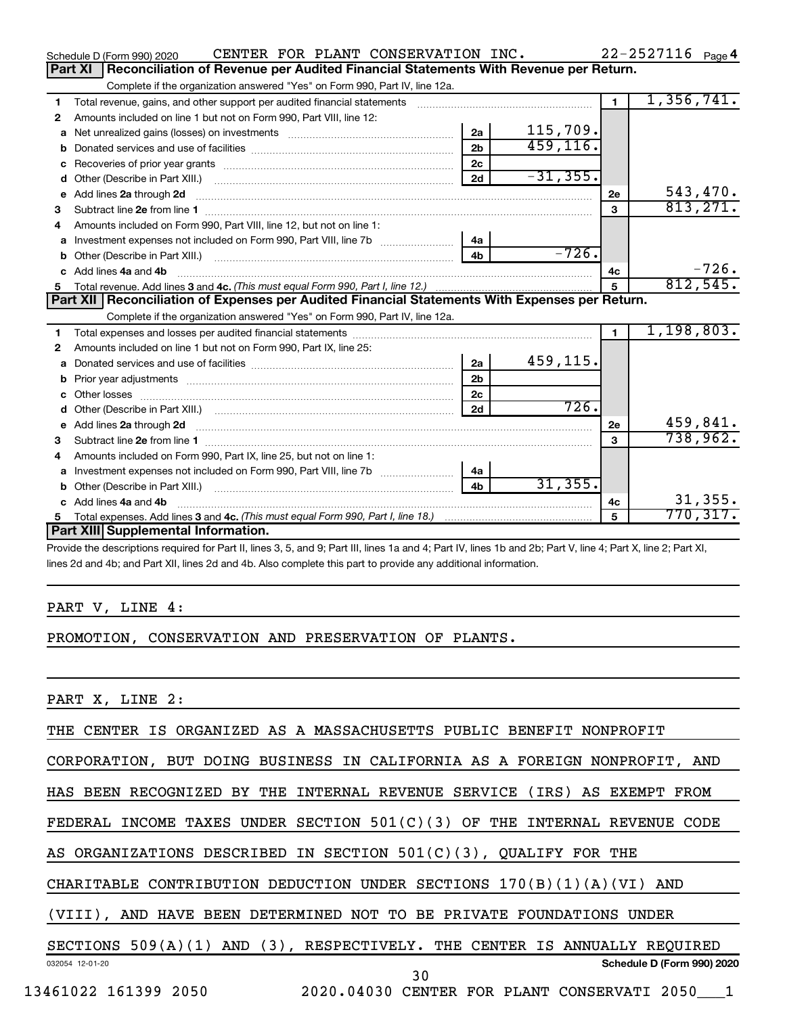|   | CENTER FOR PLANT CONSERVATION INC.<br>Schedule D (Form 990) 2020                                               |                |             |                | $22 - 2527116$ Page 4 |
|---|----------------------------------------------------------------------------------------------------------------|----------------|-------------|----------------|-----------------------|
|   | Reconciliation of Revenue per Audited Financial Statements With Revenue per Return.<br>Part XI                 |                |             |                |                       |
|   | Complete if the organization answered "Yes" on Form 990, Part IV, line 12a.                                    |                |             |                |                       |
| 1 | Total revenue, gains, and other support per audited financial statements                                       |                |             | $\overline{1}$ | 1,356,741.            |
| 2 | Amounts included on line 1 but not on Form 990, Part VIII, line 12:                                            |                |             |                |                       |
| a |                                                                                                                | 2a             | 115,709.    |                |                       |
| b |                                                                                                                | 2 <sub>b</sub> | 459, 116.   |                |                       |
| c |                                                                                                                | 2 <sub>c</sub> |             |                |                       |
| d |                                                                                                                | 2d             | $-31, 355.$ |                |                       |
| е | Add lines 2a through 2d                                                                                        |                |             | 2e             | 543,470.              |
| 3 |                                                                                                                |                |             | 3              | 813, 271.             |
| 4 | Amounts included on Form 990, Part VIII, line 12, but not on line 1:                                           |                |             |                |                       |
|   |                                                                                                                | 4a             |             |                |                       |
|   |                                                                                                                | 4 <sub>b</sub> | $-726.$     |                |                       |
|   | c Add lines 4a and 4b                                                                                          |                |             | 4c             | $-726.$               |
|   |                                                                                                                |                |             | 5              | 812,545.              |
|   |                                                                                                                |                |             |                |                       |
|   | Part XII   Reconciliation of Expenses per Audited Financial Statements With Expenses per Return.               |                |             |                |                       |
|   | Complete if the organization answered "Yes" on Form 990, Part IV, line 12a.                                    |                |             |                |                       |
| 1 |                                                                                                                |                |             | $\mathbf{1}$   | 1,198,803.            |
| 2 | Amounts included on line 1 but not on Form 990, Part IX, line 25:                                              |                |             |                |                       |
| a |                                                                                                                | 2a             | 459,115.    |                |                       |
| b | Prior year adjustments [ www.communications of the contract of the contract of the contract of the contract of | 2 <sub>b</sub> |             |                |                       |
|   |                                                                                                                | 2 <sub>c</sub> |             |                |                       |
| d |                                                                                                                | 2d             | 726.        |                |                       |
|   |                                                                                                                |                |             | 2e             | 459,841.              |
| 3 |                                                                                                                |                |             | 3              | 738,962.              |
| 4 | Amounts included on Form 990, Part IX, line 25, but not on line 1:                                             |                |             |                |                       |
| a |                                                                                                                | 4a             |             |                |                       |
|   |                                                                                                                | 4 <sub>b</sub> | 31, 355.    |                |                       |
|   | c Add lines 4a and 4b                                                                                          |                |             | 4с             | 31,355.               |
|   | Part XIII Supplemental Information.                                                                            |                |             | 5              | 770,317 <b>.</b>      |

Provide the descriptions required for Part II, lines 3, 5, and 9; Part III, lines 1a and 4; Part IV, lines 1b and 2b; Part V, line 4; Part X, line 2; Part XI, lines 2d and 4b; and Part XII, lines 2d and 4b. Also complete this part to provide any additional information.

#### PART V, LINE 4:

PROMOTION, CONSERVATION AND PRESERVATION OF PLANTS.

PART X, LINE 2:

THE CENTER IS ORGANIZED AS A MASSACHUSETTS PUBLIC BENEFIT NONPROFIT

CORPORATION, BUT DOING BUSINESS IN CALIFORNIA AS A FOREIGN NONPROFIT, AND

HAS BEEN RECOGNIZED BY THE INTERNAL REVENUE SERVICE (IRS) AS EXEMPT FROM

FEDERAL INCOME TAXES UNDER SECTION 501(C)(3) OF THE INTERNAL REVENUE CODE

AS ORGANIZATIONS DESCRIBED IN SECTION 501(C)(3), QUALIFY FOR THE

CHARITABLE CONTRIBUTION DEDUCTION UNDER SECTIONS 170(B)(1)(A)(VI) AND

(VIII), AND HAVE BEEN DETERMINED NOT TO BE PRIVATE FOUNDATIONS UNDER

032054 12-01-20 **Schedule D (Form 990) 2020** SECTIONS 509(A)(1) AND (3), RESPECTIVELY. THE CENTER IS ANNUALLY REQUIRED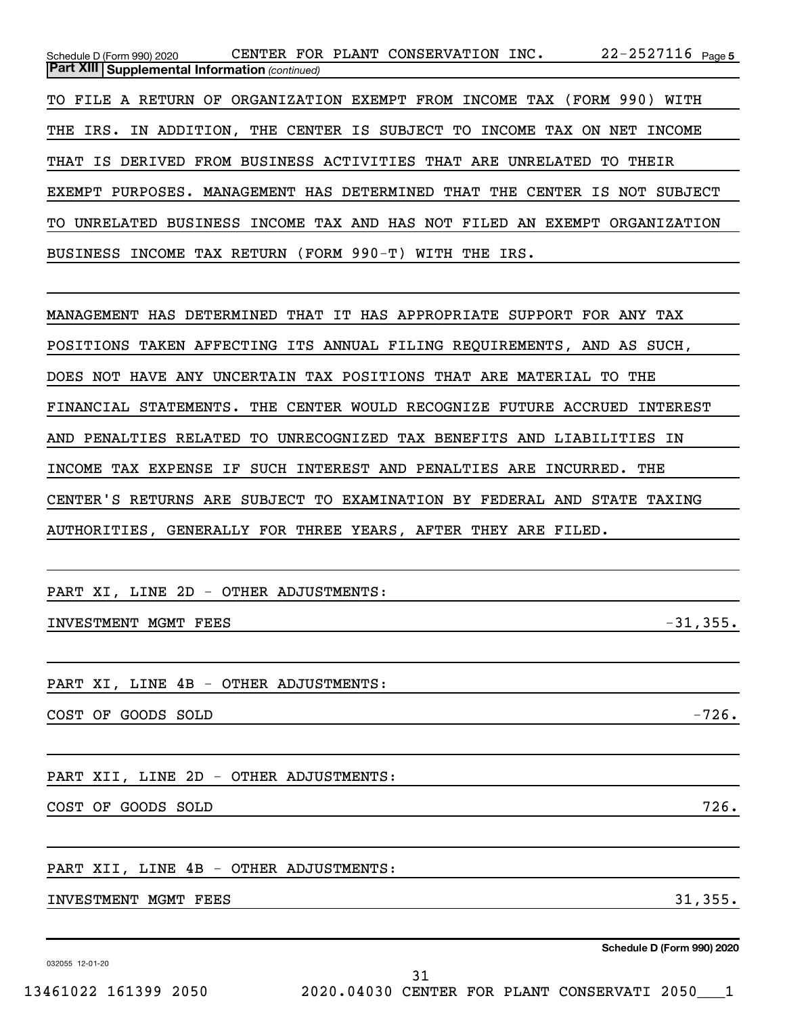22-2527116 <sub>Page 5</sub> *(continued)* **Part XIII Supplemental Information**  Schedule D (Form 990) 2020 Page CENTER FOR PLANT CONSERVATION INC. 22-2527116 TO FILE A RETURN OF ORGANIZATION EXEMPT FROM INCOME TAX (FORM 990) WITH THE IRS. IN ADDITION, THE CENTER IS SUBJECT TO INCOME TAX ON NET INCOME THAT IS DERIVED FROM BUSINESS ACTIVITIES THAT ARE UNRELATED TO THEIR EXEMPT PURPOSES. MANAGEMENT HAS DETERMINED THAT THE CENTER IS NOT SUBJECT TO UNRELATED BUSINESS INCOME TAX AND HAS NOT FILED AN EXEMPT ORGANIZATION BUSINESS INCOME TAX RETURN (FORM 990-T) WITH THE IRS.

MANAGEMENT HAS DETERMINED THAT IT HAS APPROPRIATE SUPPORT FOR ANY TAX POSITIONS TAKEN AFFECTING ITS ANNUAL FILING REQUIREMENTS, AND AS SUCH, DOES NOT HAVE ANY UNCERTAIN TAX POSITIONS THAT ARE MATERIAL TO THE FINANCIAL STATEMENTS. THE CENTER WOULD RECOGNIZE FUTURE ACCRUED INTEREST AND PENALTIES RELATED TO UNRECOGNIZED TAX BENEFITS AND LIABILITIES IN INCOME TAX EXPENSE IF SUCH INTEREST AND PENALTIES ARE INCURRED. THE CENTER'S RETURNS ARE SUBJECT TO EXAMINATION BY FEDERAL AND STATE TAXING AUTHORITIES, GENERALLY FOR THREE YEARS, AFTER THEY ARE FILED.

PART XI, LINE 2D - OTHER ADJUSTMENTS:

INVESTMENT MGMT FEES -31,355.

PART XI, LINE 4B - OTHER ADJUSTMENTS:

COST OF GOODS SOLD  $-726.$ 

PART XII, LINE 2D - OTHER ADJUSTMENTS:

COST OF GOODS SOLD 226.

PART XII, LINE 4B - OTHER ADJUSTMENTS:

INVESTMENT MGMT FEES 31,355.

032055 12-01-20

**Schedule D (Form 990) 2020**

31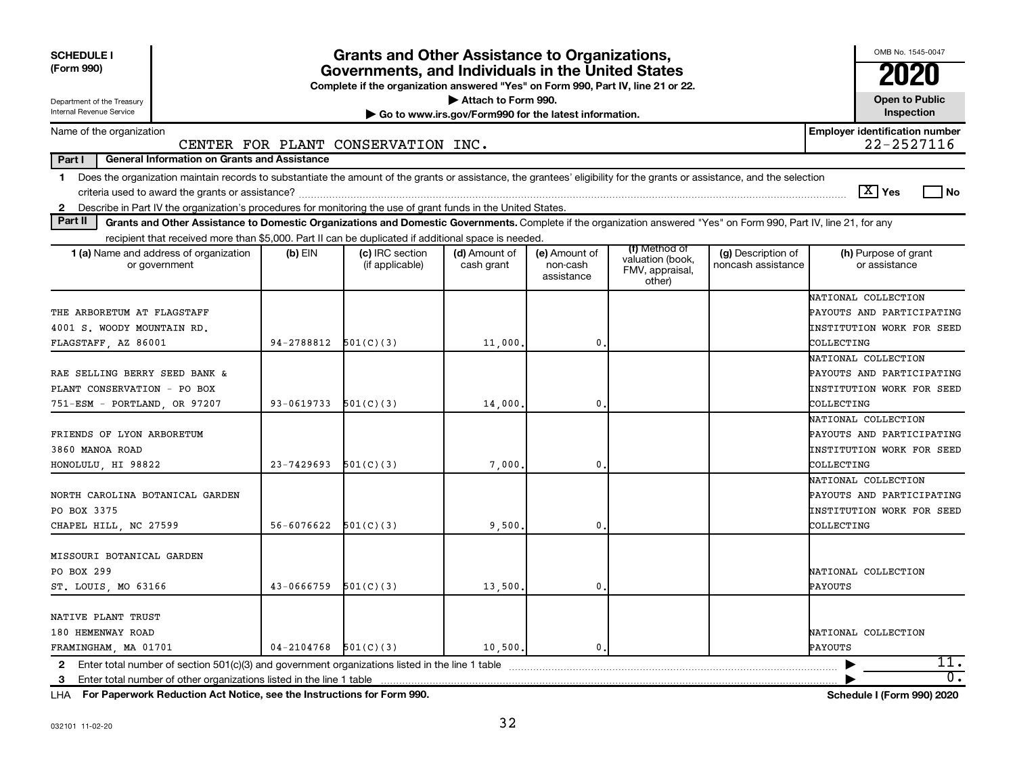| <b>SCHEDULE I</b><br>(Form 990)                                                                                                                                               |                | <b>Grants and Other Assistance to Organizations,</b><br>Governments, and Individuals in the United States<br>Complete if the organization answered "Yes" on Form 990, Part IV, line 21 or 22. |                                                                              |                                         |                                                                |                                          | OMB No. 1545-0047                                                                                  |
|-------------------------------------------------------------------------------------------------------------------------------------------------------------------------------|----------------|-----------------------------------------------------------------------------------------------------------------------------------------------------------------------------------------------|------------------------------------------------------------------------------|-----------------------------------------|----------------------------------------------------------------|------------------------------------------|----------------------------------------------------------------------------------------------------|
| Department of the Treasury<br>Internal Revenue Service                                                                                                                        |                |                                                                                                                                                                                               | Attach to Form 990.<br>Go to www.irs.gov/Form990 for the latest information. |                                         |                                                                |                                          | <b>Open to Public</b><br>Inspection                                                                |
| Name of the organization                                                                                                                                                      |                | CENTER FOR PLANT CONSERVATION INC.                                                                                                                                                            |                                                                              |                                         |                                                                |                                          | <b>Employer identification number</b><br>22-2527116                                                |
| Part I<br><b>General Information on Grants and Assistance</b>                                                                                                                 |                |                                                                                                                                                                                               |                                                                              |                                         |                                                                |                                          |                                                                                                    |
| 1 Does the organization maintain records to substantiate the amount of the grants or assistance, the grantees' eligibility for the grants or assistance, and the selection    |                |                                                                                                                                                                                               |                                                                              |                                         |                                                                |                                          | ∣ X   Yes<br>l No                                                                                  |
| 2 Describe in Part IV the organization's procedures for monitoring the use of grant funds in the United States.                                                               |                |                                                                                                                                                                                               |                                                                              |                                         |                                                                |                                          |                                                                                                    |
| Part II<br>Grants and Other Assistance to Domestic Organizations and Domestic Governments. Complete if the organization answered "Yes" on Form 990, Part IV, line 21, for any |                |                                                                                                                                                                                               |                                                                              |                                         |                                                                |                                          |                                                                                                    |
| recipient that received more than \$5,000. Part II can be duplicated if additional space is needed.<br>1 (a) Name and address of organization<br>or government                | $(b)$ EIN      | (c) IRC section<br>(if applicable)                                                                                                                                                            | (d) Amount of<br>cash grant                                                  | (e) Amount of<br>non-cash<br>assistance | (f) Method of<br>valuation (book,<br>FMV, appraisal,<br>other) | (g) Description of<br>noncash assistance | (h) Purpose of grant<br>or assistance                                                              |
| THE ARBORETUM AT FLAGSTAFF<br>4001 S. WOODY MOUNTAIN RD.<br>FLAGSTAFF, AZ 86001                                                                                               | 94-2788812     | 501(C)(3)                                                                                                                                                                                     | 11,000.                                                                      | $\mathbf{0}$                            |                                                                |                                          | NATIONAL COLLECTION<br>PAYOUTS AND PARTICIPATING<br><b>INSTITUTION WORK FOR SEED</b><br>COLLECTING |
| RAE SELLING BERRY SEED BANK &<br>PLANT CONSERVATION - PO BOX<br>751-ESM - PORTLAND, OR 97207                                                                                  | 93-0619733     | 501(C)(3)                                                                                                                                                                                     | 14,000                                                                       | 0                                       |                                                                |                                          | NATIONAL COLLECTION<br>PAYOUTS AND PARTICIPATING<br><b>INSTITUTION WORK FOR SEED</b><br>COLLECTING |
| FRIENDS OF LYON ARBORETUM<br>3860 MANOA ROAD<br>HONOLULU, HI 98822                                                                                                            | $23 - 7429693$ | 501(C)(3)                                                                                                                                                                                     | 7,000,                                                                       | 0                                       |                                                                |                                          | NATIONAL COLLECTION<br>PAYOUTS AND PARTICIPATING<br><b>INSTITUTION WORK FOR SEED</b><br>COLLECTING |
| NORTH CAROLINA BOTANICAL GARDEN<br>PO BOX 3375<br>CHAPEL HILL, NC 27599                                                                                                       | 56-6076622     | 501(C)(3)                                                                                                                                                                                     | 9,500                                                                        | 0                                       |                                                                |                                          | NATIONAL COLLECTION<br>PAYOUTS AND PARTICIPATING<br><b>INSTITUTION WORK FOR SEED</b><br>COLLECTING |
| MISSOURI BOTANICAL GARDEN<br>PO BOX 299<br>ST. LOUIS, MO 63166                                                                                                                | 43-0666759     | 501(C)(3)                                                                                                                                                                                     | 13,500,                                                                      | $\mathbf 0$                             |                                                                |                                          | NATIONAL COLLECTION<br><b>PAYOUTS</b>                                                              |
| NATIVE PLANT TRUST<br>180 HEMENWAY ROAD<br>FRAMINGHAM, MA 01701                                                                                                               | $04 - 2104768$ | 501(C)(3)                                                                                                                                                                                     | 10,500.                                                                      | 0.                                      |                                                                |                                          | NATIONAL COLLECTION<br><b>PAYOUTS</b><br>11.                                                       |
| 2 Enter total number of section $501(c)(3)$ and government organizations listed in the line 1 table                                                                           |                |                                                                                                                                                                                               |                                                                              |                                         |                                                                |                                          | $\overline{0}$ .                                                                                   |

**For Paperwork Reduction Act Notice, see the Instructions for Form 990. Schedule I (Form 990) 2020** LHA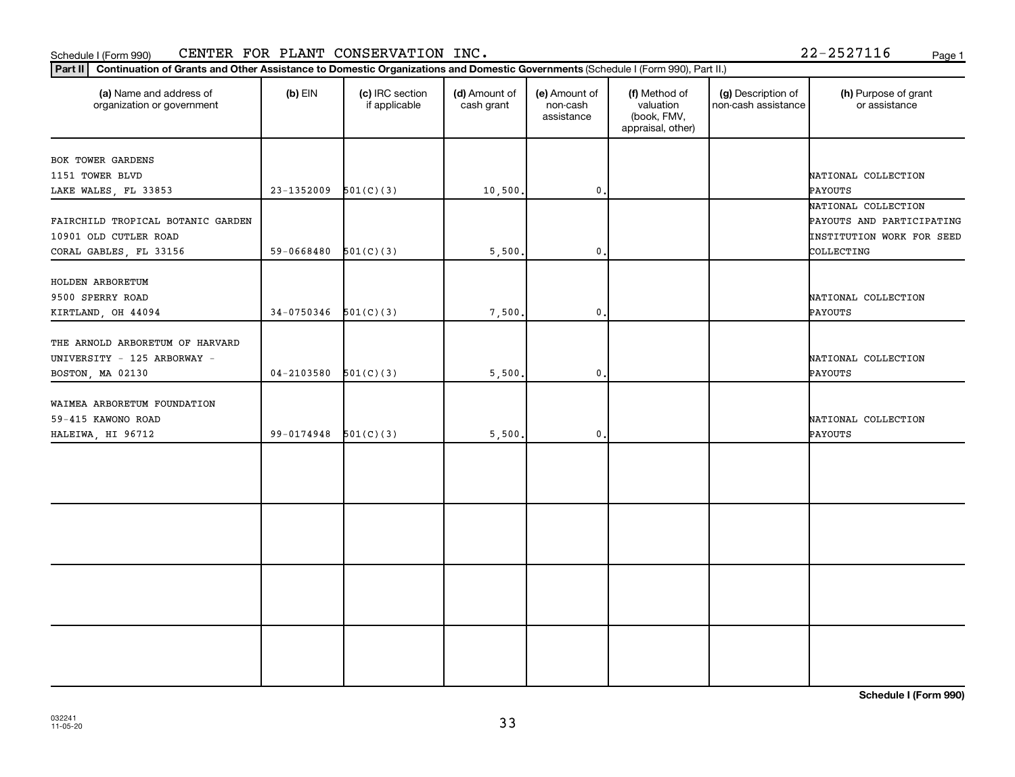#### Schedule I (Form 990) Page 1 CENTER FOR PLANT CONSERVATION INC.  $22-2527116$

| (a) Name and address of<br>organization or government | $(b)$ EIN                | (c) IRC section<br>if applicable | (d) Amount of<br>cash grant | (e) Amount of<br>non-cash<br>assistance | (f) Method of<br>valuation<br>(book, FMV,<br>appraisal, other) | (g) Description of<br>non-cash assistance | (h) Purpose of grant<br>or assistance |
|-------------------------------------------------------|--------------------------|----------------------------------|-----------------------------|-----------------------------------------|----------------------------------------------------------------|-------------------------------------------|---------------------------------------|
| BOK TOWER GARDENS                                     |                          |                                  |                             |                                         |                                                                |                                           |                                       |
| 1151 TOWER BLVD                                       |                          |                                  |                             |                                         |                                                                |                                           | NATIONAL COLLECTION                   |
| LAKE WALES, FL 33853                                  | 23-1352009               | 501(C)(3)                        | 10,500.                     | 0.                                      |                                                                |                                           | PAYOUTS                               |
|                                                       |                          |                                  |                             |                                         |                                                                |                                           | NATIONAL COLLECTION                   |
| FAIRCHILD TROPICAL BOTANIC GARDEN                     |                          |                                  |                             |                                         |                                                                |                                           | PAYOUTS AND PARTICIPATING             |
| 10901 OLD CUTLER ROAD                                 |                          |                                  |                             |                                         |                                                                |                                           | <b>INSTITUTION WORK FOR SEED</b>      |
| CORAL GABLES, FL 33156                                | 59-0668480               | 501(C)(3)                        | 5,500.                      | $\mathbf{0}$                            |                                                                |                                           | COLLECTING                            |
|                                                       |                          |                                  |                             |                                         |                                                                |                                           |                                       |
| HOLDEN ARBORETUM                                      |                          |                                  |                             |                                         |                                                                |                                           |                                       |
| 9500 SPERRY ROAD                                      |                          |                                  |                             |                                         |                                                                |                                           | NATIONAL COLLECTION                   |
| KIRTLAND, OH 44094                                    | $34-0750346$ $501(C)(3)$ |                                  | 7,500.                      | 0.                                      |                                                                |                                           | PAYOUTS                               |
| THE ARNOLD ARBORETUM OF HARVARD                       |                          |                                  |                             |                                         |                                                                |                                           |                                       |
|                                                       |                          |                                  |                             |                                         |                                                                |                                           |                                       |
| UNIVERSITY - 125 ARBORWAY -                           |                          |                                  |                             |                                         |                                                                |                                           | NATIONAL COLLECTION                   |
| BOSTON, MA 02130                                      | $04-2103580$ $501(C)(3)$ |                                  | 5,500.                      | $\mathbf{0}$ .                          |                                                                |                                           | PAYOUTS                               |
| WAIMEA ARBORETUM FOUNDATION                           |                          |                                  |                             |                                         |                                                                |                                           |                                       |
| 59-415 KAWONO ROAD                                    |                          |                                  |                             |                                         |                                                                |                                           | NATIONAL COLLECTION                   |
| HALEIWA, HI 96712                                     | 99-0174948               | 501(C)(3)                        | 5,500.                      | $\mathbf{0}$                            |                                                                |                                           | PAYOUTS                               |
|                                                       |                          |                                  |                             |                                         |                                                                |                                           |                                       |
|                                                       |                          |                                  |                             |                                         |                                                                |                                           |                                       |
|                                                       |                          |                                  |                             |                                         |                                                                |                                           |                                       |
|                                                       |                          |                                  |                             |                                         |                                                                |                                           |                                       |

**Schedule I (Form 990)**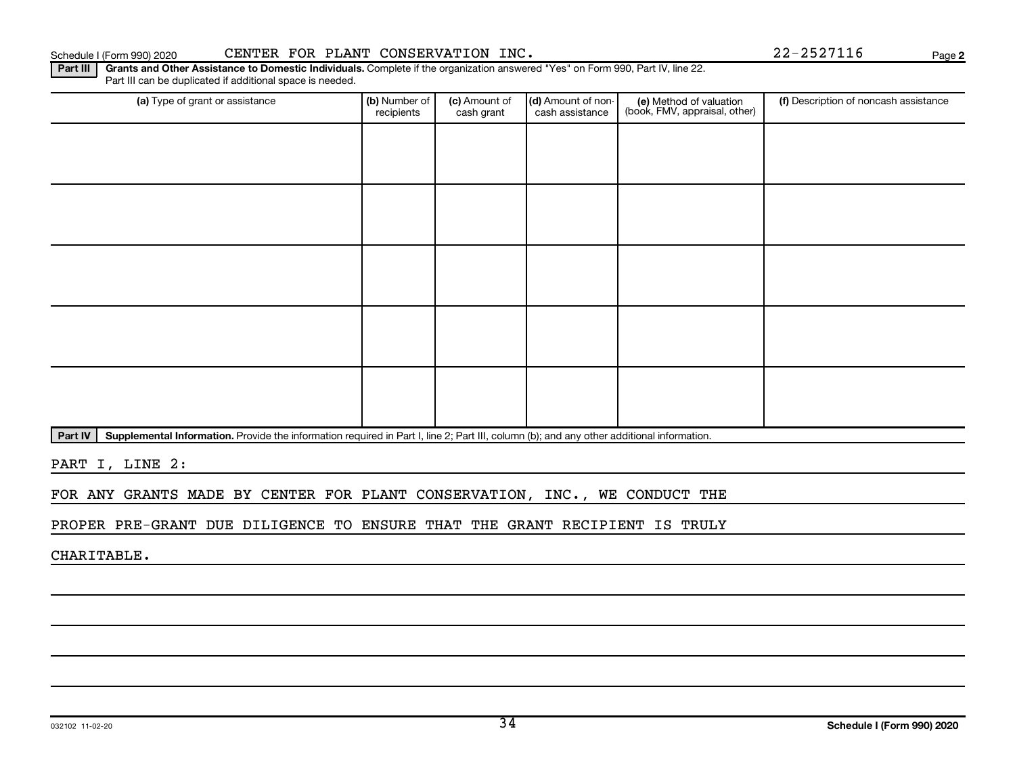Schedule I (Form 990) 2020  $\qquad$  CENTER FOR PLANT CONSERVATION INC.  $\qquad \qquad \qquad 22-2527116$  Page

(d) Amount of noncash assistance

(e) Method of valuation (book, FMV, appraisal, other)

(a) Type of grant or assistance **(b)** Number of  $|$  **(c)** Amount of  $|$  **(d)** Amount of non- $|$  **(e)** Method of valuation  $|$  **(f)** 

(c) Amount of cash grant

Part IV | Supplemental Information. Provide the information required in Part I, line 2; Part III, column (b); and any other additional information.

Part III | Grants and Other Assistance to Domestic Individuals. Complete if the organization answered "Yes" on Form 990, Part IV, line 22.

recipients

Part III can be duplicated if additional space is needed.

PART I, LINE 2:

FOR ANY GRANTS MADE BY CENTER FOR PLANT CONSERVATION, INC., WE CONDUCT THE

PROPER PRE-GRANT DUE DILIGENCE TO ENSURE THAT THE GRANT RECIPIENT IS TRULY

CHARITABLE.

**2**

(f) Description of noncash assistance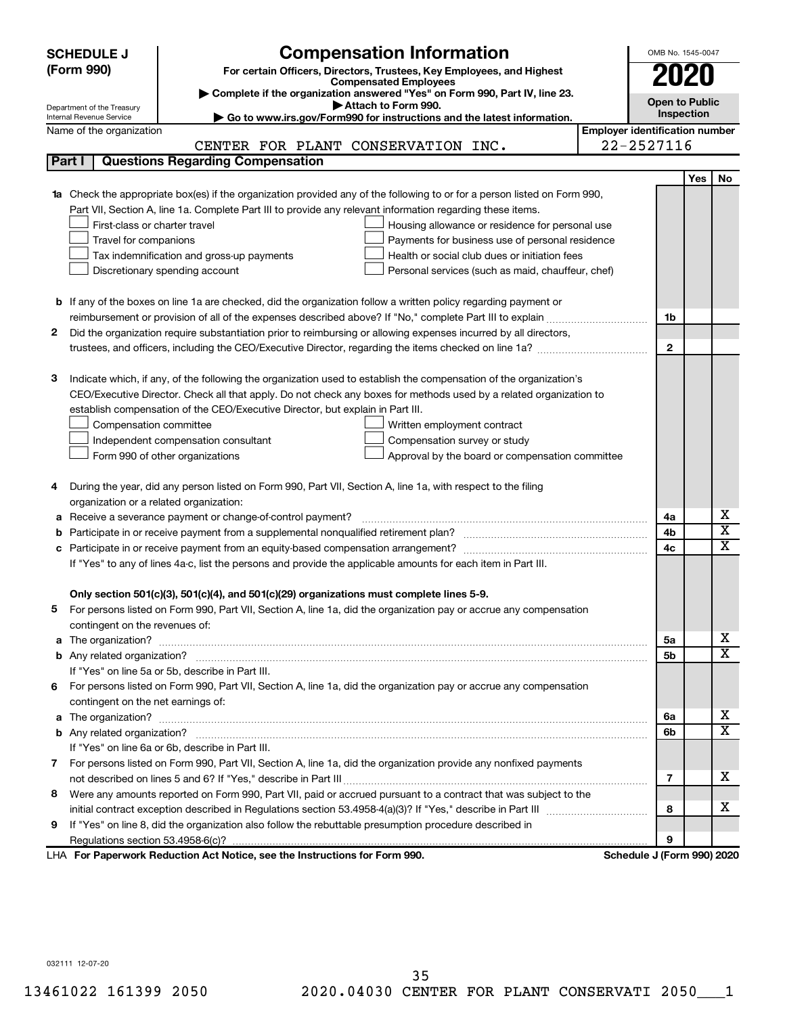|   | <b>SCHEDULE J</b>                                                                   | <b>Compensation Information</b>                                                                                                                                                                      |                                       | OMB No. 1545-0047          |     |                         |
|---|-------------------------------------------------------------------------------------|------------------------------------------------------------------------------------------------------------------------------------------------------------------------------------------------------|---------------------------------------|----------------------------|-----|-------------------------|
|   | (Form 990)<br>For certain Officers, Directors, Trustees, Key Employees, and Highest |                                                                                                                                                                                                      |                                       | 2020                       |     |                         |
|   |                                                                                     | <b>Compensated Employees</b>                                                                                                                                                                         |                                       |                            |     |                         |
|   | Department of the Treasury                                                          | Complete if the organization answered "Yes" on Form 990, Part IV, line 23.<br>Attach to Form 990.                                                                                                    |                                       | <b>Open to Public</b>      |     |                         |
|   | Internal Revenue Service                                                            | ► Go to www.irs.gov/Form990 for instructions and the latest information.                                                                                                                             |                                       | <b>Inspection</b>          |     |                         |
|   | Name of the organization                                                            |                                                                                                                                                                                                      | <b>Employer identification number</b> |                            |     |                         |
|   |                                                                                     | CENTER FOR PLANT CONSERVATION INC.                                                                                                                                                                   |                                       | 22-2527116                 |     |                         |
|   | Part I                                                                              | <b>Questions Regarding Compensation</b>                                                                                                                                                              |                                       |                            |     |                         |
|   |                                                                                     |                                                                                                                                                                                                      |                                       |                            | Yes | No                      |
|   |                                                                                     | Check the appropriate box(es) if the organization provided any of the following to or for a person listed on Form 990,                                                                               |                                       |                            |     |                         |
|   |                                                                                     | Part VII, Section A, line 1a. Complete Part III to provide any relevant information regarding these items.                                                                                           |                                       |                            |     |                         |
|   | First-class or charter travel                                                       | Housing allowance or residence for personal use                                                                                                                                                      |                                       |                            |     |                         |
|   | Travel for companions                                                               | Payments for business use of personal residence                                                                                                                                                      |                                       |                            |     |                         |
|   |                                                                                     | Tax indemnification and gross-up payments<br>Health or social club dues or initiation fees                                                                                                           |                                       |                            |     |                         |
|   |                                                                                     | Discretionary spending account<br>Personal services (such as maid, chauffeur, chef)                                                                                                                  |                                       |                            |     |                         |
|   |                                                                                     |                                                                                                                                                                                                      |                                       |                            |     |                         |
|   |                                                                                     | <b>b</b> If any of the boxes on line 1a are checked, did the organization follow a written policy regarding payment or                                                                               |                                       |                            |     |                         |
|   |                                                                                     |                                                                                                                                                                                                      |                                       | 1b                         |     |                         |
| 2 |                                                                                     | Did the organization require substantiation prior to reimbursing or allowing expenses incurred by all directors,                                                                                     |                                       |                            |     |                         |
|   |                                                                                     |                                                                                                                                                                                                      |                                       | $\mathbf{2}$               |     |                         |
|   |                                                                                     |                                                                                                                                                                                                      |                                       |                            |     |                         |
| З |                                                                                     | Indicate which, if any, of the following the organization used to establish the compensation of the organization's                                                                                   |                                       |                            |     |                         |
|   |                                                                                     | CEO/Executive Director. Check all that apply. Do not check any boxes for methods used by a related organization to<br>establish compensation of the CEO/Executive Director, but explain in Part III. |                                       |                            |     |                         |
|   | Compensation committee                                                              | Written employment contract                                                                                                                                                                          |                                       |                            |     |                         |
|   |                                                                                     | Compensation survey or study                                                                                                                                                                         |                                       |                            |     |                         |
|   |                                                                                     | Independent compensation consultant<br>Form 990 of other organizations<br>Approval by the board or compensation committee                                                                            |                                       |                            |     |                         |
|   |                                                                                     |                                                                                                                                                                                                      |                                       |                            |     |                         |
| 4 |                                                                                     | During the year, did any person listed on Form 990, Part VII, Section A, line 1a, with respect to the filing                                                                                         |                                       |                            |     |                         |
|   | organization or a related organization:                                             |                                                                                                                                                                                                      |                                       |                            |     |                         |
| а |                                                                                     | Receive a severance payment or change-of-control payment?                                                                                                                                            |                                       | 4a                         |     | х                       |
| b |                                                                                     |                                                                                                                                                                                                      |                                       | 4b                         |     | $\overline{\textbf{x}}$ |
|   |                                                                                     |                                                                                                                                                                                                      |                                       | 4с                         |     | $\mathbf x$             |
|   |                                                                                     | If "Yes" to any of lines 4a-c, list the persons and provide the applicable amounts for each item in Part III.                                                                                        |                                       |                            |     |                         |
|   |                                                                                     |                                                                                                                                                                                                      |                                       |                            |     |                         |
|   |                                                                                     | Only section 501(c)(3), 501(c)(4), and 501(c)(29) organizations must complete lines 5-9.                                                                                                             |                                       |                            |     |                         |
|   |                                                                                     | For persons listed on Form 990, Part VII, Section A, line 1a, did the organization pay or accrue any compensation                                                                                    |                                       |                            |     |                         |
|   | contingent on the revenues of:                                                      |                                                                                                                                                                                                      |                                       |                            |     |                         |
| a |                                                                                     |                                                                                                                                                                                                      |                                       | 5a                         |     | x                       |
|   |                                                                                     |                                                                                                                                                                                                      |                                       | 5b                         |     | X                       |
|   |                                                                                     | If "Yes" on line 5a or 5b, describe in Part III.                                                                                                                                                     |                                       |                            |     |                         |
|   |                                                                                     | 6 For persons listed on Form 990, Part VII, Section A, line 1a, did the organization pay or accrue any compensation                                                                                  |                                       |                            |     |                         |
|   | contingent on the net earnings of:                                                  |                                                                                                                                                                                                      |                                       |                            |     |                         |
| a |                                                                                     |                                                                                                                                                                                                      |                                       | 6a                         |     | x                       |
|   |                                                                                     |                                                                                                                                                                                                      |                                       | 6b                         |     | $\overline{\mathbf{X}}$ |
|   |                                                                                     | If "Yes" on line 6a or 6b, describe in Part III.                                                                                                                                                     |                                       |                            |     |                         |
|   |                                                                                     | 7 For persons listed on Form 990, Part VII, Section A, line 1a, did the organization provide any nonfixed payments                                                                                   |                                       |                            |     |                         |
|   |                                                                                     |                                                                                                                                                                                                      |                                       | 7                          |     | x                       |
| 8 |                                                                                     | Were any amounts reported on Form 990, Part VII, paid or accrued pursuant to a contract that was subject to the                                                                                      |                                       |                            |     |                         |
|   |                                                                                     |                                                                                                                                                                                                      |                                       | 8                          |     | x                       |
| 9 |                                                                                     | If "Yes" on line 8, did the organization also follow the rebuttable presumption procedure described in                                                                                               |                                       |                            |     |                         |
|   |                                                                                     |                                                                                                                                                                                                      |                                       | 9                          |     |                         |
|   |                                                                                     | LHA For Paperwork Reduction Act Notice, see the Instructions for Form 990.                                                                                                                           |                                       | Schedule J (Form 990) 2020 |     |                         |

032111 12-07-20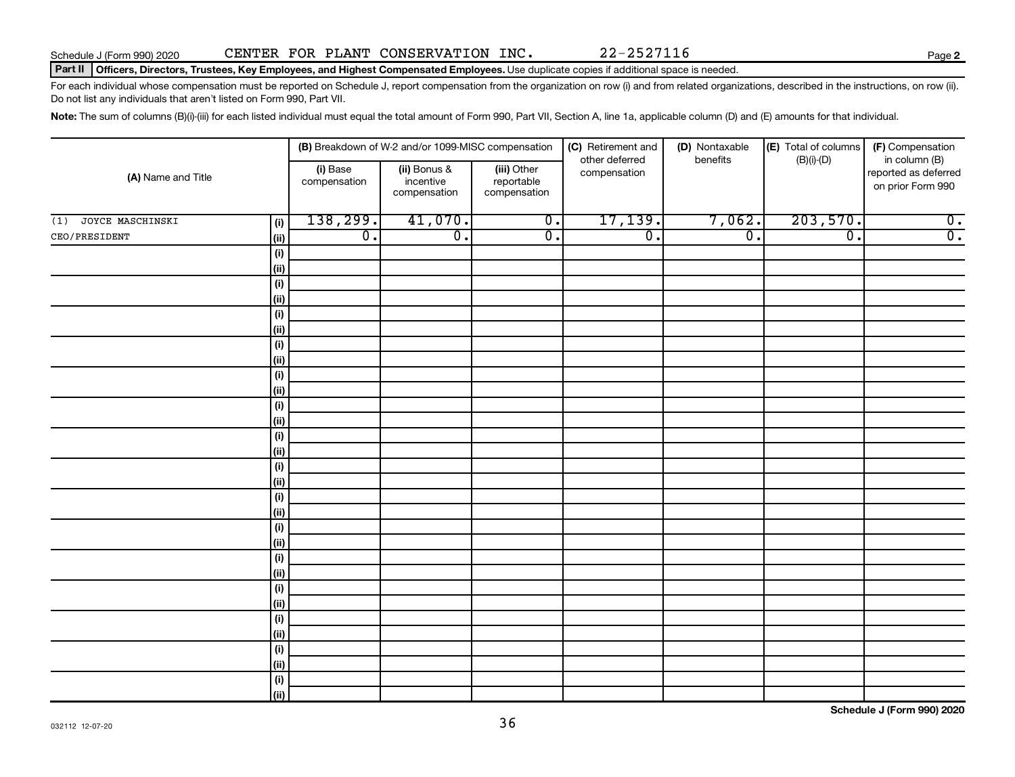#### Part II | Officers, Directors, Trustees, Key Employees, and Highest Compensated Employees. Use duplicate copies if additional space is needed.

For each individual whose compensation must be reported on Schedule J, report compensation from the organization on row (i) and from related organizations, described in the instructions, on row (ii). Do not list any individuals that aren't listed on Form 990, Part VII.

Note: The sum of columns (B)(i)-(iii) for each listed individual must equal the total amount of Form 990, Part VII, Section A, line 1a, applicable column (D) and (E) amounts for that individual.

| (A) Name and Title      |                              |                          | (B) Breakdown of W-2 and/or 1099-MISC compensation |                                           | (C) Retirement and             | (D) Nontaxable   | (E) Total of columns | (F) Compensation                                           |
|-------------------------|------------------------------|--------------------------|----------------------------------------------------|-------------------------------------------|--------------------------------|------------------|----------------------|------------------------------------------------------------|
|                         |                              | (i) Base<br>compensation | (ii) Bonus &<br>incentive<br>compensation          | (iii) Other<br>reportable<br>compensation | other deferred<br>compensation | benefits         | $(B)(i)$ - $(D)$     | in column (B)<br>reported as deferred<br>on prior Form 990 |
| JOYCE MASCHINSKI<br>(1) | (i)                          | 138,299.                 | 41,070.                                            | $\overline{\mathbf{0}}$ .                 | 17, 139.                       | 7,062.           | 203,570.             | $\overline{0}$ .                                           |
| CEO/PRESIDENT           | (ii)                         | $\overline{0}$ .         | $\overline{0}$ .                                   | $\overline{0}$ .                          | $\overline{0}$ .               | $\overline{0}$ . | $\overline{0}$ .     | $\overline{0}$ .                                           |
|                         | (i)                          |                          |                                                    |                                           |                                |                  |                      |                                                            |
|                         | (ii)                         |                          |                                                    |                                           |                                |                  |                      |                                                            |
|                         | $\qquad \qquad \textbf{(i)}$ |                          |                                                    |                                           |                                |                  |                      |                                                            |
|                         | (ii)                         |                          |                                                    |                                           |                                |                  |                      |                                                            |
|                         | $(\sf{i})$                   |                          |                                                    |                                           |                                |                  |                      |                                                            |
|                         | (ii)                         |                          |                                                    |                                           |                                |                  |                      |                                                            |
|                         | $(\sf{i})$                   |                          |                                                    |                                           |                                |                  |                      |                                                            |
|                         | (ii)                         |                          |                                                    |                                           |                                |                  |                      |                                                            |
|                         | $(\sf{i})$                   |                          |                                                    |                                           |                                |                  |                      |                                                            |
|                         | (ii)                         |                          |                                                    |                                           |                                |                  |                      |                                                            |
|                         | $(\sf{i})$                   |                          |                                                    |                                           |                                |                  |                      |                                                            |
|                         | (ii)                         |                          |                                                    |                                           |                                |                  |                      |                                                            |
|                         | $(\sf{i})$<br>(ii)           |                          |                                                    |                                           |                                |                  |                      |                                                            |
|                         | (i)                          |                          |                                                    |                                           |                                |                  |                      |                                                            |
|                         | (ii)                         |                          |                                                    |                                           |                                |                  |                      |                                                            |
|                         | (i)                          |                          |                                                    |                                           |                                |                  |                      |                                                            |
|                         | (ii)                         |                          |                                                    |                                           |                                |                  |                      |                                                            |
|                         | $(\sf{i})$                   |                          |                                                    |                                           |                                |                  |                      |                                                            |
|                         | (ii)                         |                          |                                                    |                                           |                                |                  |                      |                                                            |
|                         | $(\sf{i})$                   |                          |                                                    |                                           |                                |                  |                      |                                                            |
|                         | (ii)                         |                          |                                                    |                                           |                                |                  |                      |                                                            |
|                         | $(\sf{i})$                   |                          |                                                    |                                           |                                |                  |                      |                                                            |
|                         | (ii)                         |                          |                                                    |                                           |                                |                  |                      |                                                            |
|                         | $\qquad \qquad \textbf{(i)}$ |                          |                                                    |                                           |                                |                  |                      |                                                            |
|                         | (ii)                         |                          |                                                    |                                           |                                |                  |                      |                                                            |
|                         | (i)                          |                          |                                                    |                                           |                                |                  |                      |                                                            |
|                         | (ii)                         |                          |                                                    |                                           |                                |                  |                      |                                                            |
|                         | $(\sf{i})$                   |                          |                                                    |                                           |                                |                  |                      |                                                            |
|                         | (ii)                         |                          |                                                    |                                           |                                |                  |                      |                                                            |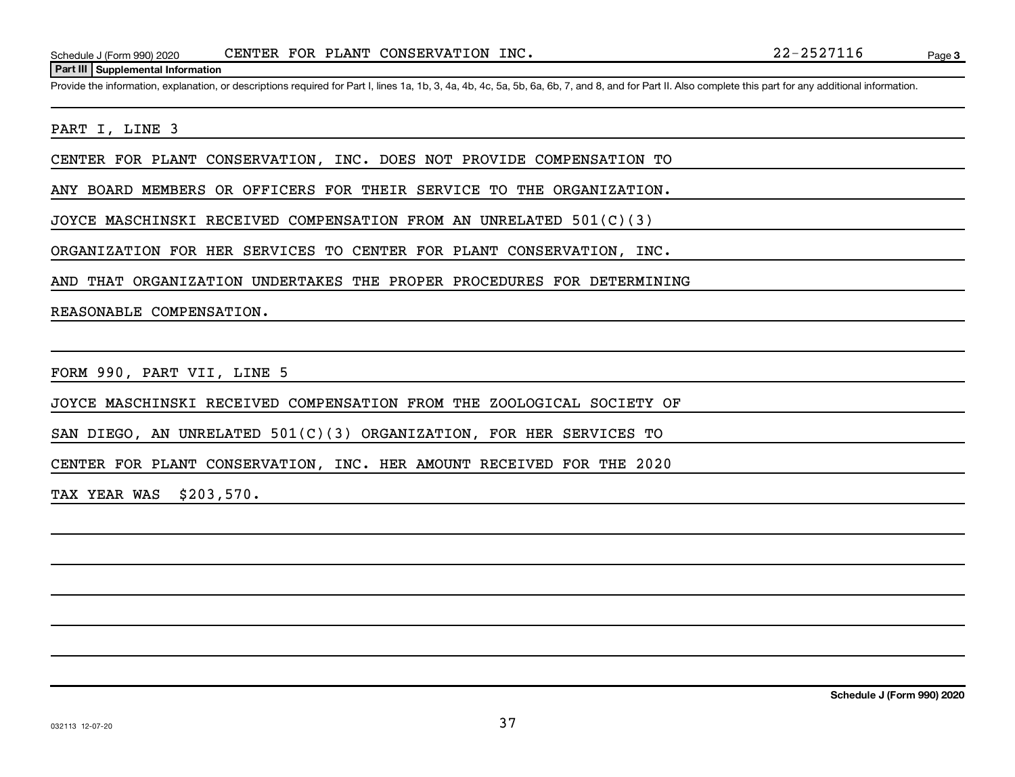#### **Part III Supplemental Information**

Provide the information, explanation, or descriptions required for Part I, lines 1a, 1b, 3, 4a, 4b, 4c, 5a, 5b, 6a, 6b, 7, and 8, and for Part II. Also complete this part for any additional information.

#### PART I, LINE 3

CENTER FOR PLANT CONSERVATION, INC. DOES NOT PROVIDE COMPENSATION TO

ANY BOARD MEMBERS OR OFFICERS FOR THEIR SERVICE TO THE ORGANIZATION.

JOYCE MASCHINSKI RECEIVED COMPENSATION FROM AN UNRELATED 501(C)(3)

ORGANIZATION FOR HER SERVICES TO CENTER FOR PLANT CONSERVATION, INC.

AND THAT ORGANIZATION UNDERTAKES THE PROPER PROCEDURES FOR DETERMINING

REASONABLE COMPENSATION.

FORM 990, PART VII, LINE 5

JOYCE MASCHINSKI RECEIVED COMPENSATION FROM THE ZOOLOGICAL SOCIETY OF

SAN DIEGO, AN UNRELATED 501(C)(3) ORGANIZATION, FOR HER SERVICES TO

CENTER FOR PLANT CONSERVATION, INC. HER AMOUNT RECEIVED FOR THE 2020

TAX YEAR WAS \$203,570.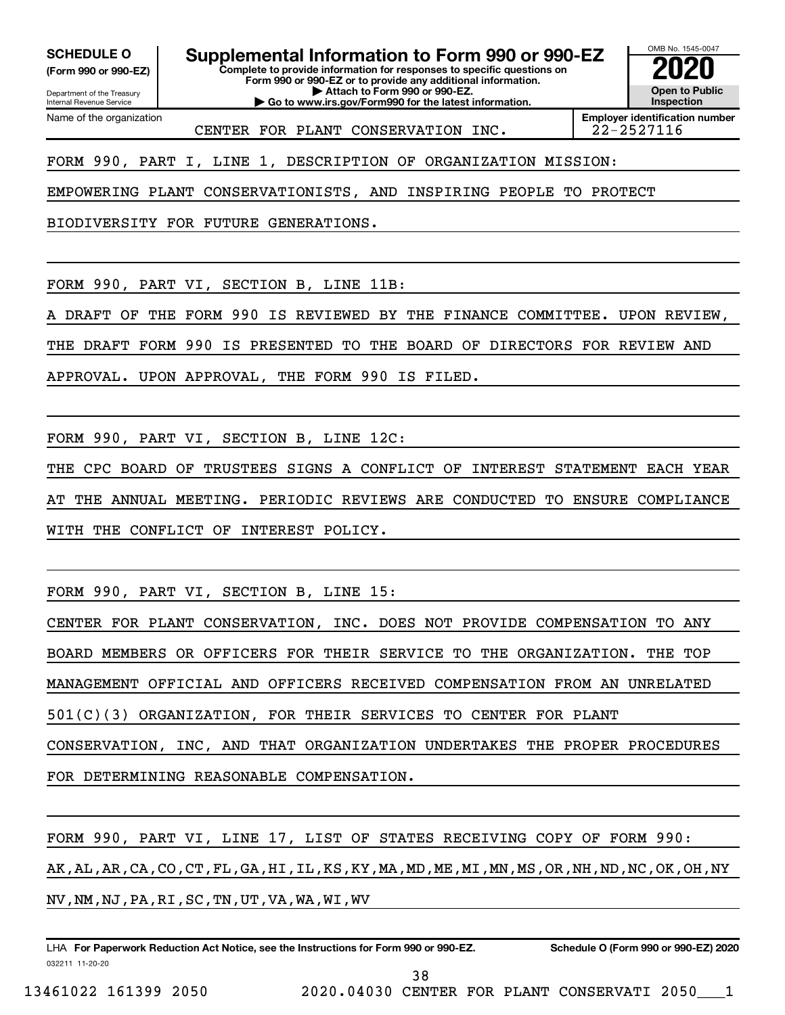Department of the Treasury **(Form 990 or 990-EZ)**

Name of the organization

Internal Revenue Service

**SCHEDULE O Supplemental Information to Form 990 or 990-EZ 2020**<br>(Form 990 or 990-EZ) Complete to provide information for responses to specific questions on

**Complete to provide information for responses to specific questions on Form 990 or 990-EZ or to provide any additional information. | Attach to Form 990 or 990-EZ.**

**| Go to www.irs.gov/Form990 for the latest information.**



CENTER FOR PLANT CONSERVATION INC. 22-2527116

FORM 990, PART I, LINE 1, DESCRIPTION OF ORGANIZATION MISSION:

EMPOWERING PLANT CONSERVATIONISTS, AND INSPIRING PEOPLE TO PROTECT

BIODIVERSITY FOR FUTURE GENERATIONS.

FORM 990, PART VI, SECTION B, LINE 11B:

DRAFT OF THE FORM 990 IS REVIEWED BY THE FINANCE COMMITTEE. UPON REVIEW,

THE DRAFT FORM 990 IS PRESENTED TO THE BOARD OF DIRECTORS FOR REVIEW AND

APPROVAL. UPON APPROVAL, THE FORM 990 IS FILED.

FORM 990, PART VI, SECTION B, LINE 12C:

THE CPC BOARD OF TRUSTEES SIGNS A CONFLICT OF INTEREST STATEMENT EACH YEAR AT THE ANNUAL MEETING. PERIODIC REVIEWS ARE CONDUCTED TO ENSURE COMPLIANCE WITH THE CONFLICT OF INTEREST POLICY.

FORM 990, PART VI, SECTION B, LINE 15:

CENTER FOR PLANT CONSERVATION, INC. DOES NOT PROVIDE COMPENSATION TO ANY BOARD MEMBERS OR OFFICERS FOR THEIR SERVICE TO THE ORGANIZATION. THE TOP MANAGEMENT OFFICIAL AND OFFICERS RECEIVED COMPENSATION FROM AN UNRELATED 501(C)(3) ORGANIZATION, FOR THEIR SERVICES TO CENTER FOR PLANT CONSERVATION, INC, AND THAT ORGANIZATION UNDERTAKES THE PROPER PROCEDURES FOR DETERMINING REASONABLE COMPENSATION.

FORM 990, PART VI, LINE 17, LIST OF STATES RECEIVING COPY OF FORM 990: AK,AL,AR,CA,CO,CT,FL,GA,HI,IL,KS,KY,MA,MD,ME,MI,MN,MS,OR,NH,ND,NC,OK,OH,NY NV,NM,NJ,PA,RI,SC,TN,UT,VA,WA,WI,WV

032211 11-20-20 **For Paperwork Reduction Act Notice, see the Instructions for Form 990 or 990-EZ. Schedule O (Form 990 or 990-EZ) 2020** LHA

38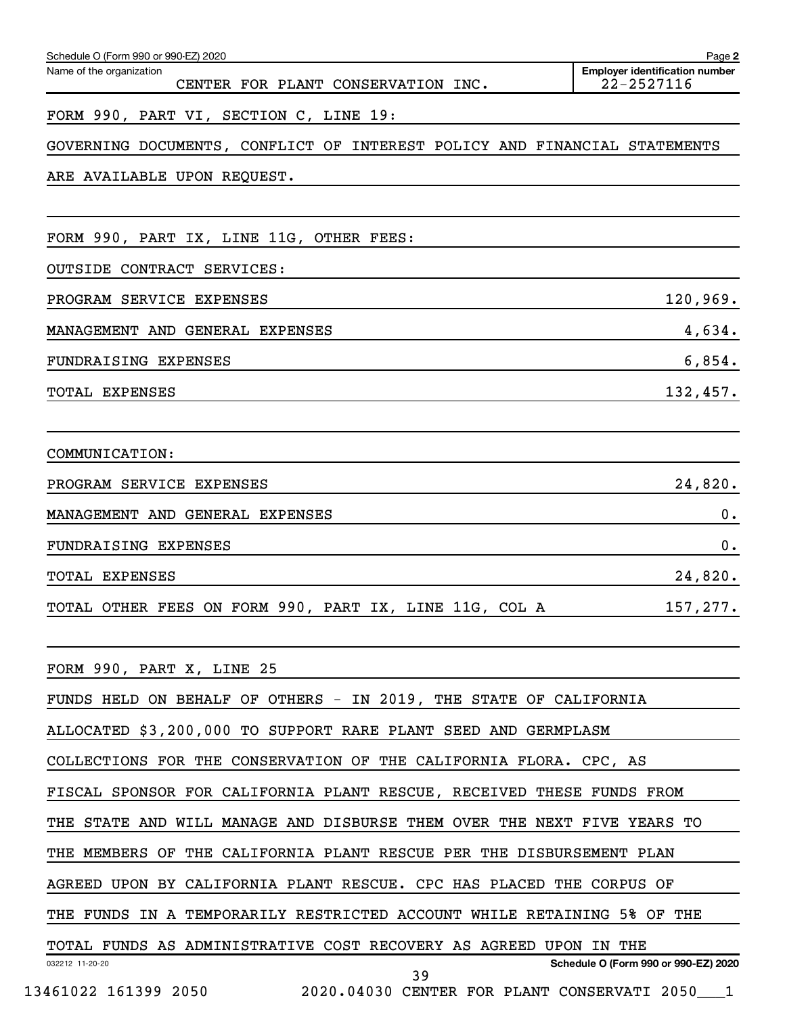| Schedule O (Form 990 or 990-EZ) 2020                                                 | Page 2                                              |
|--------------------------------------------------------------------------------------|-----------------------------------------------------|
| Name of the organization<br>CENTER FOR PLANT CONSERVATION INC.                       | <b>Employer identification number</b><br>22-2527116 |
| FORM 990, PART VI, SECTION C, LINE 19:                                               |                                                     |
| GOVERNING DOCUMENTS, CONFLICT OF INTEREST POLICY AND FINANCIAL STATEMENTS            |                                                     |
| ARE AVAILABLE UPON REQUEST.                                                          |                                                     |
|                                                                                      |                                                     |
| FORM 990, PART IX, LINE 11G, OTHER FEES:                                             |                                                     |
| OUTSIDE CONTRACT SERVICES:                                                           |                                                     |
| PROGRAM SERVICE EXPENSES                                                             | 120,969.                                            |
| MANAGEMENT AND GENERAL EXPENSES                                                      | 4,634.                                              |
| <b>FUNDRAISING EXPENSES</b>                                                          | 6,854.                                              |
| <b>TOTAL EXPENSES</b>                                                                | 132,457.                                            |
|                                                                                      |                                                     |
| COMMUNICATION:                                                                       |                                                     |
| PROGRAM SERVICE EXPENSES                                                             | 24,820.                                             |
| MANAGEMENT AND GENERAL EXPENSES                                                      | 0.                                                  |
| <b>FUNDRAISING EXPENSES</b>                                                          | 0.                                                  |
| TOTAL EXPENSES                                                                       | 24,820.                                             |
| TOTAL OTHER FEES ON FORM 990, PART IX, LINE 11G, COL A                               | 157,277.                                            |
|                                                                                      |                                                     |
| FORM 990, PART X, LINE 25                                                            |                                                     |
| FUNDS HELD ON BEHALF OF OTHERS - IN 2019, THE STATE OF CALIFORNIA                    |                                                     |
| ALLOCATED \$3,200,000 TO SUPPORT RARE PLANT SEED AND GERMPLASM                       |                                                     |
| COLLECTIONS FOR THE CONSERVATION OF THE CALIFORNIA FLORA. CPC, AS                    |                                                     |
| FISCAL SPONSOR FOR CALIFORNIA PLANT RESCUE, RECEIVED THESE FUNDS FROM                |                                                     |
| THE STATE AND WILL MANAGE AND DISBURSE THEM OVER THE NEXT FIVE YEARS TO              |                                                     |
| THE MEMBERS OF THE CALIFORNIA PLANT RESCUE PER THE DISBURSEMENT PLAN                 |                                                     |
| AGREED UPON BY CALIFORNIA PLANT RESCUE. CPC HAS PLACED THE CORPUS OF                 |                                                     |
| THE FUNDS IN A TEMPORARILY RESTRICTED ACCOUNT WHILE RETAINING 5% OF THE              |                                                     |
| TOTAL FUNDS AS ADMINISTRATIVE COST RECOVERY AS AGREED UPON IN THE<br>032212 11-20-20 | Schedule O (Form 990 or 990-EZ) 2020                |
| 39<br>13461022 161399 2050 2020.04030 CENTER FOR PLANT CONSERVATI 2050 1             |                                                     |